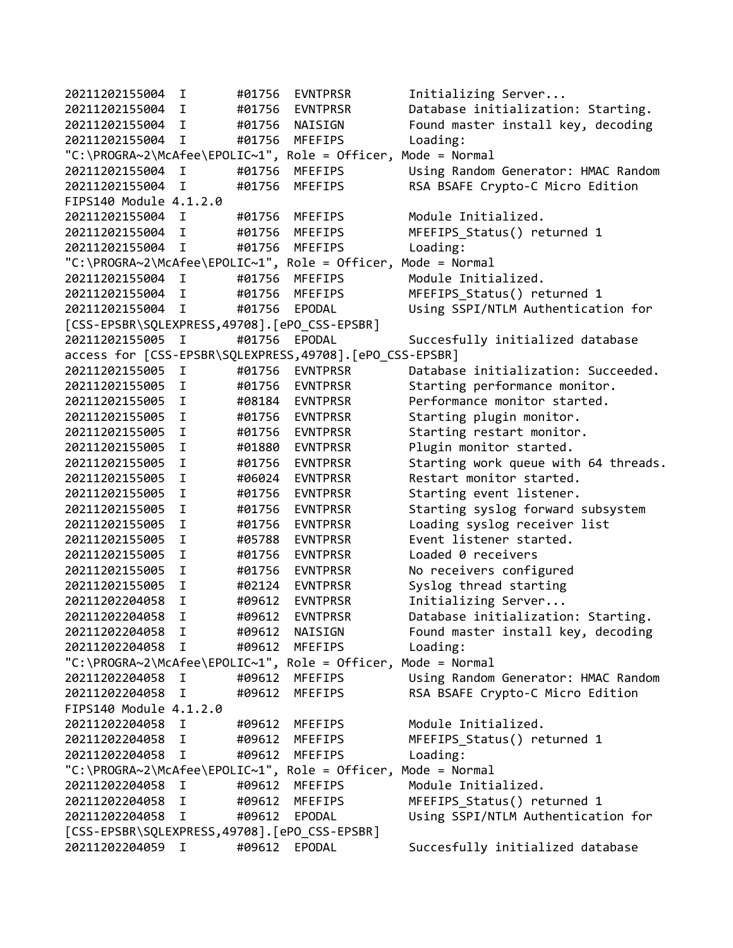20211202155004 I #01756 EVNTPRSR Initializing Server... 20211202155004 I #01756 EVNTPRSR Database initialization: Starting. 20211202155004 I #01756 NAISIGN Found master install key, decoding 20211202155004 I #01756 MFEFIPS Loading: "C:\PROGRA~2\McAfee\EPOLIC~1", Role = Officer, Mode = Normal 20211202155004 I #01756 MFEFIPS Using Random Generator: HMAC Random 20211202155004 I #01756 MFEFIPS RSA BSAFE Crypto-C Micro Edition FIPS140 Module 4.1.2.0 20211202155004 I #01756 MFEFIPS Module Initialized. 20211202155004 I #01756 MFEFIPS MFEFIPS\_Status() returned 1 20211202155004 I #01756 MFEFIPS Loading: "C:\PROGRA~2\McAfee\EPOLIC~1", Role = Officer, Mode = Normal 20211202155004 I #01756 MFEFIPS Module Initialized. 20211202155004 I #01756 MFEFIPS MFEFIPS\_Status() returned 1 20211202155004 I #01756 EPODAL Using SSPI/NTLM Authentication for [CSS-EPSBR\SQLEXPRESS,49708].[ePO\_CSS-EPSBR] 20211202155005 I #01756 EPODAL Succesfully initialized database access for [CSS-EPSBR\SQLEXPRESS,49708].[ePO\_CSS-EPSBR] 20211202155005 I #01756 EVNTPRSR Database initialization: Succeeded. 20211202155005 I #01756 EVNTPRSR Starting performance monitor. 20211202155005 I #08184 EVNTPRSR Performance monitor started. 20211202155005 I #01756 EVNTPRSR Starting plugin monitor. 20211202155005 I #01756 EVNTPRSR Starting restart monitor. 20211202155005 I #01880 EVNTPRSR Plugin monitor started. 20211202155005 I #01756 EVNTPRSR Starting work queue with 64 threads. 20211202155005 I #06024 EVNTPRSR Restart monitor started. 20211202155005 I #01756 EVNTPRSR Starting event listener. 20211202155005 I #01756 EVNTPRSR Starting syslog forward subsystem 20211202155005 I #01756 EVNTPRSR Loading syslog receiver list 20211202155005 I #05788 EVNTPRSR Event listener started. 20211202155005 I #01756 EVNTPRSR Loaded 0 receivers 20211202155005 I #01756 EVNTPRSR No receivers configured 20211202155005 I #02124 EVNTPRSR Syslog thread starting 20211202204058 I #09612 EVNTPRSR Initializing Server... 20211202204058 I #09612 EVNTPRSR Database initialization: Starting. 20211202204058 I #09612 NAISIGN Found master install key, decoding 20211202204058 I #09612 MFEFIPS Loading: "C:\PROGRA~2\McAfee\EPOLIC~1", Role = Officer, Mode = Normal 20211202204058 I #09612 MFEFIPS Using Random Generator: HMAC Random 20211202204058 I #09612 MFEFIPS RSA BSAFE Crypto-C Micro Edition FIPS140 Module 4.1.2.0 20211202204058 I #09612 MFEFIPS Module Initialized. 20211202204058 I #09612 MFEFIPS MFEFIPS\_Status() returned 1 20211202204058 I #09612 MFEFIPS Loading: "C:\PROGRA~2\McAfee\EPOLIC~1", Role = Officer, Mode = Normal 20211202204058 I #09612 MFEFIPS Module Initialized. 20211202204058 I #09612 MFEFIPS MFEFIPS\_Status() returned 1 20211202204058 I #09612 EPODAL Using SSPI/NTLM Authentication for [CSS-EPSBR\SQLEXPRESS,49708].[ePO\_CSS-EPSBR] 20211202204059 I #09612 EPODAL Succesfully initialized database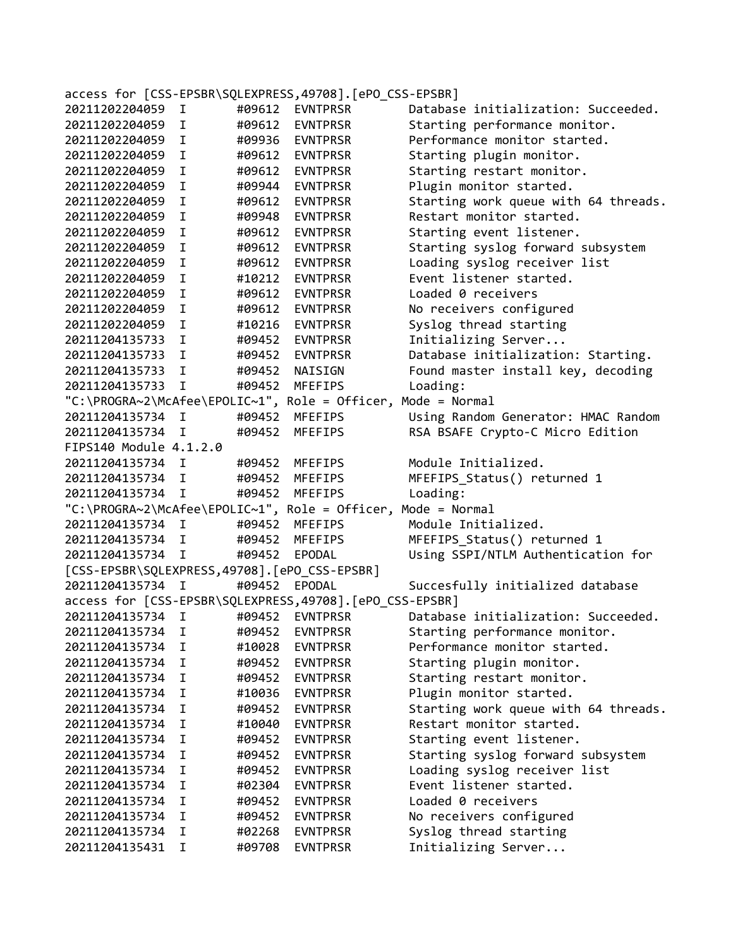| access for [CSS-EPSBR\SQLEXPRESS,49708]. [ePO_CSS-EPSBR] |             |        |                                                              |                                      |  |  |  |
|----------------------------------------------------------|-------------|--------|--------------------------------------------------------------|--------------------------------------|--|--|--|
| 20211202204059                                           | I           | #09612 | <b>EVNTPRSR</b>                                              | Database initialization: Succeeded.  |  |  |  |
| 20211202204059                                           | I.          | #09612 | <b>EVNTPRSR</b>                                              | Starting performance monitor.        |  |  |  |
| 20211202204059                                           | I.          | #09936 | <b>EVNTPRSR</b>                                              | Performance monitor started.         |  |  |  |
| 20211202204059                                           | I.          | #09612 | <b>EVNTPRSR</b>                                              | Starting plugin monitor.             |  |  |  |
| 20211202204059                                           | I.          | #09612 | <b>EVNTPRSR</b>                                              | Starting restart monitor.            |  |  |  |
| 20211202204059                                           | I           | #09944 | <b>EVNTPRSR</b>                                              | Plugin monitor started.              |  |  |  |
| 20211202204059                                           | I           | #09612 | <b>EVNTPRSR</b>                                              | Starting work queue with 64 threads. |  |  |  |
| 20211202204059                                           | I.          | #09948 | <b>EVNTPRSR</b>                                              | Restart monitor started.             |  |  |  |
| 20211202204059                                           | I.          | #09612 | <b>EVNTPRSR</b>                                              | Starting event listener.             |  |  |  |
| 20211202204059                                           | I           | #09612 | <b>EVNTPRSR</b>                                              | Starting syslog forward subsystem    |  |  |  |
| 20211202204059                                           | I           | #09612 | <b>EVNTPRSR</b>                                              | Loading syslog receiver list         |  |  |  |
| 20211202204059                                           | I           | #10212 | <b>EVNTPRSR</b>                                              | Event listener started.              |  |  |  |
| 20211202204059                                           | I           | #09612 | <b>EVNTPRSR</b>                                              | Loaded 0 receivers                   |  |  |  |
| 20211202204059                                           | I           | #09612 | <b>EVNTPRSR</b>                                              | No receivers configured              |  |  |  |
| 20211202204059                                           | I           | #10216 | <b>EVNTPRSR</b>                                              | Syslog thread starting               |  |  |  |
| 20211204135733                                           | I           | #09452 | <b>EVNTPRSR</b>                                              | Initializing Server                  |  |  |  |
| 20211204135733                                           | I.          | #09452 | EVNTPRSR                                                     | Database initialization: Starting.   |  |  |  |
| 20211204135733                                           | I.          | #09452 | NAISIGN                                                      | Found master install key, decoding   |  |  |  |
| 20211204135733                                           | T.          | #09452 | <b>MFEFIPS</b>                                               | Loading:                             |  |  |  |
|                                                          |             |        | "C:\PROGRA~2\McAfee\EPOLIC~1", Role = Officer, Mode = Normal |                                      |  |  |  |
| 20211204135734                                           | I           | #09452 | MFEFIPS                                                      | Using Random Generator: HMAC Random  |  |  |  |
| 20211204135734                                           | I.          | #09452 | <b>MFEFIPS</b>                                               | RSA BSAFE Crypto-C Micro Edition     |  |  |  |
| FIPS140 Module 4.1.2.0                                   |             |        |                                                              |                                      |  |  |  |
| 20211204135734                                           | I           | #09452 | MFEFIPS                                                      | Module Initialized.                  |  |  |  |
| 20211204135734                                           | I.          | #09452 | <b>MFEFIPS</b>                                               | MFEFIPS_Status() returned 1          |  |  |  |
| 20211204135734                                           | I.          | #09452 | <b>MFEFIPS</b>                                               | Loading:                             |  |  |  |
|                                                          |             |        | "C:\PROGRA~2\McAfee\EPOLIC~1", Role = Officer, Mode = Normal |                                      |  |  |  |
| 20211204135734                                           | $\mathbf I$ | #09452 | MFEFIPS                                                      | Module Initialized.                  |  |  |  |
| 20211204135734                                           | I.          | #09452 | MFEFIPS                                                      | MFEFIPS_Status() returned 1          |  |  |  |
| 20211204135734                                           | Ι.          | #09452 | EPODAL                                                       | Using SSPI/NTLM Authentication for   |  |  |  |
| [CSS-EPSBR\SQLEXPRESS,49708].[ePO_CSS-EPSBR]             |             |        |                                                              |                                      |  |  |  |
| 20211204135734                                           | Ι.          | #09452 | EPODAL                                                       | Succesfully initialized database     |  |  |  |
|                                                          |             |        | access for [CSS-EPSBR\SQLEXPRESS,49708].[ePO_CSS-EPSBR]      |                                      |  |  |  |
| 20211204135734                                           | I           | #09452 | <b>EVNTPRSR</b>                                              | Database initialization: Succeeded.  |  |  |  |
| 20211204135734                                           | I           | #09452 | <b>EVNTPRSR</b>                                              | Starting performance monitor.        |  |  |  |
| 20211204135734                                           | I           | #10028 | <b>EVNTPRSR</b>                                              | Performance monitor started.         |  |  |  |
| 20211204135734                                           | I           | #09452 | <b>EVNTPRSR</b>                                              | Starting plugin monitor.             |  |  |  |
| 20211204135734                                           | I.          | #09452 | <b>EVNTPRSR</b>                                              | Starting restart monitor.            |  |  |  |
| 20211204135734                                           | I           | #10036 | <b>EVNTPRSR</b>                                              | Plugin monitor started.              |  |  |  |
| 20211204135734                                           | I.          | #09452 | <b>EVNTPRSR</b>                                              | Starting work queue with 64 threads. |  |  |  |
| 20211204135734                                           | I.          | #10040 | <b>EVNTPRSR</b>                                              | Restart monitor started.             |  |  |  |
| 20211204135734                                           | I           | #09452 | <b>EVNTPRSR</b>                                              | Starting event listener.             |  |  |  |
| 20211204135734                                           | I           | #09452 | <b>EVNTPRSR</b>                                              | Starting syslog forward subsystem    |  |  |  |
| 20211204135734                                           | I.          | #09452 | <b>EVNTPRSR</b>                                              | Loading syslog receiver list         |  |  |  |
| 20211204135734                                           | I.          | #02304 | <b>EVNTPRSR</b>                                              | Event listener started.              |  |  |  |
| 20211204135734                                           | I           | #09452 | <b>EVNTPRSR</b>                                              | Loaded 0 receivers                   |  |  |  |
| 20211204135734                                           | I.          | #09452 | <b>EVNTPRSR</b>                                              | No receivers configured              |  |  |  |
| 20211204135734                                           | I           | #02268 | <b>EVNTPRSR</b>                                              | Syslog thread starting               |  |  |  |
|                                                          |             |        |                                                              |                                      |  |  |  |
| 20211204135431                                           | I           | #09708 | <b>EVNTPRSR</b>                                              | Initializing Server                  |  |  |  |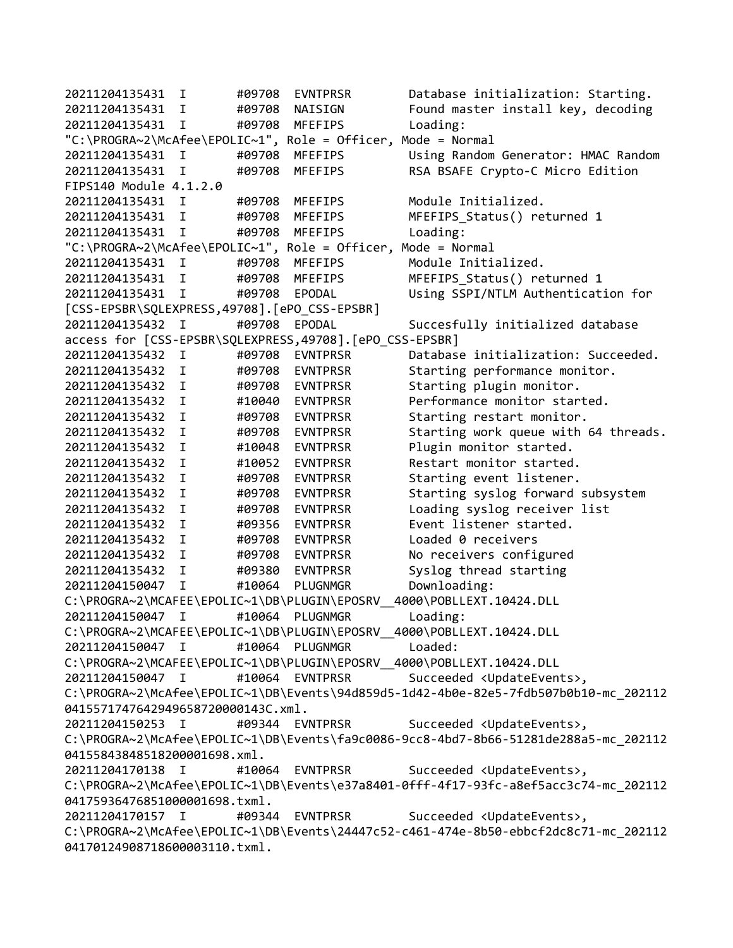20211204135431 I #09708 EVNTPRSR Database initialization: Starting. 20211204135431 I #09708 NAISIGN Found master install key, decoding 20211204135431 I #09708 MFEFIPS Loading: "C:\PROGRA~2\McAfee\EPOLIC~1", Role = Officer, Mode = Normal 20211204135431 I #09708 MFEFIPS Using Random Generator: HMAC Random 20211204135431 I #09708 MFEFIPS RSA BSAFE Crypto-C Micro Edition FIPS140 Module 4.1.2.0 20211204135431 I #09708 MFEFIPS Module Initialized. 20211204135431 I #09708 MFEFIPS MFEFIPS\_Status() returned 1 20211204135431 I #09708 MFEFIPS Loading: "C:\PROGRA~2\McAfee\EPOLIC~1", Role = Officer, Mode = Normal 20211204135431 I #09708 MFEFIPS Module Initialized. 20211204135431 I #09708 MFEFIPS MFEFIPS\_Status() returned 1 20211204135431 I #09708 EPODAL Using SSPI/NTLM Authentication for [CSS-EPSBR\SQLEXPRESS,49708].[ePO\_CSS-EPSBR] 20211204135432 I #09708 EPODAL Succesfully initialized database access for [CSS-EPSBR\SQLEXPRESS,49708].[ePO\_CSS-EPSBR] 20211204135432 I #09708 EVNTPRSR Database initialization: Succeeded. 20211204135432 I #09708 EVNTPRSR Starting performance monitor. 20211204135432 I #09708 EVNTPRSR Starting plugin monitor. 20211204135432 I #10040 EVNTPRSR Performance monitor started. 20211204135432 I #09708 EVNTPRSR Starting restart monitor. 20211204135432 I #09708 EVNTPRSR Starting work queue with 64 threads. 20211204135432 I #10048 EVNTPRSR Plugin monitor started. #10052 EVNTPRSR Restart monitor started. 20211204135432 I #09708 EVNTPRSR Starting event listener. 20211204135432 I #09708 EVNTPRSR Starting syslog forward subsystem 20211204135432 I #09708 EVNTPRSR Loading syslog receiver list 20211204135432 I #09356 EVNTPRSR Event listener started. 20211204135432 I #09708 EVNTPRSR Loaded 0 receivers 20211204135432 I #09708 EVNTPRSR No receivers configured 20211204135432 I #09380 EVNTPRSR Syslog thread starting 20211204150047 I #10064 PLUGNMGR Downloading: C:\PROGRA~2\MCAFEE\EPOLIC~1\DB\PLUGIN\EPOSRV\_\_4000\POBLLEXT.10424.DLL 20211204150047 I #10064 PLUGNMGR Loading: C:\PROGRA~2\MCAFEE\EPOLIC~1\DB\PLUGIN\EPOSRV\_\_4000\POBLLEXT.10424.DLL 20211204150047 I #10064 PLUGNMGR Loaded: C:\PROGRA~2\MCAFEE\EPOLIC~1\DB\PLUGIN\EPOSRV\_\_4000\POBLLEXT.10424.DLL 20211204150047 I #10064 EVNTPRSR Succeeded <UpdateEvents>, C:\PROGRA~2\McAfee\EPOLIC~1\DB\Events\94d859d5-1d42-4b0e-82e5-7fdb507b0b10-mc\_202112 0415571747642949658720000143C.xml. 20211204150253 I #09344 EVNTPRSR Succeeded <UpdateEvents>, C:\PROGRA~2\McAfee\EPOLIC~1\DB\Events\fa9c0086-9cc8-4bd7-8b66-51281de288a5-mc\_202112 04155843848518200001698.xml. 20211204170138 I #10064 EVNTPRSR Succeeded <UpdateEvents>, C:\PROGRA~2\McAfee\EPOLIC~1\DB\Events\e37a8401-0fff-4f17-93fc-a8ef5acc3c74-mc\_202112 04175936476851000001698.txml. 20211204170157 I #09344 EVNTPRSR Succeeded <UpdateEvents>, C:\PROGRA~2\McAfee\EPOLIC~1\DB\Events\24447c52-c461-474e-8b50-ebbcf2dc8c71-mc\_202112 04170124908718600003110.txml.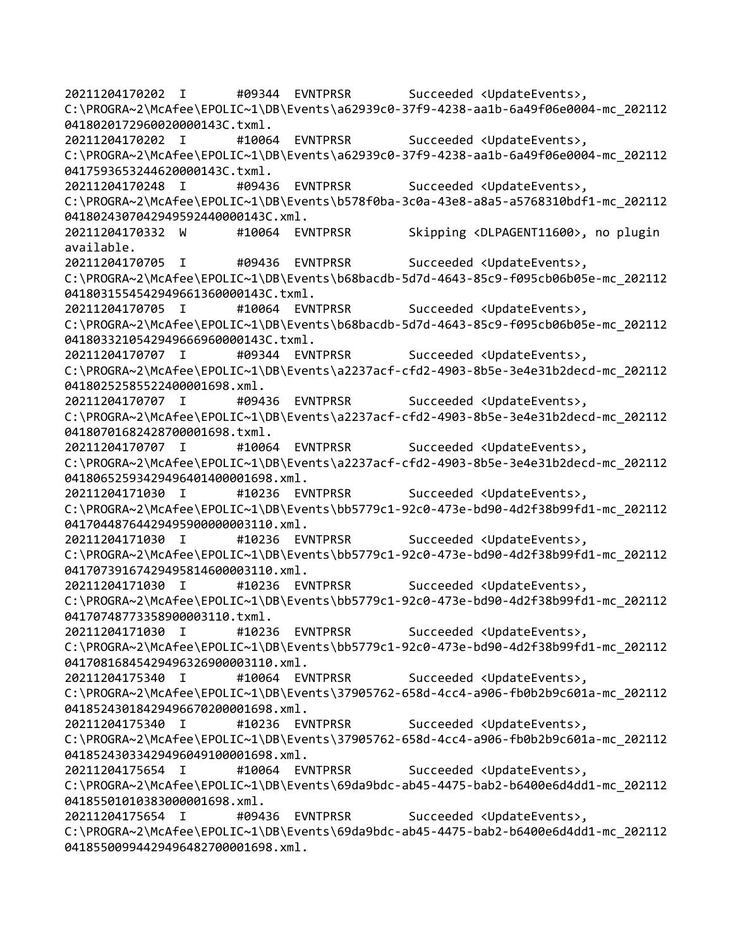20211204170202 I #09344 EVNTPRSR Succeeded <UpdateEvents>, C:\PROGRA~2\McAfee\EPOLIC~1\DB\Events\a62939c0-37f9-4238-aa1b-6a49f06e0004-mc\_202112 0418020172960020000143C.txml. 20211204170202 I #10064 EVNTPRSR Succeeded <UpdateEvents>, C:\PROGRA~2\McAfee\EPOLIC~1\DB\Events\a62939c0-37f9-4238-aa1b-6a49f06e0004-mc\_202112 0417593653244620000143C.txml. 20211204170248 I #09436 EVNTPRSR Succeeded <UpdateEvents>, C:\PROGRA~2\McAfee\EPOLIC~1\DB\Events\b578f0ba-3c0a-43e8-a8a5-a5768310bdf1-mc\_202112 0418024307042949592440000143C.xml. 20211204170332 W #10064 EVNTPRSR Skipping <DLPAGENT11600>, no plugin available. 20211204170705 I #09436 EVNTPRSR Succeeded <UpdateEvents>, C:\PROGRA~2\McAfee\EPOLIC~1\DB\Events\b68bacdb-5d7d-4643-85c9-f095cb06b05e-mc\_202112 0418031554542949661360000143C.txml. 20211204170705 I #10064 EVNTPRSR Succeeded <UpdateEvents>, C:\PROGRA~2\McAfee\EPOLIC~1\DB\Events\b68bacdb-5d7d-4643-85c9-f095cb06b05e-mc\_202112 0418033210542949666960000143C.txml. 20211204170707 I #09344 EVNTPRSR Succeeded <UpdateEvents>, C:\PROGRA~2\McAfee\EPOLIC~1\DB\Events\a2237acf-cfd2-4903-8b5e-3e4e31b2decd-mc\_202112 04180252585522400001698.xml. 20211204170707 I #09436 EVNTPRSR Succeeded <UpdateEvents>, C:\PROGRA~2\McAfee\EPOLIC~1\DB\Events\a2237acf-cfd2-4903-8b5e-3e4e31b2decd-mc\_202112 04180701682428700001698.txml. 20211204170707 I #10064 EVNTPRSR Succeeded <UpdateEvents>, C:\PROGRA~2\McAfee\EPOLIC~1\DB\Events\a2237acf-cfd2-4903-8b5e-3e4e31b2decd-mc\_202112 04180652593429496401400001698.xml. 20211204171030 I #10236 EVNTPRSR Succeeded <UpdateEvents>, C:\PROGRA~2\McAfee\EPOLIC~1\DB\Events\bb5779c1-92c0-473e-bd90-4d2f38b99fd1-mc\_202112 04170448764429495900000003110.xml. 20211204171030 I #10236 EVNTPRSR Succeeded <UpdateEvents>, C:\PROGRA~2\McAfee\EPOLIC~1\DB\Events\bb5779c1-92c0-473e-bd90-4d2f38b99fd1-mc\_202112 04170739167429495814600003110.xml. 20211204171030 I #10236 EVNTPRSR Succeeded <UpdateEvents>, C:\PROGRA~2\McAfee\EPOLIC~1\DB\Events\bb5779c1-92c0-473e-bd90-4d2f38b99fd1-mc\_202112 04170748773358900003110.txml. 20211204171030 I #10236 EVNTPRSR Succeeded <UpdateEvents>, C:\PROGRA~2\McAfee\EPOLIC~1\DB\Events\bb5779c1-92c0-473e-bd90-4d2f38b99fd1-mc\_202112 04170816845429496326900003110.xml. 20211204175340 I #10064 EVNTPRSR Succeeded <UpdateEvents>, C:\PROGRA~2\McAfee\EPOLIC~1\DB\Events\37905762-658d-4cc4-a906-fb0b2b9c601a-mc\_202112 04185243018429496670200001698.xml. 20211204175340 I #10236 EVNTPRSR Succeeded <UpdateEvents>, C:\PROGRA~2\McAfee\EPOLIC~1\DB\Events\37905762-658d-4cc4-a906-fb0b2b9c601a-mc\_202112 04185243033429496049100001698.xml. 20211204175654 I #10064 EVNTPRSR Succeeded <UpdateEvents>, C:\PROGRA~2\McAfee\EPOLIC~1\DB\Events\69da9bdc-ab45-4475-bab2-b6400e6d4dd1-mc\_202112 04185501010383000001698.xml. 20211204175654 I #09436 EVNTPRSR Succeeded <UpdateEvents>, C:\PROGRA~2\McAfee\EPOLIC~1\DB\Events\69da9bdc-ab45-4475-bab2-b6400e6d4dd1-mc\_202112 04185500994429496482700001698.xml.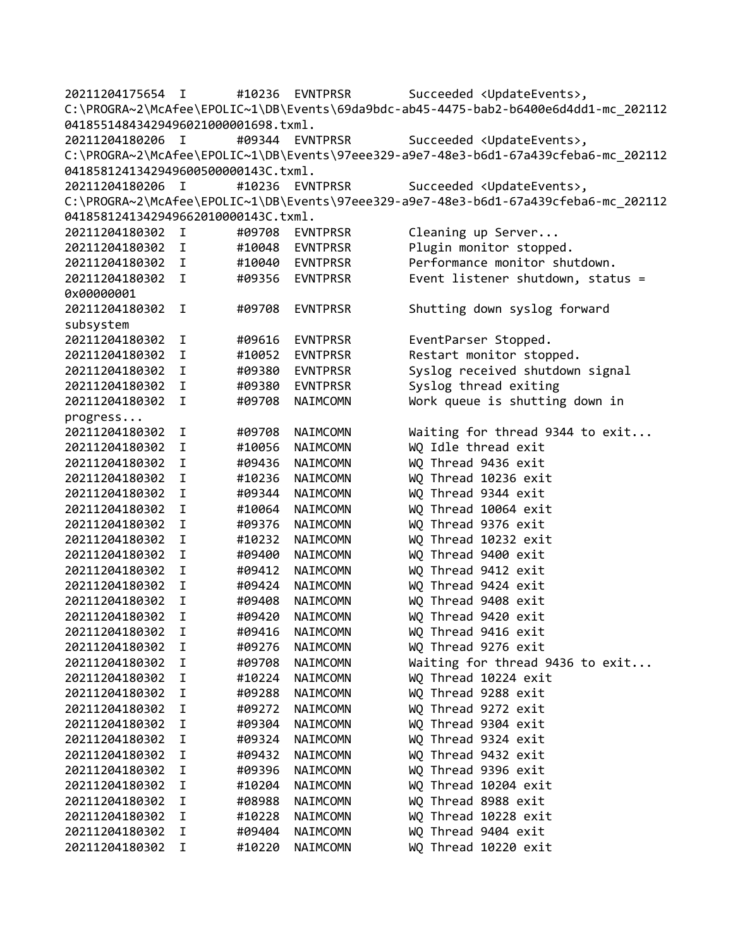20211204175654 I #10236 EVNTPRSR Succeeded <UpdateEvents>, C:\PROGRA~2\McAfee\EPOLIC~1\DB\Events\69da9bdc-ab45-4475-bab2-b6400e6d4dd1-mc\_202112 04185514843429496021000001698.txml. 20211204180206 I #09344 EVNTPRSR Succeeded <UpdateEvents>, C:\PROGRA~2\McAfee\EPOLIC~1\DB\Events\97eee329-a9e7-48e3-b6d1-67a439cfeba6-mc\_202112 0418581241342949600500000143C.txml. 20211204180206 I #10236 EVNTPRSR Succeeded <UpdateEvents>, C:\PROGRA~2\McAfee\EPOLIC~1\DB\Events\97eee329-a9e7-48e3-b6d1-67a439cfeba6-mc\_202112 0418581241342949662010000143C.txml. 20211204180302 I #09708 EVNTPRSR Cleaning up Server... 20211204180302 I #10048 EVNTPRSR Plugin monitor stopped. 20211204180302 I #10040 EVNTPRSR Performance monitor shutdown. 20211204180302 I #09356 EVNTPRSR Event listener shutdown, status = 0x00000001 20211204180302 I #09708 EVNTPRSR Shutting down syslog forward subsystem 20211204180302 I #09616 EVNTPRSR EventParser Stopped. 20211204180302 I #10052 EVNTPRSR Restart monitor stopped. 20211204180302 I #09380 EVNTPRSR Syslog received shutdown signal 20211204180302 I #09380 EVNTPRSR Syslog thread exiting 20211204180302 I #09708 NAIMCOMN Work queue is shutting down in progress... 20211204180302 I #09708 NAIMCOMN Waiting for thread 9344 to exit... 20211204180302 I #10056 NAIMCOMN WQ Idle thread exit 20211204180302 I #09436 NAIMCOMN WQ Thread 9436 exit 20211204180302 I #10236 NAIMCOMN WQ Thread 10236 exit 20211204180302 I #09344 NAIMCOMN WQ Thread 9344 exit 20211204180302 I #10064 NAIMCOMN WQ Thread 10064 exit 20211204180302 I #09376 NAIMCOMN WQ Thread 9376 exit 20211204180302 I #10232 NAIMCOMN WQ Thread 10232 exit 20211204180302 I #09400 NAIMCOMN WQ Thread 9400 exit 20211204180302 I #09412 NAIMCOMN WQ Thread 9412 exit 20211204180302 I #09424 NAIMCOMN WQ Thread 9424 exit 20211204180302 I #09408 NAIMCOMN WQ Thread 9408 exit 20211204180302 I #09420 NAIMCOMN WQ Thread 9420 exit 20211204180302 I #09416 NAIMCOMN WQ Thread 9416 exit 20211204180302 I #09276 NAIMCOMN WQ Thread 9276 exit 20211204180302 I #09708 NAIMCOMN Waiting for thread 9436 to exit... 20211204180302 I #10224 NAIMCOMN WQ Thread 10224 exit 20211204180302 I #09288 NAIMCOMN WQ Thread 9288 exit 20211204180302 I #09272 NAIMCOMN WQ Thread 9272 exit 20211204180302 I #09304 NAIMCOMN WQ Thread 9304 exit 20211204180302 I #09324 NAIMCOMN WQ Thread 9324 exit 20211204180302 I #09432 NAIMCOMN WQ Thread 9432 exit 20211204180302 I #09396 NAIMCOMN WQ Thread 9396 exit 20211204180302 I #10204 NAIMCOMN WQ Thread 10204 exit 20211204180302 I #08988 NAIMCOMN WQ Thread 8988 exit 20211204180302 I #10228 NAIMCOMN WQ Thread 10228 exit 20211204180302 I #09404 NAIMCOMN WQ Thread 9404 exit 20211204180302 I #10220 NAIMCOMN WQ Thread 10220 exit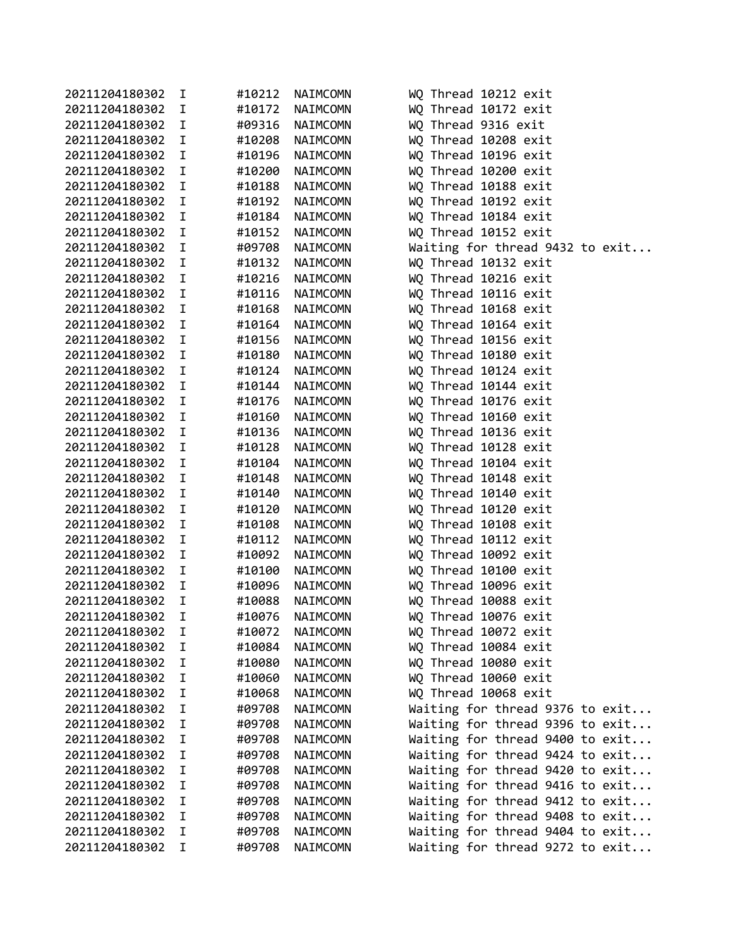| 20211204180302 | I           | #10212 | NAIMCOMN | WQ Thread 10212 exit            |
|----------------|-------------|--------|----------|---------------------------------|
| 20211204180302 | I           | #10172 | NAIMCOMN | WQ Thread 10172 exit            |
| 20211204180302 | I.          | #09316 | NAIMCOMN | WQ Thread 9316 exit             |
| 20211204180302 | I           | #10208 | NAIMCOMN | WQ Thread 10208 exit            |
| 20211204180302 | $\mathbf I$ | #10196 | NAIMCOMN | WQ Thread 10196 exit            |
| 20211204180302 | I           | #10200 | NAIMCOMN | WQ Thread 10200 exit            |
| 20211204180302 | I           | #10188 | NAIMCOMN | WQ Thread 10188 exit            |
| 20211204180302 | I           | #10192 | NAIMCOMN | WQ Thread 10192 exit            |
| 20211204180302 | I           | #10184 | NAIMCOMN | WQ Thread 10184 exit            |
| 20211204180302 | I           | #10152 | NAIMCOMN | WQ Thread 10152 exit            |
| 20211204180302 | I           | #09708 | NAIMCOMN | Waiting for thread 9432 to exit |
| 20211204180302 | $\mathbf I$ | #10132 | NAIMCOMN | WQ Thread 10132 exit            |
| 20211204180302 | I           | #10216 | NAIMCOMN | WQ Thread 10216 exit            |
| 20211204180302 | I           | #10116 | NAIMCOMN | WQ Thread 10116 exit            |
| 20211204180302 | I           | #10168 | NAIMCOMN | WQ Thread 10168 exit            |
| 20211204180302 | I           | #10164 | NAIMCOMN | WQ Thread 10164 exit            |
| 20211204180302 | I           | #10156 | NAIMCOMN | WQ Thread 10156 exit            |
| 20211204180302 | I           | #10180 | NAIMCOMN | WQ Thread 10180 exit            |
| 20211204180302 | I           | #10124 | NAIMCOMN | WQ Thread 10124 exit            |
| 20211204180302 | I           | #10144 | NAIMCOMN | WQ Thread 10144 exit            |
| 20211204180302 | I           | #10176 | NAIMCOMN | WQ Thread 10176 exit            |
| 20211204180302 | I           | #10160 | NAIMCOMN | WQ Thread 10160 exit            |
| 20211204180302 | I           | #10136 | NAIMCOMN | WQ Thread 10136 exit            |
| 20211204180302 | I           | #10128 | NAIMCOMN | WQ Thread 10128 exit            |
| 20211204180302 | I           | #10104 | NAIMCOMN | WQ Thread 10104 exit            |
| 20211204180302 | I           | #10148 | NAIMCOMN | WQ Thread 10148 exit            |
| 20211204180302 | I           | #10140 | NAIMCOMN | WQ Thread 10140 exit            |
| 20211204180302 | I           | #10120 | NAIMCOMN | WQ Thread 10120 exit            |
| 20211204180302 | I           | #10108 | NAIMCOMN | WQ Thread 10108 exit            |
| 20211204180302 | I           | #10112 | NAIMCOMN | WQ Thread 10112 exit            |
| 20211204180302 | I           | #10092 | NAIMCOMN | WQ Thread 10092 exit            |
| 20211204180302 | I           | #10100 | NAIMCOMN | WQ Thread 10100 exit            |
| 20211204180302 | I           | #10096 | NAIMCOMN | WQ Thread 10096 exit            |
| 20211204180302 | I           | #10088 | NAIMCOMN | WQ Thread 10088 exit            |
| 20211204180302 | $\mathbf I$ | #10076 | NAIMCOMN | WQ Thread 10076 exit            |
| 20211204180302 | Ι           | #10072 | NAIMCOMN | WQ Thread 10072 exit            |
| 20211204180302 | I           | #10084 | NAIMCOMN | WQ Thread 10084 exit            |
| 20211204180302 | I           | #10080 | NAIMCOMN | WQ Thread 10080 exit            |
| 20211204180302 | I           | #10060 | NAIMCOMN | WQ Thread 10060 exit            |
| 20211204180302 | I           | #10068 | NAIMCOMN | WQ Thread 10068 exit            |
| 20211204180302 | I           | #09708 | NAIMCOMN | Waiting for thread 9376 to exit |
| 20211204180302 | I           | #09708 | NAIMCOMN | Waiting for thread 9396 to exit |
| 20211204180302 | I           | #09708 | NAIMCOMN | Waiting for thread 9400 to exit |
| 20211204180302 | I           | #09708 | NAIMCOMN | Waiting for thread 9424 to exit |
| 20211204180302 | I           | #09708 | NAIMCOMN | Waiting for thread 9420 to exit |
| 20211204180302 | I           | #09708 | NAIMCOMN | Waiting for thread 9416 to exit |
| 20211204180302 | I           | #09708 | NAIMCOMN | Waiting for thread 9412 to exit |
|                | I           |        |          |                                 |
| 20211204180302 |             | #09708 | NAIMCOMN | Waiting for thread 9408 to exit |
| 20211204180302 | I           | #09708 | NAIMCOMN | Waiting for thread 9404 to exit |
| 20211204180302 | I           | #09708 | NAIMCOMN | Waiting for thread 9272 to exit |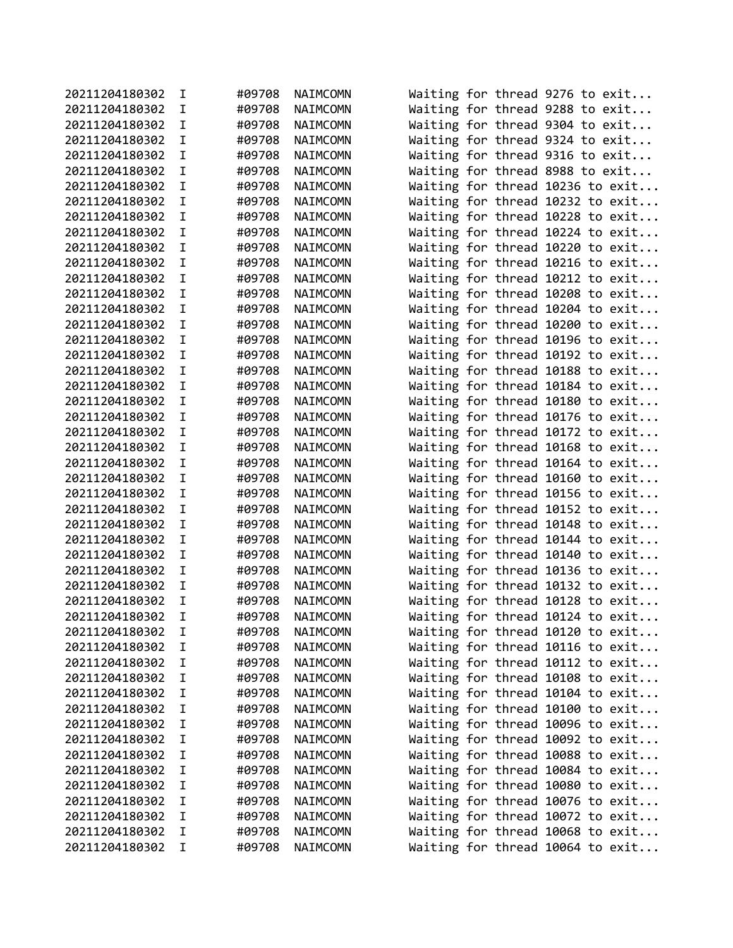| 20211204180302 | I           | #09708 | NAIMCOMN | Waiting for thread 9276 to exit  |  |  |  |
|----------------|-------------|--------|----------|----------------------------------|--|--|--|
| 20211204180302 | I           | #09708 | NAIMCOMN | Waiting for thread 9288 to exit  |  |  |  |
| 20211204180302 | I           | #09708 | NAIMCOMN | Waiting for thread 9304 to exit  |  |  |  |
| 20211204180302 | I           | #09708 | NAIMCOMN | Waiting for thread 9324 to exit  |  |  |  |
| 20211204180302 | I           | #09708 | NAIMCOMN | Waiting for thread 9316 to exit  |  |  |  |
| 20211204180302 | I           | #09708 | NAIMCOMN | Waiting for thread 8988 to exit  |  |  |  |
| 20211204180302 | I           | #09708 | NAIMCOMN | Waiting for thread 10236 to exit |  |  |  |
| 20211204180302 | I           | #09708 | NAIMCOMN | Waiting for thread 10232 to exit |  |  |  |
| 20211204180302 | I           | #09708 | NAIMCOMN | Waiting for thread 10228 to exit |  |  |  |
| 20211204180302 | I           | #09708 | NAIMCOMN | Waiting for thread 10224 to exit |  |  |  |
| 20211204180302 | I           | #09708 | NAIMCOMN | Waiting for thread 10220 to exit |  |  |  |
| 20211204180302 | $\mathbf I$ | #09708 | NAIMCOMN | Waiting for thread 10216 to exit |  |  |  |
| 20211204180302 | I.          | #09708 | NAIMCOMN | Waiting for thread 10212 to exit |  |  |  |
| 20211204180302 | I.          | #09708 | NAIMCOMN | Waiting for thread 10208 to exit |  |  |  |
| 20211204180302 | I           | #09708 | NAIMCOMN | Waiting for thread 10204 to exit |  |  |  |
| 20211204180302 | I.          | #09708 | NAIMCOMN | Waiting for thread 10200 to exit |  |  |  |
| 20211204180302 | I           | #09708 | NAIMCOMN | Waiting for thread 10196 to exit |  |  |  |
| 20211204180302 | I           | #09708 | NAIMCOMN | Waiting for thread 10192 to exit |  |  |  |
| 20211204180302 | I           | #09708 | NAIMCOMN | Waiting for thread 10188 to exit |  |  |  |
| 20211204180302 | $\mathbf I$ | #09708 | NAIMCOMN | Waiting for thread 10184 to exit |  |  |  |
| 20211204180302 | I           | #09708 | NAIMCOMN | Waiting for thread 10180 to exit |  |  |  |
| 20211204180302 | I           | #09708 | NAIMCOMN | Waiting for thread 10176 to exit |  |  |  |
| 20211204180302 | I           | #09708 | NAIMCOMN | Waiting for thread 10172 to exit |  |  |  |
| 20211204180302 | I           | #09708 | NAIMCOMN | Waiting for thread 10168 to exit |  |  |  |
| 20211204180302 | I           | #09708 | NAIMCOMN | Waiting for thread 10164 to exit |  |  |  |
| 20211204180302 | I           | #09708 | NAIMCOMN | Waiting for thread 10160 to exit |  |  |  |
| 20211204180302 | $\mathbf I$ | #09708 | NAIMCOMN | Waiting for thread 10156 to exit |  |  |  |
| 20211204180302 | I           | #09708 | NAIMCOMN | Waiting for thread 10152 to exit |  |  |  |
| 20211204180302 | I           | #09708 | NAIMCOMN | Waiting for thread 10148 to exit |  |  |  |
| 20211204180302 | I.          | #09708 | NAIMCOMN | Waiting for thread 10144 to exit |  |  |  |
| 20211204180302 | I           | #09708 | NAIMCOMN | Waiting for thread 10140 to exit |  |  |  |
| 20211204180302 | I           | #09708 | NAIMCOMN | Waiting for thread 10136 to exit |  |  |  |
| 20211204180302 | I.          | #09708 | NAIMCOMN | Waiting for thread 10132 to exit |  |  |  |
| 20211204180302 | $\mathbf I$ | #09708 | NAIMCOMN | Waiting for thread 10128 to exit |  |  |  |
| 20211204180302 | I           | #09708 | NAIMCOMN | Waiting for thread 10124 to exit |  |  |  |
| 20211204180302 | I           | #09708 | NAIMCOMN | Waiting for thread 10120 to exit |  |  |  |
| 20211204180302 | I           | #09708 | NAIMCOMN | Waiting for thread 10116 to exit |  |  |  |
| 20211204180302 | I           | #09708 | NAIMCOMN | Waiting for thread 10112 to exit |  |  |  |
| 20211204180302 | I           | #09708 | NAIMCOMN | Waiting for thread 10108 to exit |  |  |  |
| 20211204180302 | I           | #09708 | NAIMCOMN | Waiting for thread 10104 to exit |  |  |  |
| 20211204180302 | I           | #09708 | NAIMCOMN | Waiting for thread 10100 to exit |  |  |  |
| 20211204180302 | Ι           | #09708 | NAIMCOMN | Waiting for thread 10096 to exit |  |  |  |
| 20211204180302 | I           | #09708 | NAIMCOMN | Waiting for thread 10092 to exit |  |  |  |
| 20211204180302 | I           | #09708 | NAIMCOMN | Waiting for thread 10088 to exit |  |  |  |
| 20211204180302 | I           | #09708 | NAIMCOMN | Waiting for thread 10084 to exit |  |  |  |
| 20211204180302 | I           | #09708 | NAIMCOMN | Waiting for thread 10080 to exit |  |  |  |
| 20211204180302 | I           | #09708 | NAIMCOMN | Waiting for thread 10076 to exit |  |  |  |
| 20211204180302 | I           | #09708 | NAIMCOMN |                                  |  |  |  |
|                |             |        |          | Waiting for thread 10072 to exit |  |  |  |
| 20211204180302 | I           | #09708 | NAIMCOMN | Waiting for thread 10068 to exit |  |  |  |
| 20211204180302 | I           | #09708 | NAIMCOMN | Waiting for thread 10064 to exit |  |  |  |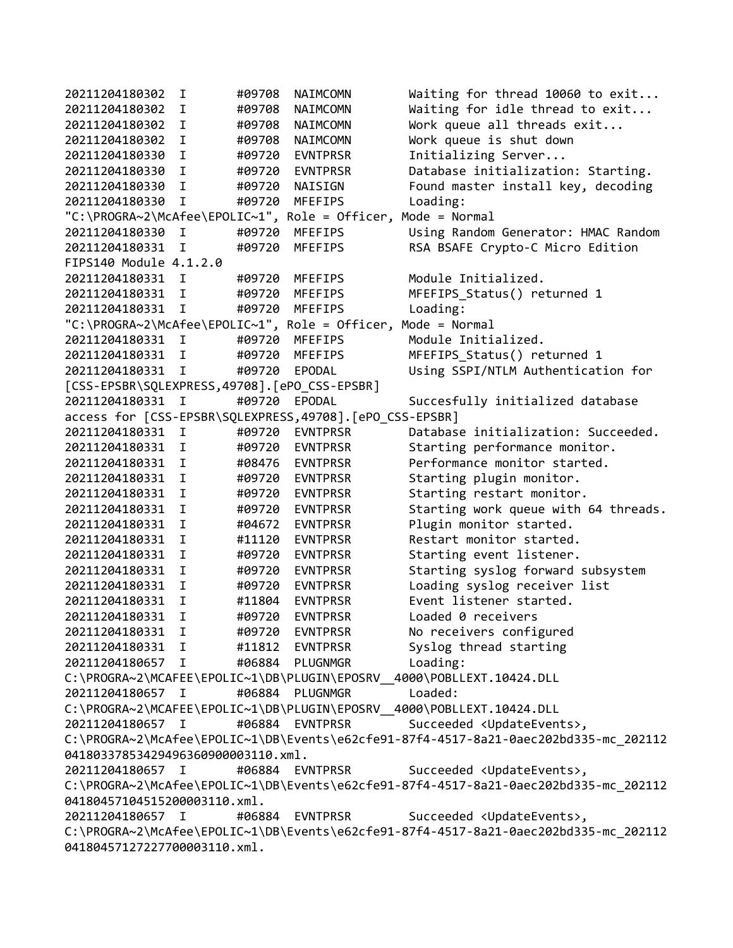20211204180302 I #09708 NAIMCOMN Waiting for thread 10060 to exit... 20211204180302 I #09708 NAIMCOMN Waiting for idle thread to exit... 20211204180302 I #09708 NAIMCOMN Work queue all threads exit... 20211204180302 I #09708 NAIMCOMN Work queue is shut down 20211204180330 I #09720 EVNTPRSR Initializing Server... 20211204180330 I #09720 EVNTPRSR Database initialization: Starting. 20211204180330 I #09720 NAISIGN Found master install key, decoding 20211204180330 I #09720 MFEFIPS Loading: "C:\PROGRA~2\McAfee\EPOLIC~1", Role = Officer, Mode = Normal 20211204180330 I #09720 MFEFIPS Using Random Generator: HMAC Random 20211204180331 I #09720 MFEFIPS RSA BSAFE Crypto-C Micro Edition FIPS140 Module 4.1.2.0 20211204180331 I #09720 MFEFIPS Module Initialized. 20211204180331 I #09720 MFEFIPS MFEFIPS\_Status() returned 1 20211204180331 I #09720 MFEFIPS Loading: "C:\PROGRA~2\McAfee\EPOLIC~1", Role = Officer, Mode = Normal 20211204180331 I #09720 MFEFIPS Module Initialized. 20211204180331 I #09720 MFEFIPS MFEFIPS\_Status() returned 1 20211204180331 I #09720 EPODAL Using SSPI/NTLM Authentication for [CSS-EPSBR\SQLEXPRESS,49708].[ePO\_CSS-EPSBR] 20211204180331 I #09720 EPODAL Succesfully initialized database access for [CSS-EPSBR\SQLEXPRESS,49708].[ePO\_CSS-EPSBR] 20211204180331 I #09720 EVNTPRSR Database initialization: Succeeded.<br>20211204180331 I #09720 EVNTPRSR Starting performance monitor. 20211204180331 I #09720 EVNTPRSR Starting performance monitor.<br>20211204180331 I #08476 EVNTPRSR Performance monitor started. I #08476 EVNTPRSR Performance monitor started. 20211204180331 I #09720 EVNTPRSR Starting plugin monitor. 20211204180331 I #09720 EVNTPRSR Starting restart monitor. 20211204180331 I #09720 EVNTPRSR Starting work queue with 64 threads. 20211204180331 I #04672 EVNTPRSR Plugin monitor started. 20211204180331 I #11120 EVNTPRSR Restart monitor started. 20211204180331 I #09720 EVNTPRSR Starting event listener. 20211204180331 I #09720 EVNTPRSR Starting syslog forward subsystem 20211204180331 I #09720 EVNTPRSR Loading syslog receiver list 20211204180331 I #11804 EVNTPRSR Event listener started. 20211204180331 I #09720 EVNTPRSR Loaded 0 receivers 20211204180331 I #09720 EVNTPRSR No receivers configured 20211204180331 I #11812 EVNTPRSR Syslog thread starting 20211204180657 I #06884 PLUGNMGR Loading: C:\PROGRA~2\MCAFEE\EPOLIC~1\DB\PLUGIN\EPOSRV\_\_4000\POBLLEXT.10424.DLL 20211204180657 I #06884 PLUGNMGR Loaded: C:\PROGRA~2\MCAFEE\EPOLIC~1\DB\PLUGIN\EPOSRV\_\_4000\POBLLEXT.10424.DLL 20211204180657 I #06884 EVNTPRSR Succeeded <UpdateEvents>, C:\PROGRA~2\McAfee\EPOLIC~1\DB\Events\e62cfe91-87f4-4517-8a21-0aec202bd335-mc\_202112 04180337853429496360900003110.xml. 20211204180657 I #06884 EVNTPRSR Succeeded <UpdateEvents>, C:\PROGRA~2\McAfee\EPOLIC~1\DB\Events\e62cfe91-87f4-4517-8a21-0aec202bd335-mc\_202112 04180457104515200003110.xml. 20211204180657 I #06884 EVNTPRSR Succeeded <UpdateEvents>, C:\PROGRA~2\McAfee\EPOLIC~1\DB\Events\e62cfe91-87f4-4517-8a21-0aec202bd335-mc\_202112 04180457127227700003110.xml.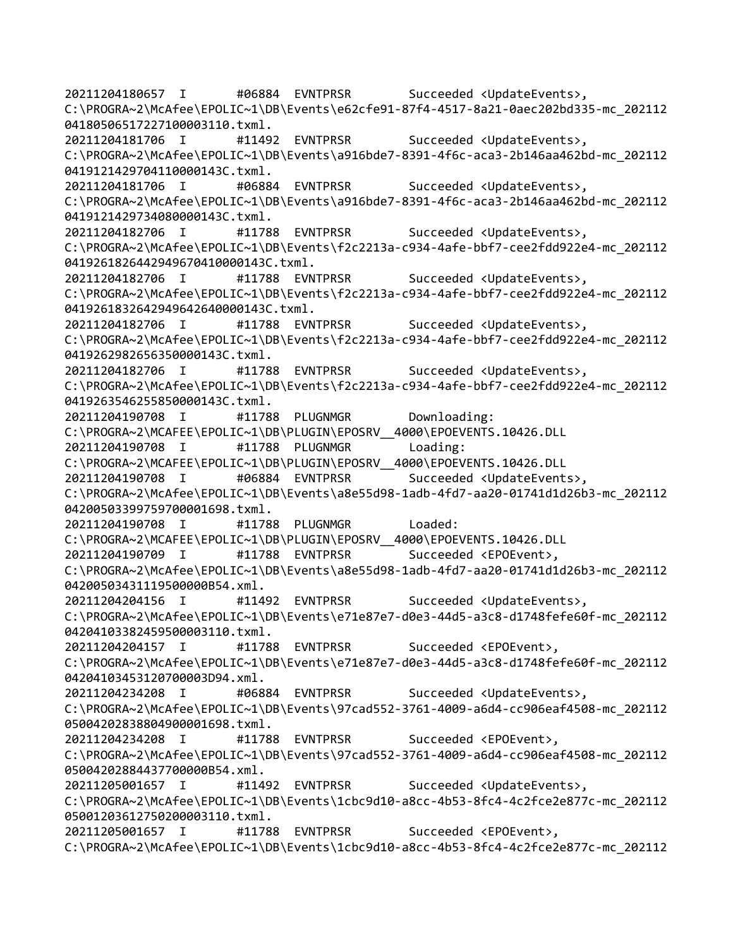20211204180657 I #06884 EVNTPRSR Succeeded <UpdateEvents>, C:\PROGRA~2\McAfee\EPOLIC~1\DB\Events\e62cfe91-87f4-4517-8a21-0aec202bd335-mc\_202112 04180506517227100003110.txml. 20211204181706 I #11492 EVNTPRSR Succeeded <UpdateEvents>, C:\PROGRA~2\McAfee\EPOLIC~1\DB\Events\a916bde7-8391-4f6c-aca3-2b146aa462bd-mc\_202112 0419121429704110000143C.txml. 20211204181706 I #06884 EVNTPRSR Succeeded <UpdateEvents>, C:\PROGRA~2\McAfee\EPOLIC~1\DB\Events\a916bde7-8391-4f6c-aca3-2b146aa462bd-mc\_202112 0419121429734080000143C.txml. 20211204182706 I #11788 EVNTPRSR Succeeded <UpdateEvents>, C:\PROGRA~2\McAfee\EPOLIC~1\DB\Events\f2c2213a-c934-4afe-bbf7-cee2fdd922e4-mc\_202112 0419261826442949670410000143C.txml. 20211204182706 I #11788 EVNTPRSR Succeeded <UpdateEvents>, C:\PROGRA~2\McAfee\EPOLIC~1\DB\Events\f2c2213a-c934-4afe-bbf7-cee2fdd922e4-mc\_202112 0419261832642949642640000143C.txml. 20211204182706 I #11788 EVNTPRSR Succeeded <UpdateEvents>, C:\PROGRA~2\McAfee\EPOLIC~1\DB\Events\f2c2213a-c934-4afe-bbf7-cee2fdd922e4-mc\_202112 0419262982656350000143C.txml. 20211204182706 I #11788 EVNTPRSR Succeeded <UpdateEvents>, C:\PROGRA~2\McAfee\EPOLIC~1\DB\Events\f2c2213a-c934-4afe-bbf7-cee2fdd922e4-mc\_202112 0419263546255850000143C.txml. 20211204190708 I #11788 PLUGNMGR Downloading: C:\PROGRA~2\MCAFEE\EPOLIC~1\DB\PLUGIN\EPOSRV\_\_4000\EPOEVENTS.10426.DLL 20211204190708 I #11788 PLUGNMGR Loading: C:\PROGRA~2\MCAFEE\EPOLIC~1\DB\PLUGIN\EPOSRV\_\_4000\EPOEVENTS.10426.DLL 20211204190708 I #06884 EVNTPRSR Succeeded <UpdateEvents>, C:\PROGRA~2\McAfee\EPOLIC~1\DB\Events\a8e55d98-1adb-4fd7-aa20-01741d1d26b3-mc\_202112 04200503399759700001698.txml. 20211204190708 I #11788 PLUGNMGR Loaded: C:\PROGRA~2\MCAFEE\EPOLIC~1\DB\PLUGIN\EPOSRV\_\_4000\EPOEVENTS.10426.DLL 20211204190709 I #11788 EVNTPRSR Succeeded <EPOEvent>, C:\PROGRA~2\McAfee\EPOLIC~1\DB\Events\a8e55d98-1adb-4fd7-aa20-01741d1d26b3-mc\_202112 04200503431119500000B54.xml. 20211204204156 I #11492 EVNTPRSR Succeeded <UpdateEvents>, C:\PROGRA~2\McAfee\EPOLIC~1\DB\Events\e71e87e7-d0e3-44d5-a3c8-d1748fefe60f-mc\_202112 04204103382459500003110.txml. 20211204204157 I #11788 EVNTPRSR Succeeded <EPOEvent>, C:\PROGRA~2\McAfee\EPOLIC~1\DB\Events\e71e87e7-d0e3-44d5-a3c8-d1748fefe60f-mc\_202112 04204103453120700003D94.xml. 20211204234208 I #06884 EVNTPRSR Succeeded <UpdateEvents>, C:\PROGRA~2\McAfee\EPOLIC~1\DB\Events\97cad552-3761-4009-a6d4-cc906eaf4508-mc\_202112 05004202838804900001698.txml. 20211204234208 I #11788 EVNTPRSR Succeeded <EPOEvent>, C:\PROGRA~2\McAfee\EPOLIC~1\DB\Events\97cad552-3761-4009-a6d4-cc906eaf4508-mc\_202112 05004202884437700000B54.xml. 20211205001657 I #11492 EVNTPRSR Succeeded <UpdateEvents>, C:\PROGRA~2\McAfee\EPOLIC~1\DB\Events\1cbc9d10-a8cc-4b53-8fc4-4c2fce2e877c-mc\_202112 05001203612750200003110.txml. 20211205001657 I #11788 EVNTPRSR Succeeded <EPOEvent>, C:\PROGRA~2\McAfee\EPOLIC~1\DB\Events\1cbc9d10-a8cc-4b53-8fc4-4c2fce2e877c-mc\_202112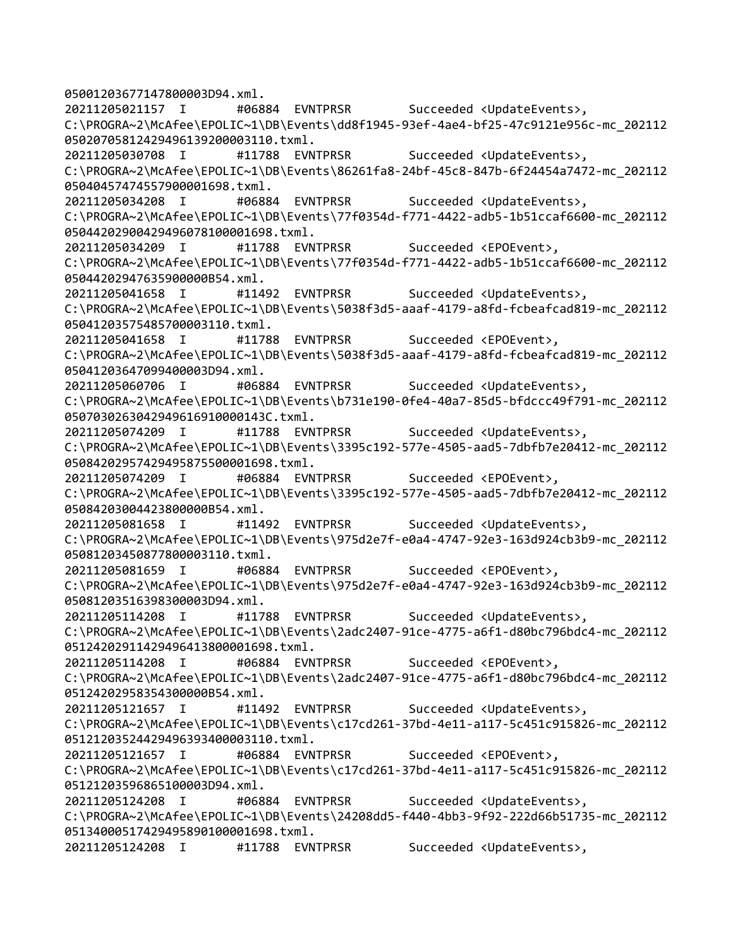05001203677147800003D94.xml. 20211205021157 I #06884 EVNTPRSR Succeeded <UpdateEvents>, C:\PROGRA~2\McAfee\EPOLIC~1\DB\Events\dd8f1945-93ef-4ae4-bf25-47c9121e956c-mc\_202112 05020705812429496139200003110.txml. 20211205030708 I #11788 EVNTPRSR Succeeded <UpdateEvents>, C:\PROGRA~2\McAfee\EPOLIC~1\DB\Events\86261fa8-24bf-45c8-847b-6f24454a7472-mc\_202112 05040457474557900001698.txml. 20211205034208 I #06884 EVNTPRSR Succeeded <UpdateEvents>, C:\PROGRA~2\McAfee\EPOLIC~1\DB\Events\77f0354d-f771-4422-adb5-1b51ccaf6600-mc\_202112 05044202900429496078100001698.txml. 20211205034209 I #11788 EVNTPRSR Succeeded <EPOEvent>, C:\PROGRA~2\McAfee\EPOLIC~1\DB\Events\77f0354d-f771-4422-adb5-1b51ccaf6600-mc\_202112 05044202947635900000B54.xml. 20211205041658 I #11492 EVNTPRSR Succeeded <UpdateEvents>, C:\PROGRA~2\McAfee\EPOLIC~1\DB\Events\5038f3d5-aaaf-4179-a8fd-fcbeafcad819-mc\_202112 05041203575485700003110.txml. 20211205041658 I #11788 EVNTPRSR Succeeded <EPOEvent>, C:\PROGRA~2\McAfee\EPOLIC~1\DB\Events\5038f3d5-aaaf-4179-a8fd-fcbeafcad819-mc\_202112 05041203647099400003D94.xml. 20211205060706 I #06884 EVNTPRSR Succeeded <UpdateEvents>, C:\PROGRA~2\McAfee\EPOLIC~1\DB\Events\b731e190-0fe4-40a7-85d5-bfdccc49f791-mc\_202112 0507030263042949616910000143C.txml. 20211205074209 I #11788 EVNTPRSR Succeeded <UpdateEvents>, C:\PROGRA~2\McAfee\EPOLIC~1\DB\Events\3395c192-577e-4505-aad5-7dbfb7e20412-mc\_202112 05084202957429495875500001698.txml. 20211205074209 I #06884 EVNTPRSR Succeeded <EPOEvent>, C:\PROGRA~2\McAfee\EPOLIC~1\DB\Events\3395c192-577e-4505-aad5-7dbfb7e20412-mc\_202112 05084203004423800000B54.xml. 20211205081658 I #11492 EVNTPRSR Succeeded <UpdateEvents>, C:\PROGRA~2\McAfee\EPOLIC~1\DB\Events\975d2e7f-e0a4-4747-92e3-163d924cb3b9-mc\_202112 05081203450877800003110.txml. 20211205081659 I #06884 EVNTPRSR Succeeded <EPOEvent>, C:\PROGRA~2\McAfee\EPOLIC~1\DB\Events\975d2e7f-e0a4-4747-92e3-163d924cb3b9-mc\_202112 05081203516398300003D94.xml. 20211205114208 I #11788 EVNTPRSR Succeeded <UpdateEvents>, C:\PROGRA~2\McAfee\EPOLIC~1\DB\Events\2adc2407-91ce-4775-a6f1-d80bc796bdc4-mc\_202112 05124202911429496413800001698.txml. 20211205114208 I #06884 EVNTPRSR Succeeded <EPOEvent>, C:\PROGRA~2\McAfee\EPOLIC~1\DB\Events\2adc2407-91ce-4775-a6f1-d80bc796bdc4-mc\_202112 05124202958354300000B54.xml. 20211205121657 I #11492 EVNTPRSR Succeeded <UpdateEvents>, C:\PROGRA~2\McAfee\EPOLIC~1\DB\Events\c17cd261-37bd-4e11-a117-5c451c915826-mc\_202112 05121203524429496393400003110.txml. 20211205121657 I #06884 EVNTPRSR Succeeded <EPOEvent>, C:\PROGRA~2\McAfee\EPOLIC~1\DB\Events\c17cd261-37bd-4e11-a117-5c451c915826-mc\_202112 05121203596865100003D94.xml. 20211205124208 I #06884 EVNTPRSR Succeeded <UpdateEvents>, C:\PROGRA~2\McAfee\EPOLIC~1\DB\Events\24208dd5-f440-4bb3-9f92-222d66b51735-mc\_202112 05134000517429495890100001698.txml. 20211205124208 I #11788 EVNTPRSR Succeeded <UpdateEvents>,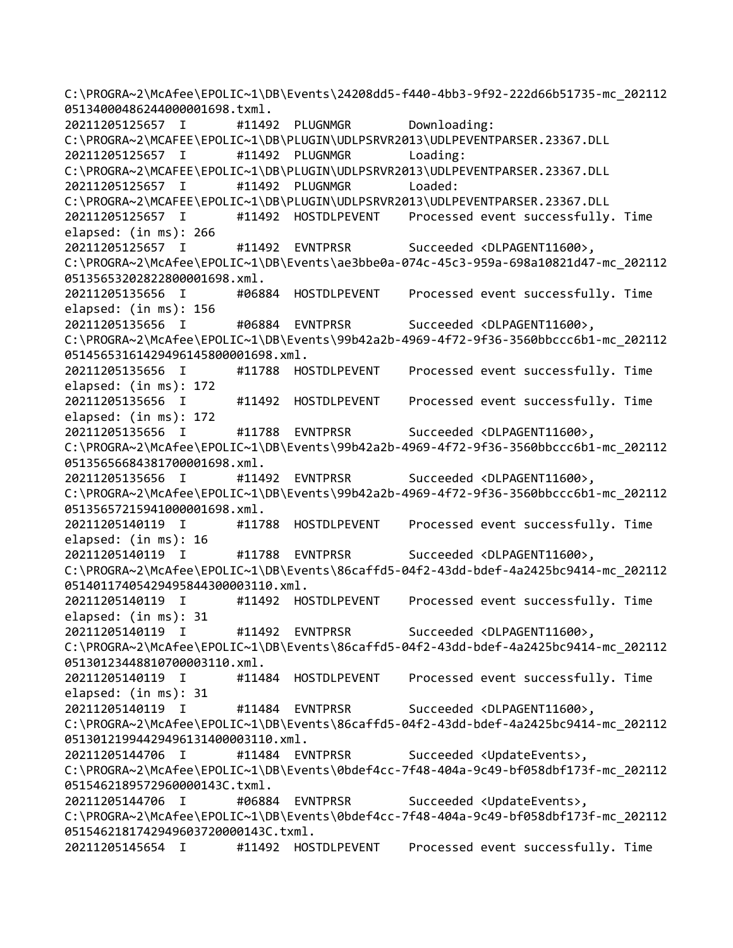C:\PROGRA~2\McAfee\EPOLIC~1\DB\Events\24208dd5-f440-4bb3-9f92-222d66b51735-mc\_202112 05134000486244000001698.txml. 20211205125657 I #11492 PLUGNMGR Downloading: C:\PROGRA~2\MCAFEE\EPOLIC~1\DB\PLUGIN\UDLPSRVR2013\UDLPEVENTPARSER.23367.DLL 20211205125657 I #11492 PLUGNMGR Loading: C:\PROGRA~2\MCAFEE\EPOLIC~1\DB\PLUGIN\UDLPSRVR2013\UDLPEVENTPARSER.23367.DLL 20211205125657 I #11492 PLUGNMGR Loaded: C:\PROGRA~2\MCAFEE\EPOLIC~1\DB\PLUGIN\UDLPSRVR2013\UDLPEVENTPARSER.23367.DLL 20211205125657 I #11492 HOSTDLPEVENT Processed event successfully. Time elapsed: (in ms): 266 20211205125657 I #11492 EVNTPRSR Succeeded <DLPAGENT11600>, C:\PROGRA~2\McAfee\EPOLIC~1\DB\Events\ae3bbe0a-074c-45c3-959a-698a10821d47-mc\_202112 05135653202822800001698.xml. 20211205135656 I #06884 HOSTDLPEVENT Processed event successfully. Time elapsed: (in ms): 156 20211205135656 I #06884 EVNTPRSR Succeeded <DLPAGENT11600>, C:\PROGRA~2\McAfee\EPOLIC~1\DB\Events\99b42a2b-4969-4f72-9f36-3560bbccc6b1-mc\_202112 05145653161429496145800001698.xml. 20211205135656 I #11788 HOSTDLPEVENT Processed event successfully. Time elapsed: (in ms): 172 20211205135656 I #11492 HOSTDLPEVENT Processed event successfully. Time elapsed: (in ms): 172 20211205135656 I #11788 EVNTPRSR Succeeded <DLPAGENT11600>, C:\PROGRA~2\McAfee\EPOLIC~1\DB\Events\99b42a2b-4969-4f72-9f36-3560bbccc6b1-mc\_202112 05135656684381700001698.xml. 20211205135656 I #11492 EVNTPRSR Succeeded <DLPAGENT11600>, C:\PROGRA~2\McAfee\EPOLIC~1\DB\Events\99b42a2b-4969-4f72-9f36-3560bbccc6b1-mc\_202112 05135657215941000001698.xml. 20211205140119 I #11788 HOSTDLPEVENT Processed event successfully. Time elapsed: (in ms): 16 20211205140119 I #11788 EVNTPRSR Succeeded <DLPAGENT11600>, C:\PROGRA~2\McAfee\EPOLIC~1\DB\Events\86caffd5-04f2-43dd-bdef-4a2425bc9414-mc\_202112 05140117405429495844300003110.xml. 20211205140119 I #11492 HOSTDLPEVENT Processed event successfully. Time elapsed: (in ms): 31 20211205140119 I #11492 EVNTPRSR Succeeded <DLPAGENT11600>, C:\PROGRA~2\McAfee\EPOLIC~1\DB\Events\86caffd5-04f2-43dd-bdef-4a2425bc9414-mc\_202112 05130123448810700003110.xml. 20211205140119 I #11484 HOSTDLPEVENT Processed event successfully. Time elapsed: (in ms): 31 20211205140119 I #11484 EVNTPRSR Succeeded <DLPAGENT11600>, C:\PROGRA~2\McAfee\EPOLIC~1\DB\Events\86caffd5-04f2-43dd-bdef-4a2425bc9414-mc\_202112 05130121994429496131400003110.xml. 20211205144706 I #11484 EVNTPRSR Succeeded <UpdateEvents>, C:\PROGRA~2\McAfee\EPOLIC~1\DB\Events\0bdef4cc-7f48-404a-9c49-bf058dbf173f-mc\_202112 0515462189572960000143C.txml. 20211205144706 I #06884 EVNTPRSR Succeeded <UpdateEvents>, C:\PROGRA~2\McAfee\EPOLIC~1\DB\Events\0bdef4cc-7f48-404a-9c49-bf058dbf173f-mc\_202112 0515462181742949603720000143C.txml. 20211205145654 I #11492 HOSTDLPEVENT Processed event successfully. Time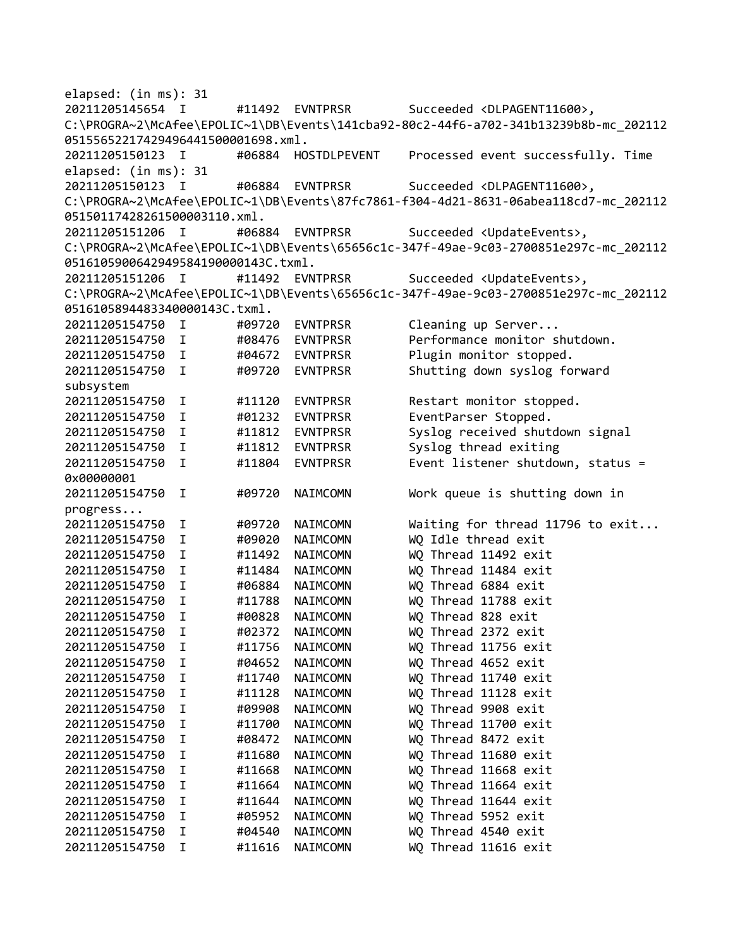elapsed: (in ms): 31 20211205145654 I #11492 EVNTPRSR Succeeded <DLPAGENT11600>, C:\PROGRA~2\McAfee\EPOLIC~1\DB\Events\141cba92-80c2-44f6-a702-341b13239b8b-mc\_202112 05155652217429496441500001698.xml. 20211205150123 I #06884 HOSTDLPEVENT Processed event successfully. Time elapsed: (in ms): 31 20211205150123 I #06884 EVNTPRSR Succeeded <DLPAGENT11600>, C:\PROGRA~2\McAfee\EPOLIC~1\DB\Events\87fc7861-f304-4d21-8631-06abea118cd7-mc\_202112 05150117428261500003110.xml. 20211205151206 I #06884 EVNTPRSR Succeeded <UpdateEvents>, C:\PROGRA~2\McAfee\EPOLIC~1\DB\Events\65656c1c-347f-49ae-9c03-2700851e297c-mc\_202112 0516105900642949584190000143C.txml. 20211205151206 I #11492 EVNTPRSR Succeeded <UpdateEvents>, C:\PROGRA~2\McAfee\EPOLIC~1\DB\Events\65656c1c-347f-49ae-9c03-2700851e297c-mc\_202112 0516105894483340000143C.txml. 20211205154750 I #09720 EVNTPRSR Cleaning up Server... 20211205154750 I #08476 EVNTPRSR Performance monitor shutdown. 20211205154750 I #04672 EVNTPRSR Plugin monitor stopped. 20211205154750 I #09720 EVNTPRSR Shutting down syslog forward subsystem 20211205154750 I #11120 EVNTPRSR Restart monitor stopped. 20211205154750 I #01232 EVNTPRSR EventParser Stopped. 20211205154750 I #11812 EVNTPRSR Syslog received shutdown signal 20211205154750 I #11812 EVNTPRSR Syslog thread exiting 20211205154750 I #11804 EVNTPRSR Event listener shutdown, status = 0x00000001 20211205154750 I #09720 NAIMCOMN Work queue is shutting down in progress... 20211205154750 I #09720 NAIMCOMN Waiting for thread 11796 to exit... 20211205154750 I #09020 NAIMCOMN WQ Idle thread exit 20211205154750 I #11492 NAIMCOMN WQ Thread 11492 exit 20211205154750 I #11484 NAIMCOMN WQ Thread 11484 exit 20211205154750 I #06884 NAIMCOMN WQ Thread 6884 exit 20211205154750 I #11788 NAIMCOMN WQ Thread 11788 exit 20211205154750 I #00828 NAIMCOMN WQ Thread 828 exit 20211205154750 I #02372 NAIMCOMN WQ Thread 2372 exit 20211205154750 I #11756 NAIMCOMN WQ Thread 11756 exit 20211205154750 I #04652 NAIMCOMN WQ Thread 4652 exit 20211205154750 I #11740 NAIMCOMN WQ Thread 11740 exit 20211205154750 I #11128 NAIMCOMN WQ Thread 11128 exit 20211205154750 I #09908 NAIMCOMN WQ Thread 9908 exit 20211205154750 I #11700 NAIMCOMN WQ Thread 11700 exit 20211205154750 I #08472 NAIMCOMN WQ Thread 8472 exit 20211205154750 I #11680 NAIMCOMN WQ Thread 11680 exit 20211205154750 I #11668 NAIMCOMN WQ Thread 11668 exit 20211205154750 I #11664 NAIMCOMN WQ Thread 11664 exit 20211205154750 I #11644 NAIMCOMN WQ Thread 11644 exit I #05952 NAIMCOMN WQ Thread 5952 exit 20211205154750 I #04540 NAIMCOMN WQ Thread 4540 exit 20211205154750 I #11616 NAIMCOMN WQ Thread 11616 exit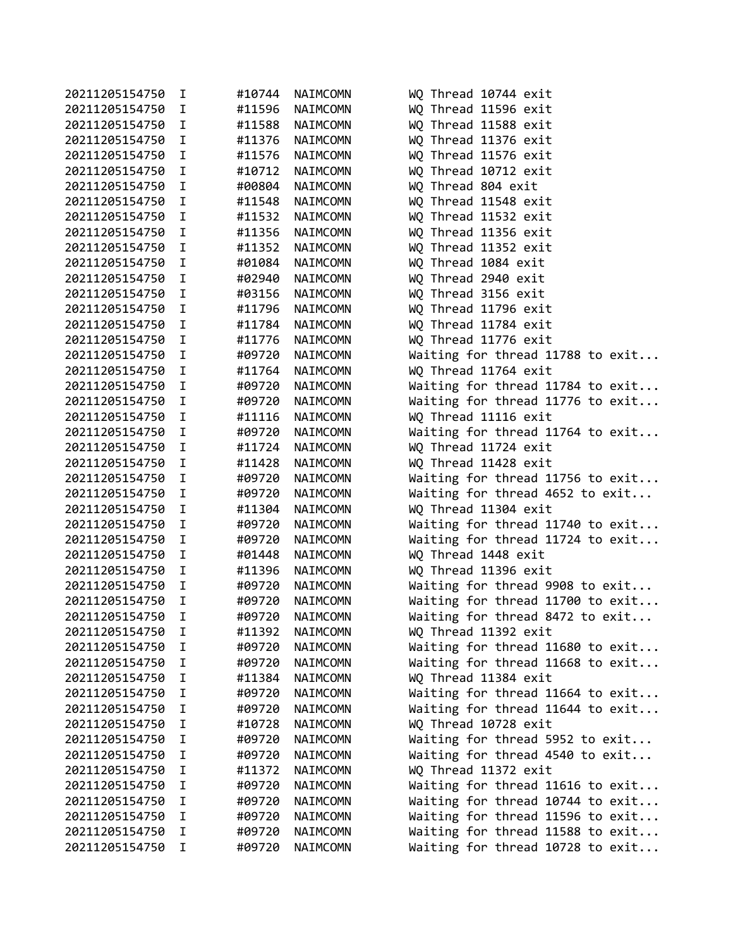| 20211205154750 | I           | #10744 | NAIMCOMN | WQ Thread 10744 exit             |
|----------------|-------------|--------|----------|----------------------------------|
| 20211205154750 | I           | #11596 | NAIMCOMN | WQ Thread 11596 exit             |
| 20211205154750 | I.          | #11588 | NAIMCOMN | WQ Thread 11588 exit             |
| 20211205154750 | I           | #11376 | NAIMCOMN | WQ Thread 11376 exit             |
| 20211205154750 | $\mathbf I$ | #11576 | NAIMCOMN | WQ Thread 11576 exit             |
| 20211205154750 | I           | #10712 | NAIMCOMN | WQ Thread 10712 exit             |
| 20211205154750 | I.          | #00804 | NAIMCOMN | WQ Thread 804 exit               |
| 20211205154750 | I           | #11548 | NAIMCOMN | WQ Thread 11548 exit             |
| 20211205154750 | I           | #11532 | NAIMCOMN | WQ Thread 11532 exit             |
| 20211205154750 | I           | #11356 | NAIMCOMN | WQ Thread 11356 exit             |
| 20211205154750 | I           | #11352 | NAIMCOMN | WQ Thread 11352 exit             |
| 20211205154750 | $\mathbf I$ | #01084 | NAIMCOMN | WQ Thread 1084 exit              |
| 20211205154750 | I           | #02940 | NAIMCOMN | WQ Thread 2940 exit              |
| 20211205154750 | I.          | #03156 | NAIMCOMN | WQ Thread 3156 exit              |
| 20211205154750 | I.          | #11796 | NAIMCOMN | WQ Thread 11796 exit             |
| 20211205154750 | I.          | #11784 | NAIMCOMN | WQ Thread 11784 exit             |
| 20211205154750 | I.          | #11776 | NAIMCOMN | WQ Thread 11776 exit             |
| 20211205154750 | I           | #09720 | NAIMCOMN | Waiting for thread 11788 to exit |
| 20211205154750 | I           | #11764 | NAIMCOMN | WQ Thread 11764 exit             |
| 20211205154750 | I           | #09720 | NAIMCOMN | Waiting for thread 11784 to exit |
| 20211205154750 | I.          | #09720 | NAIMCOMN | Waiting for thread 11776 to exit |
| 20211205154750 | I           | #11116 | NAIMCOMN | WQ Thread 11116 exit             |
| 20211205154750 | I           | #09720 | NAIMCOMN | Waiting for thread 11764 to exit |
| 20211205154750 | I           | #11724 | NAIMCOMN | WQ Thread 11724 exit             |
| 20211205154750 | I           | #11428 | NAIMCOMN | WQ Thread 11428 exit             |
| 20211205154750 | I           | #09720 | NAIMCOMN | Waiting for thread 11756 to exit |
| 20211205154750 | I           | #09720 | NAIMCOMN | Waiting for thread 4652 to exit  |
| 20211205154750 | I           | #11304 | NAIMCOMN | WQ Thread 11304 exit             |
| 20211205154750 | I.          | #09720 | NAIMCOMN | Waiting for thread 11740 to exit |
| 20211205154750 | I           | #09720 | NAIMCOMN | Waiting for thread 11724 to exit |
| 20211205154750 | I.          | #01448 | NAIMCOMN | WQ Thread 1448 exit              |
| 20211205154750 | I.          | #11396 | NAIMCOMN | WQ Thread 11396 exit             |
| 20211205154750 | I           | #09720 | NAIMCOMN | Waiting for thread 9908 to exit  |
| 20211205154750 | $\mathbf I$ | #09720 | NAIMCOMN | Waiting for thread 11700 to exit |
| 20211205154750 | I           | #09720 | NAIMCOMN | Waiting for thread 8472 to exit  |
| 20211205154750 | I           | #11392 | NAIMCOMN | WQ Thread 11392 exit             |
| 20211205154750 | I           | #09720 | NAIMCOMN | Waiting for thread 11680 to exit |
| 20211205154750 | I           | #09720 | NAIMCOMN | Waiting for thread 11668 to exit |
| 20211205154750 | I           | #11384 | NAIMCOMN | WQ Thread 11384 exit             |
| 20211205154750 | I           | #09720 | NAIMCOMN | Waiting for thread 11664 to exit |
| 20211205154750 | I           | #09720 | NAIMCOMN | Waiting for thread 11644 to exit |
| 20211205154750 | I           | #10728 | NAIMCOMN | WQ Thread 10728 exit             |
| 20211205154750 | Ι           | #09720 | NAIMCOMN | Waiting for thread 5952 to exit  |
| 20211205154750 | I           | #09720 | NAIMCOMN | Waiting for thread 4540 to exit  |
| 20211205154750 | I           | #11372 | NAIMCOMN | WQ Thread 11372 exit             |
| 20211205154750 | I           | #09720 | NAIMCOMN | Waiting for thread 11616 to exit |
| 20211205154750 | Ι           | #09720 | NAIMCOMN | Waiting for thread 10744 to exit |
| 20211205154750 | I           | #09720 | NAIMCOMN | Waiting for thread 11596 to exit |
| 20211205154750 | Ι           | #09720 | NAIMCOMN | Waiting for thread 11588 to exit |
| 20211205154750 | I           | #09720 | NAIMCOMN | Waiting for thread 10728 to exit |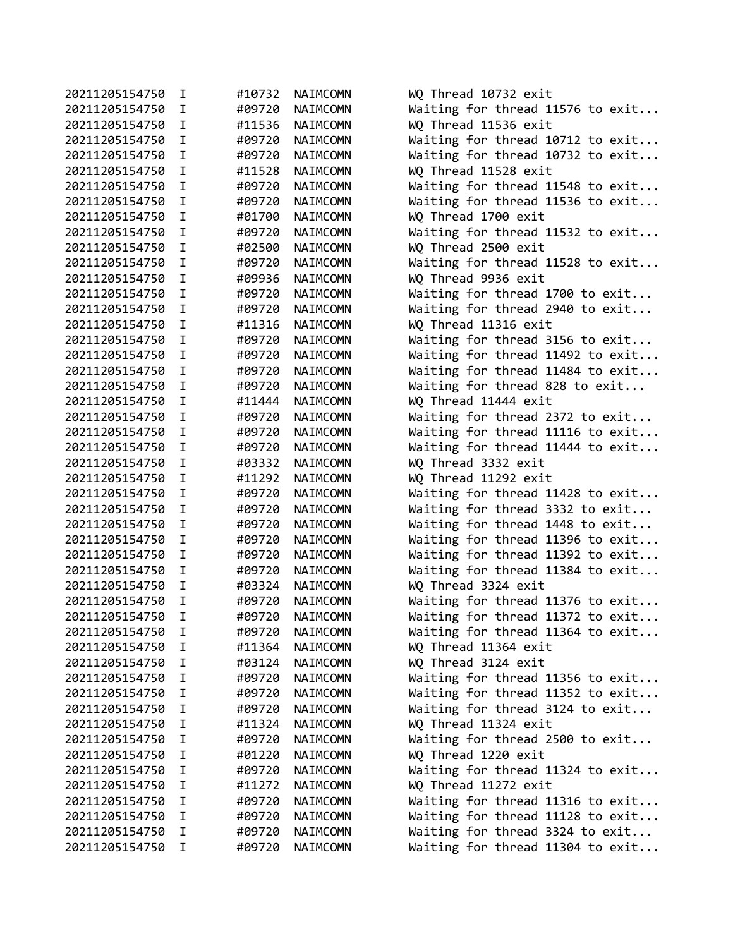| 20211205154750                   | I.          | #10732           | NAIMCOMN | WQ Thread 10732 exit                                                 |
|----------------------------------|-------------|------------------|----------|----------------------------------------------------------------------|
| 20211205154750                   | I.          | #09720           | NAIMCOMN | Waiting for thread 11576 to exit                                     |
| 20211205154750                   | I.          | #11536           | NAIMCOMN | WQ Thread 11536 exit                                                 |
| 20211205154750                   | $\mathbf I$ | #09720           | NAIMCOMN | Waiting for thread 10712 to exit                                     |
| 20211205154750                   | $\mathbf I$ | #09720           | NAIMCOMN | Waiting for thread 10732 to exit                                     |
| 20211205154750                   | $\mathbf I$ | #11528           | NAIMCOMN | WQ Thread 11528 exit                                                 |
| 20211205154750                   | I.          | #09720           | NAIMCOMN | Waiting for thread 11548 to exit                                     |
| 20211205154750                   | I.          | #09720           | NAIMCOMN | Waiting for thread 11536 to exit                                     |
| 20211205154750                   | I.          | #01700           | NAIMCOMN | WQ Thread 1700 exit                                                  |
| 20211205154750                   | I.          | #09720           | NAIMCOMN | Waiting for thread 11532 to exit                                     |
| 20211205154750                   | I.          | #02500           | NAIMCOMN | WQ Thread 2500 exit                                                  |
| 20211205154750                   | $\mathbf I$ | #09720           | NAIMCOMN | Waiting for thread 11528 to exit                                     |
| 20211205154750                   | $\mathbf I$ | #09936           | NAIMCOMN | WQ Thread 9936 exit                                                  |
| 20211205154750                   | I.          | #09720           | NAIMCOMN | Waiting for thread 1700 to exit                                      |
| 20211205154750                   | I.          | #09720           | NAIMCOMN | Waiting for thread 2940 to exit                                      |
| 20211205154750                   | I.          | #11316           | NAIMCOMN | WQ Thread 11316 exit                                                 |
| 20211205154750                   | $\mathbf I$ | #09720           | NAIMCOMN | Waiting for thread 3156 to exit                                      |
| 20211205154750                   | T.          | #09720           | NAIMCOMN | Waiting for thread 11492 to exit                                     |
| 20211205154750                   | $\mathbf I$ | #09720           | NAIMCOMN | Waiting for thread 11484 to exit                                     |
| 20211205154750                   | $\mathbf I$ | #09720           | NAIMCOMN | Waiting for thread 828 to exit                                       |
| 20211205154750                   | T.          | #11444           | NAIMCOMN | WQ Thread 11444 exit                                                 |
| 20211205154750                   | I.          | #09720           | NAIMCOMN | Waiting for thread 2372 to exit                                      |
| 20211205154750                   | I.          | #09720           | NAIMCOMN | Waiting for thread 11116 to exit                                     |
| 20211205154750                   | $\mathbf I$ | #09720           | NAIMCOMN | Waiting for thread 11444 to exit                                     |
| 20211205154750                   | I.          | #03332           | NAIMCOMN | WQ Thread 3332 exit                                                  |
| 20211205154750                   | $\mathbf I$ | #11292           | NAIMCOMN | WQ Thread 11292 exit                                                 |
| 20211205154750                   | $\mathbf I$ | #09720           | NAIMCOMN | Waiting for thread 11428 to exit                                     |
| 20211205154750                   | I.          | #09720           | NAIMCOMN | Waiting for thread 3332 to exit                                      |
| 20211205154750                   | I           | #09720           | NAIMCOMN | Waiting for thread 1448 to exit                                      |
| 20211205154750                   | I.          | #09720           | NAIMCOMN | Waiting for thread 11396 to exit                                     |
| 20211205154750                   | I           |                  |          |                                                                      |
|                                  | I           | #09720<br>#09720 | NAIMCOMN | Waiting for thread 11392 to exit<br>Waiting for thread 11384 to exit |
| 20211205154750<br>20211205154750 | $\mathbf I$ |                  | NAIMCOMN |                                                                      |
|                                  | $\mathbf I$ | #03324           | NAIMCOMN | WQ Thread 3324 exit                                                  |
| 20211205154750                   | I           | #09720           | NAIMCOMN | Waiting for thread 11376 to exit                                     |
| 20211205154750                   |             | #09720           | NAIMCOMN | Waiting for thread 11372 to exit                                     |
| 20211205154750                   | I           | #09720           | NAIMCOMN | Waiting for thread 11364 to exit                                     |
| 20211205154750                   | I.          | #11364           | NAIMCOMN | WQ Thread 11364 exit                                                 |
| 20211205154750                   | I.          | #03124           | NAIMCOMN | WQ Thread 3124 exit                                                  |
| 20211205154750                   | I.          | #09720           | NAIMCOMN | Waiting for thread 11356 to exit                                     |
| 20211205154750                   | I           | #09720           | NAIMCOMN | Waiting for thread 11352 to exit                                     |
| 20211205154750                   | I           | #09720           | NAIMCOMN | Waiting for thread 3124 to exit                                      |
| 20211205154750                   | I.          | #11324           | NAIMCOMN | WQ Thread 11324 exit                                                 |
| 20211205154750                   | I.          | #09720           | NAIMCOMN | Waiting for thread 2500 to exit                                      |
| 20211205154750                   | I.          | #01220           | NAIMCOMN | WQ Thread 1220 exit                                                  |
| 20211205154750                   | I.          | #09720           | NAIMCOMN | Waiting for thread 11324 to exit                                     |
| 20211205154750                   | I.          | #11272           | NAIMCOMN | WQ Thread 11272 exit                                                 |
| 20211205154750                   | I           | #09720           | NAIMCOMN | Waiting for thread 11316 to exit                                     |
| 20211205154750                   | I           | #09720           | NAIMCOMN | Waiting for thread 11128 to exit                                     |
| 20211205154750                   | I.          | #09720           | NAIMCOMN | Waiting for thread 3324 to exit                                      |
| 20211205154750                   | I           | #09720           | NAIMCOMN | Waiting for thread 11304 to exit                                     |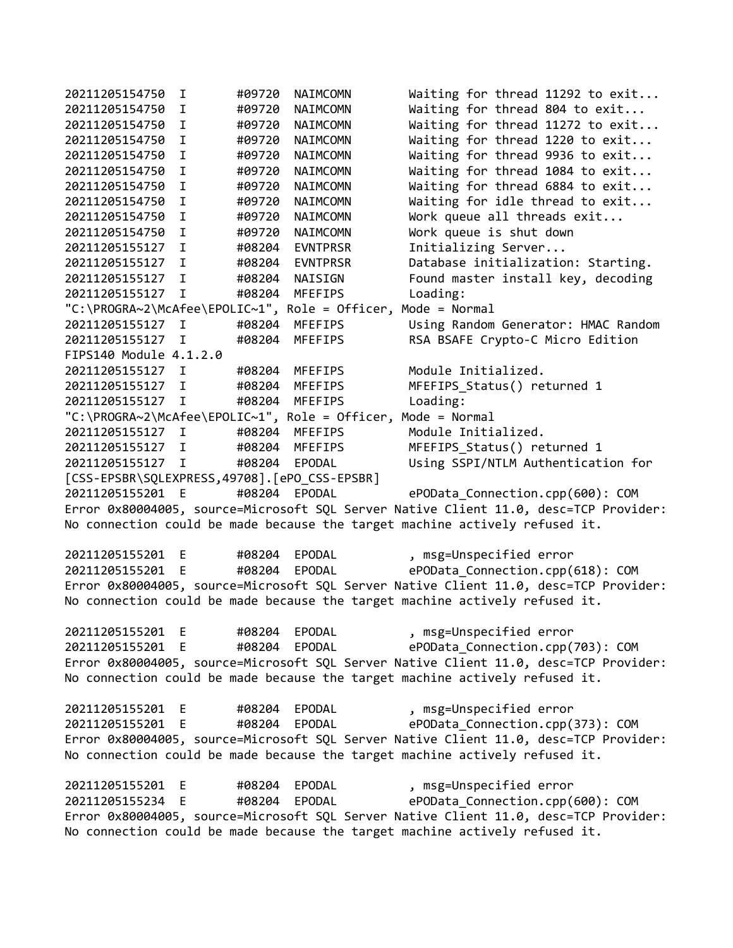20211205154750 I #09720 NAIMCOMN Waiting for thread 11292 to exit... 20211205154750 I #09720 NAIMCOMN Waiting for thread 804 to exit... 20211205154750 I #09720 NAIMCOMN Waiting for thread 11272 to exit... 20211205154750 I #09720 NAIMCOMN Waiting for thread 1220 to exit... 20211205154750 I #09720 NAIMCOMN Waiting for thread 9936 to exit... 20211205154750 I #09720 NAIMCOMN Waiting for thread 1084 to exit... 20211205154750 I #09720 NAIMCOMN Waiting for thread 6884 to exit... 20211205154750 I #09720 NAIMCOMN Waiting for idle thread to exit... 20211205154750 I #09720 NAIMCOMN Work queue all threads exit... 20211205154750 I #09720 NAIMCOMN Work queue is shut down 20211205155127 I #08204 EVNTPRSR Initializing Server... 20211205155127 I #08204 EVNTPRSR Database initialization: Starting. 20211205155127 I #08204 NAISIGN Found master install key, decoding 20211205155127 I #08204 MFEFIPS Loading: "C:\PROGRA~2\McAfee\EPOLIC~1", Role = Officer, Mode = Normal 20211205155127 I #08204 MFEFIPS Using Random Generator: HMAC Random 20211205155127 I #08204 MFEFIPS RSA BSAFE Crypto-C Micro Edition FIPS140 Module 4.1.2.0 20211205155127 I #08204 MFEFIPS Module Initialized. 20211205155127 I #08204 MFEFIPS MFEFIPS\_Status() returned 1 20211205155127 I #08204 MFEFIPS Loading: "C:\PROGRA~2\McAfee\EPOLIC~1", Role = Officer, Mode = Normal 20211205155127 I #08204 MFEFIPS Module Initialized. 20211205155127 I #08204 MFEFIPS MFEFIPS\_Status() returned 1 20211205155127 I #08204 EPODAL Using SSPI/NTLM Authentication for [CSS-EPSBR\SQLEXPRESS,49708].[ePO\_CSS-EPSBR] 20211205155201 E #08204 EPODAL ePOData\_Connection.cpp(600): COM Error 0x80004005, source=Microsoft SQL Server Native Client 11.0, desc=TCP Provider: No connection could be made because the target machine actively refused it. 20211205155201 E #08204 EPODAL , msg=Unspecified error 20211205155201 E #08204 EPODAL ePOData\_Connection.cpp(618): COM Error 0x80004005, source=Microsoft SQL Server Native Client 11.0, desc=TCP Provider: No connection could be made because the target machine actively refused it. 20211205155201 E #08204 EPODAL , msg=Unspecified error 20211205155201 E #08204 EPODAL ePOData\_Connection.cpp(703): COM Error 0x80004005, source=Microsoft SQL Server Native Client 11.0, desc=TCP Provider: No connection could be made because the target machine actively refused it. 20211205155201 E #08204 EPODAL , msg=Unspecified error 20211205155201 E #08204 EPODAL ePOData\_Connection.cpp(373): COM Error 0x80004005, source=Microsoft SQL Server Native Client 11.0, desc=TCP Provider: No connection could be made because the target machine actively refused it. 20211205155201 E #08204 EPODAL , msg=Unspecified error 20211205155234 E #08204 EPODAL ePOData\_Connection.cpp(600): COM Error 0x80004005, source=Microsoft SQL Server Native Client 11.0, desc=TCP Provider: No connection could be made because the target machine actively refused it.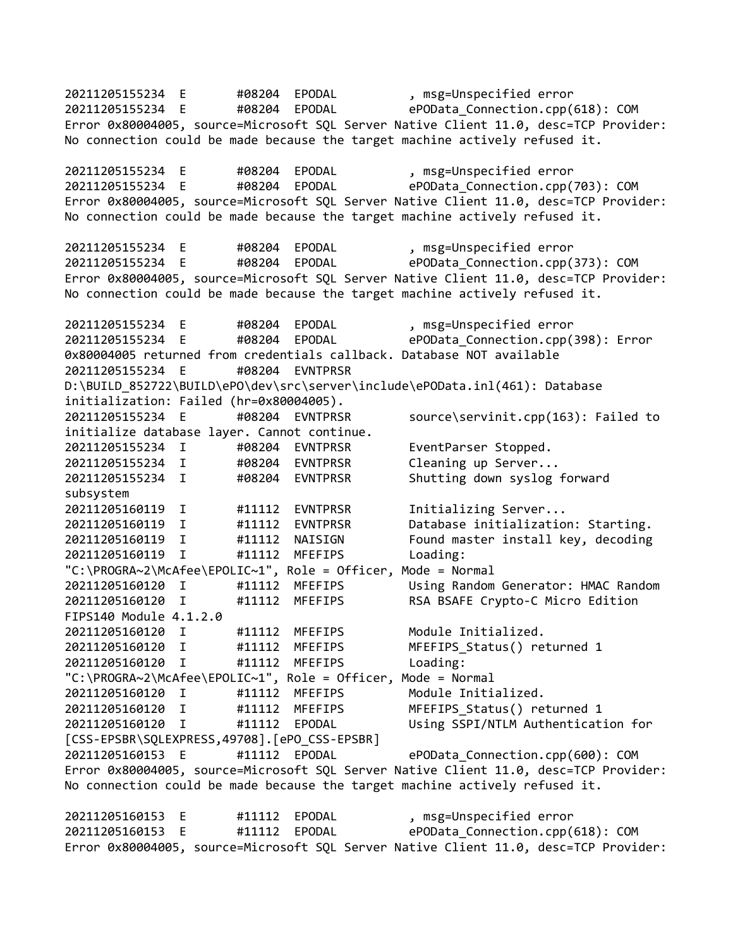20211205155234 E #08204 EPODAL , msg=Unspecified error 20211205155234 E #08204 EPODAL ePOData\_Connection.cpp(618): COM Error 0x80004005, source=Microsoft SQL Server Native Client 11.0, desc=TCP Provider: No connection could be made because the target machine actively refused it. 20211205155234 E #08204 EPODAL , msg=Unspecified error 20211205155234 E #08204 EPODAL ePOData\_Connection.cpp(703): COM Error 0x80004005, source=Microsoft SQL Server Native Client 11.0, desc=TCP Provider: No connection could be made because the target machine actively refused it. 20211205155234 E #08204 EPODAL , msg=Unspecified error 20211205155234 E #08204 EPODAL ePOData\_Connection.cpp(373): COM Error 0x80004005, source=Microsoft SQL Server Native Client 11.0, desc=TCP Provider: No connection could be made because the target machine actively refused it. 20211205155234 E #08204 EPODAL , msg=Unspecified error 20211205155234 E #08204 EPODAL ePOData\_Connection.cpp(398): Error 0x80004005 returned from credentials callback. Database NOT available 20211205155234 E #08204 EVNTPRSR D:\BUILD\_852722\BUILD\ePO\dev\src\server\include\ePOData.inl(461): Database initialization: Failed (hr=0x80004005). 20211205155234 E #08204 EVNTPRSR source\servinit.cpp(163): Failed to initialize database layer. Cannot continue. 20211205155234 I #08204 EVNTPRSR EventParser Stopped. 20211205155234 I #08204 EVNTPRSR Cleaning up Server... 20211205155234 I #08204 EVNTPRSR Shutting down syslog forward subsystem 20211205160119 I #11112 EVNTPRSR Initializing Server... 20211205160119 I #11112 EVNTPRSR Database initialization: Starting. 20211205160119 I #11112 NAISIGN Found master install key, decoding 20211205160119 I #11112 MFEFIPS Loading: "C:\PROGRA~2\McAfee\EPOLIC~1", Role = Officer, Mode = Normal 20211205160120 I #11112 MFEFIPS Using Random Generator: HMAC Random 20211205160120 I #11112 MFEFIPS RSA BSAFE Crypto-C Micro Edition FIPS140 Module 4.1.2.0 20211205160120 I #11112 MFEFIPS Module Initialized. 20211205160120 I #11112 MFEFIPS MFEFIPS\_Status() returned 1 20211205160120 I #11112 MFEFIPS Loading: "C:\PROGRA~2\McAfee\EPOLIC~1", Role = Officer, Mode = Normal 20211205160120 I #11112 MFEFIPS Module Initialized. 20211205160120 I #11112 MFEFIPS MFEFIPS\_Status() returned 1 20211205160120 I #11112 EPODAL Using SSPI/NTLM Authentication for [CSS-EPSBR\SQLEXPRESS,49708].[ePO\_CSS-EPSBR] 20211205160153 E #11112 EPODAL ePOData\_Connection.cpp(600): COM Error 0x80004005, source=Microsoft SQL Server Native Client 11.0, desc=TCP Provider: No connection could be made because the target machine actively refused it. 20211205160153 E #11112 EPODAL , msg=Unspecified error 20211205160153 E #11112 EPODAL ePOData\_Connection.cpp(618): COM Error 0x80004005, source=Microsoft SQL Server Native Client 11.0, desc=TCP Provider: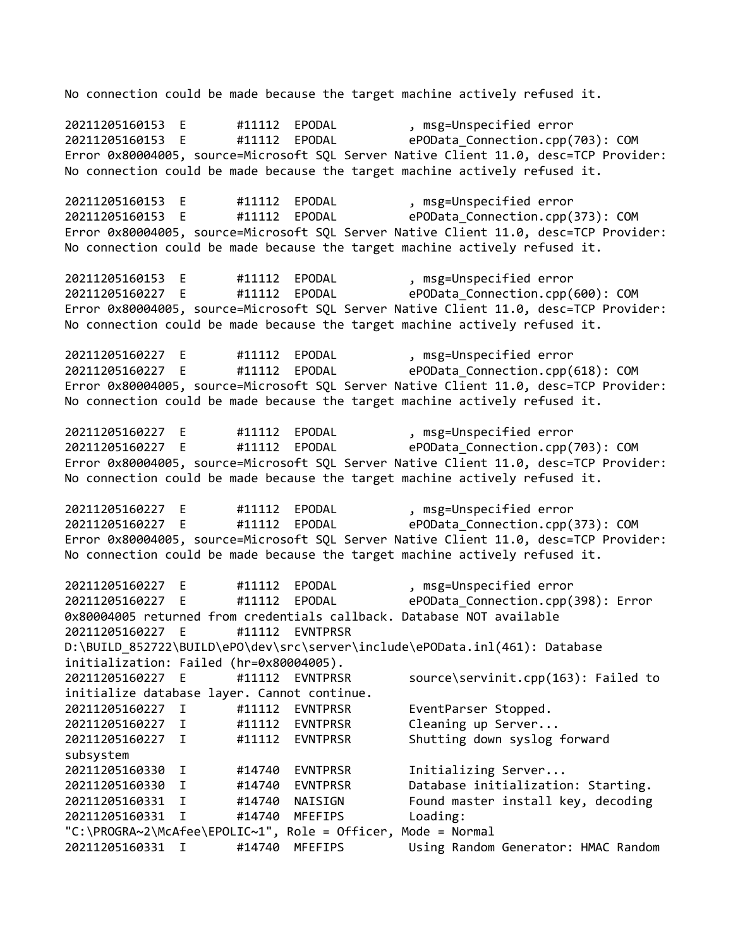No connection could be made because the target machine actively refused it. 20211205160153 E #11112 EPODAL , msg=Unspecified error 20211205160153 E #11112 EPODAL ePOData\_Connection.cpp(703): COM Error 0x80004005, source=Microsoft SQL Server Native Client 11.0, desc=TCP Provider: No connection could be made because the target machine actively refused it. 20211205160153 E #11112 EPODAL , msg=Unspecified error 20211205160153 E #11112 EPODAL ePOData\_Connection.cpp(373): COM Error 0x80004005, source=Microsoft SQL Server Native Client 11.0, desc=TCP Provider: No connection could be made because the target machine actively refused it. 20211205160153 E #11112 EPODAL , msg=Unspecified error 20211205160227 E #11112 EPODAL ePOData\_Connection.cpp(600): COM Error 0x80004005, source=Microsoft SQL Server Native Client 11.0, desc=TCP Provider: No connection could be made because the target machine actively refused it. 20211205160227 E #11112 EPODAL , msg=Unspecified error 20211205160227 E #11112 EPODAL ePOData\_Connection.cpp(618): COM Error 0x80004005, source=Microsoft SQL Server Native Client 11.0, desc=TCP Provider: No connection could be made because the target machine actively refused it. 20211205160227 E #11112 EPODAL , msg=Unspecified error<br>20211205160227 E #11112 EPODAL ePOData Connection.cpp( 20211205160227 E #11112 EPODAL ePOData\_Connection.cpp(703): COM Error 0x80004005, source=Microsoft SQL Server Native Client 11.0, desc=TCP Provider: No connection could be made because the target machine actively refused it. 20211205160227 E #11112 EPODAL , msg=Unspecified error 20211205160227 E #11112 EPODAL ePOData\_Connection.cpp(373): COM Error 0x80004005, source=Microsoft SQL Server Native Client 11.0, desc=TCP Provider: No connection could be made because the target machine actively refused it. 20211205160227 E #11112 EPODAL , msg=Unspecified error 20211205160227 E #11112 EPODAL ePOData\_Connection.cpp(398): Error 0x80004005 returned from credentials callback. Database NOT available 20211205160227 E #11112 EVNTPRSR D:\BUILD\_852722\BUILD\ePO\dev\src\server\include\ePOData.inl(461): Database initialization: Failed (hr=0x80004005). 20211205160227 E #11112 EVNTPRSR source\servinit.cpp(163): Failed to initialize database layer. Cannot continue. 20211205160227 I #11112 EVNTPRSR EventParser Stopped. 20211205160227 I #11112 EVNTPRSR Cleaning up Server... 20211205160227 I #11112 EVNTPRSR Shutting down syslog forward subsystem 20211205160330 I #14740 EVNTPRSR Initializing Server... 20211205160330 I #14740 EVNTPRSR Database initialization: Starting. 20211205160331 I #14740 NAISIGN Found master install key, decoding 20211205160331 I #14740 MFEFIPS Loading: "C:\PROGRA~2\McAfee\EPOLIC~1", Role = Officer, Mode = Normal 20211205160331 I #14740 MFEFIPS Using Random Generator: HMAC Random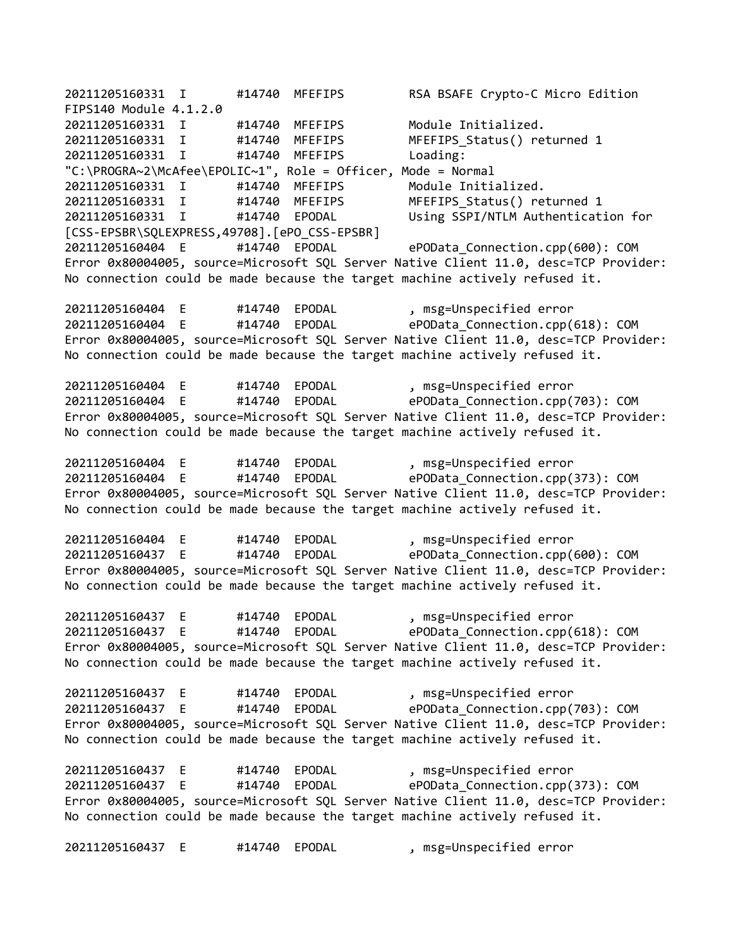20211205160331 I #14740 MFEFIPS RSA BSAFE Crypto-C Micro Edition FIPS140 Module 4.1.2.0 20211205160331 I #14740 MFEFIPS Module Initialized. 20211205160331 I #14740 MFEFIPS MFEFIPS\_Status() returned 1 20211205160331 I #14740 MFEFIPS Loading: "C:\PROGRA~2\McAfee\EPOLIC~1", Role = Officer, Mode = Normal 20211205160331 I #14740 MFEFIPS Module Initialized. 20211205160331 I #14740 MFEFIPS MFEFIPS\_Status() returned 1 20211205160331 I #14740 EPODAL Using SSPI/NTLM Authentication for [CSS-EPSBR\SQLEXPRESS,49708].[ePO\_CSS-EPSBR] 20211205160404 E #14740 EPODAL ePOData\_Connection.cpp(600): COM Error 0x80004005, source=Microsoft SQL Server Native Client 11.0, desc=TCP Provider: No connection could be made because the target machine actively refused it. 20211205160404 E #14740 EPODAL , msg=Unspecified error 20211205160404 E #14740 EPODAL ePOData\_Connection.cpp(618): COM Error 0x80004005, source=Microsoft SQL Server Native Client 11.0, desc=TCP Provider: No connection could be made because the target machine actively refused it. 20211205160404 E #14740 EPODAL , msg=Unspecified error 20211205160404 E #14740 EPODAL ePOData\_Connection.cpp(703): COM Error 0x80004005, source=Microsoft SQL Server Native Client 11.0, desc=TCP Provider: No connection could be made because the target machine actively refused it. 20211205160404 E #14740 EPODAL , msg=Unspecified error 20211205160404 E #14740 EPODAL ePOData\_Connection.cpp(373): COM Error 0x80004005, source=Microsoft SQL Server Native Client 11.0, desc=TCP Provider: No connection could be made because the target machine actively refused it. 20211205160404 E #14740 EPODAL , msg=Unspecified error 20211205160437 E #14740 EPODAL ePOData\_Connection.cpp(600): COM Error 0x80004005, source=Microsoft SQL Server Native Client 11.0, desc=TCP Provider: No connection could be made because the target machine actively refused it. 20211205160437 E #14740 EPODAL , msg=Unspecified error 20211205160437 E #14740 EPODAL ePOData\_Connection.cpp(618): COM Error 0x80004005, source=Microsoft SQL Server Native Client 11.0, desc=TCP Provider: No connection could be made because the target machine actively refused it. 20211205160437 E #14740 EPODAL , msg=Unspecified error 20211205160437 E #14740 EPODAL ePOData\_Connection.cpp(703): COM Error 0x80004005, source=Microsoft SQL Server Native Client 11.0, desc=TCP Provider: No connection could be made because the target machine actively refused it. 20211205160437 E #14740 EPODAL , msg=Unspecified error 20211205160437 E #14740 EPODAL ePOData\_Connection.cpp(373): COM Error 0x80004005, source=Microsoft SQL Server Native Client 11.0, desc=TCP Provider: No connection could be made because the target machine actively refused it. 20211205160437 E #14740 EPODAL , msg=Unspecified error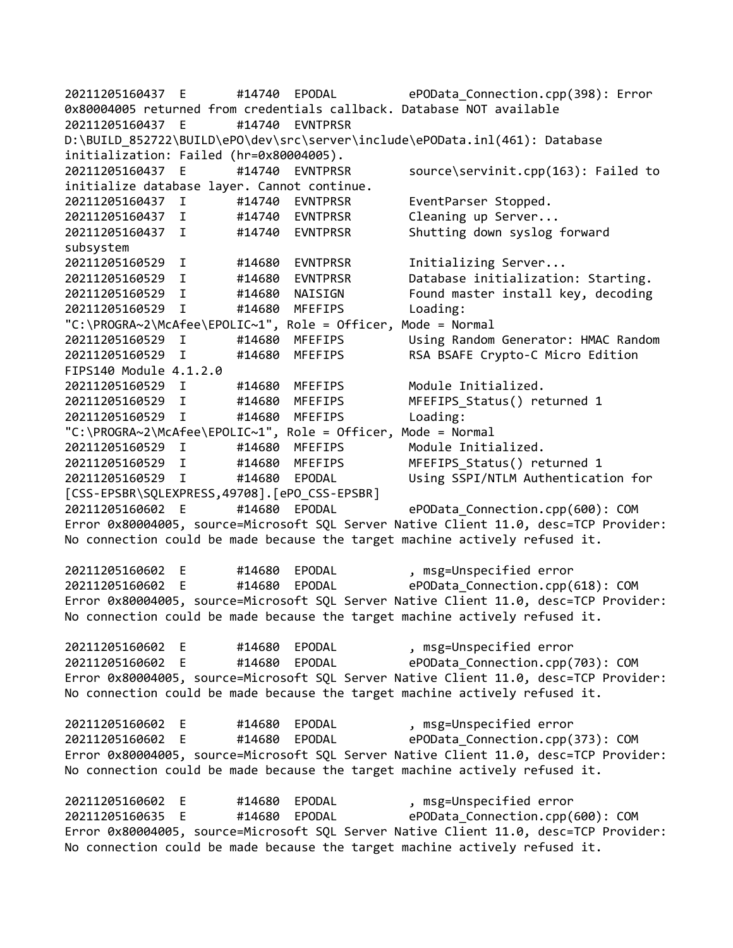20211205160437 E #14740 EPODAL ePOData\_Connection.cpp(398): Error 0x80004005 returned from credentials callback. Database NOT available 20211205160437 E #14740 EVNTPRSR D:\BUILD\_852722\BUILD\ePO\dev\src\server\include\ePOData.inl(461): Database initialization: Failed (hr=0x80004005). 20211205160437 E #14740 EVNTPRSR source\servinit.cpp(163): Failed to initialize database layer. Cannot continue. 20211205160437 I #14740 EVNTPRSR EventParser Stopped. 20211205160437 I #14740 EVNTPRSR Cleaning up Server... 20211205160437 I #14740 EVNTPRSR Shutting down syslog forward subsystem 20211205160529 I #14680 EVNTPRSR Initializing Server... 20211205160529 I #14680 EVNTPRSR Database initialization: Starting. 20211205160529 I #14680 NAISIGN Found master install key, decoding<br>20211205160529 I #14680 MFEFIPS Loading: 20211205160529 I #14680 MFEFIPS Loading: "C:\PROGRA~2\McAfee\EPOLIC~1", Role = Officer, Mode = Normal 20211205160529 I #14680 MFEFIPS Using Random Generator: HMAC Random 20211205160529 I #14680 MFEFIPS RSA BSAFE Crypto-C Micro Edition FIPS140 Module 4.1.2.0 20211205160529 I #14680 MFEFIPS Module Initialized. 20211205160529 I #14680 MFEFIPS MFEFIPS\_Status() returned 1 20211205160529 I #14680 MFEFIPS Loading: "C:\PROGRA~2\McAfee\EPOLIC~1", Role = Officer, Mode = Normal 20211205160529 I #14680 MFEFIPS Module Initialized. 20211205160529 I #14680 MFEFIPS MFEFIPS\_Status() returned 1 20211205160529 I #14680 EPODAL Using SSPI/NTLM Authentication for [CSS-EPSBR\SQLEXPRESS,49708].[ePO\_CSS-EPSBR] 20211205160602 E #14680 EPODAL ePOData\_Connection.cpp(600): COM Error 0x80004005, source=Microsoft SQL Server Native Client 11.0, desc=TCP Provider: No connection could be made because the target machine actively refused it. 20211205160602 E #14680 EPODAL , msg=Unspecified error 20211205160602 E #14680 EPODAL ePOData\_Connection.cpp(618): COM Error 0x80004005, source=Microsoft SQL Server Native Client 11.0, desc=TCP Provider: No connection could be made because the target machine actively refused it. 20211205160602 E #14680 EPODAL , msg=Unspecified error 20211205160602 E #14680 EPODAL ePOData\_Connection.cpp(703): COM Error 0x80004005, source=Microsoft SQL Server Native Client 11.0, desc=TCP Provider: No connection could be made because the target machine actively refused it. 20211205160602 E #14680 EPODAL , msg=Unspecified error 20211205160602 E #14680 EPODAL ePOData\_Connection.cpp(373): COM Error 0x80004005, source=Microsoft SQL Server Native Client 11.0, desc=TCP Provider: No connection could be made because the target machine actively refused it. 20211205160602 E #14680 EPODAL , msg=Unspecified error 20211205160635 E #14680 EPODAL ePOData\_Connection.cpp(600): COM Error 0x80004005, source=Microsoft SQL Server Native Client 11.0, desc=TCP Provider: No connection could be made because the target machine actively refused it.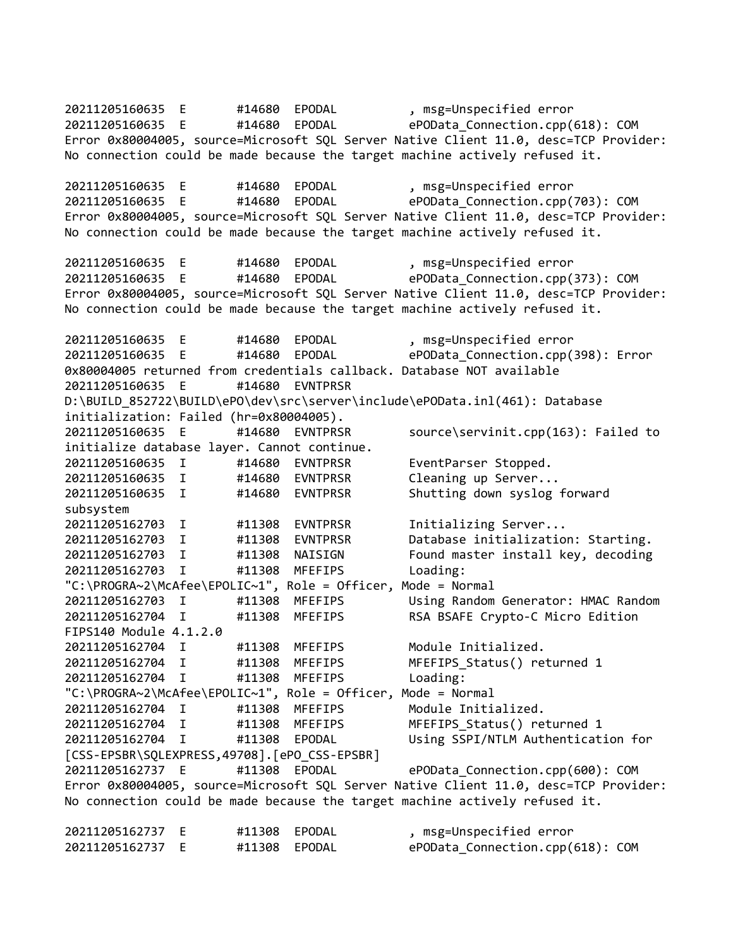20211205160635 E #14680 EPODAL , msg=Unspecified error 20211205160635 E #14680 EPODAL ePOData\_Connection.cpp(618): COM Error 0x80004005, source=Microsoft SQL Server Native Client 11.0, desc=TCP Provider: No connection could be made because the target machine actively refused it. 20211205160635 E #14680 EPODAL , msg=Unspecified error 20211205160635 E #14680 EPODAL ePOData\_Connection.cpp(703): COM Error 0x80004005, source=Microsoft SQL Server Native Client 11.0, desc=TCP Provider: No connection could be made because the target machine actively refused it. 20211205160635 E #14680 EPODAL , msg=Unspecified error 20211205160635 E #14680 EPODAL ePOData\_Connection.cpp(373): COM Error 0x80004005, source=Microsoft SQL Server Native Client 11.0, desc=TCP Provider: No connection could be made because the target machine actively refused it. 20211205160635 E #14680 EPODAL , msg=Unspecified error 20211205160635 E #14680 EPODAL ePOData\_Connection.cpp(398): Error 0x80004005 returned from credentials callback. Database NOT available 20211205160635 E #14680 EVNTPRSR D:\BUILD\_852722\BUILD\ePO\dev\src\server\include\ePOData.inl(461): Database initialization: Failed (hr=0x80004005). 20211205160635 E #14680 EVNTPRSR source\servinit.cpp(163): Failed to initialize database layer. Cannot continue. 20211205160635 I #14680 EVNTPRSR EventParser Stopped. 20211205160635 I #14680 EVNTPRSR Cleaning up Server... 20211205160635 I #14680 EVNTPRSR Shutting down syslog forward subsystem 20211205162703 I #11308 EVNTPRSR Initializing Server... 20211205162703 I #11308 EVNTPRSR Database initialization: Starting. 20211205162703 I #11308 NAISIGN Found master install key, decoding 20211205162703 I #11308 MFEFIPS Loading: "C:\PROGRA~2\McAfee\EPOLIC~1", Role = Officer, Mode = Normal 20211205162703 I #11308 MFEFIPS Using Random Generator: HMAC Random 20211205162704 I #11308 MFEFIPS RSA BSAFE Crypto-C Micro Edition FIPS140 Module 4.1.2.0 20211205162704 I #11308 MFEFIPS Module Initialized. 20211205162704 I #11308 MFEFIPS MFEFIPS\_Status() returned 1 20211205162704 I #11308 MFEFIPS Loading: "C:\PROGRA~2\McAfee\EPOLIC~1", Role = Officer, Mode = Normal 20211205162704 I #11308 MFEFIPS Module Initialized. 20211205162704 I #11308 MFEFIPS MFEFIPS\_Status() returned 1 20211205162704 I #11308 EPODAL Using SSPI/NTLM Authentication for [CSS-EPSBR\SQLEXPRESS,49708].[ePO\_CSS-EPSBR] 20211205162737 E #11308 EPODAL ePOData\_Connection.cpp(600): COM Error 0x80004005, source=Microsoft SQL Server Native Client 11.0, desc=TCP Provider: No connection could be made because the target machine actively refused it. 20211205162737 E #11308 EPODAL , msg=Unspecified error 20211205162737 E #11308 EPODAL ePOData\_Connection.cpp(618): COM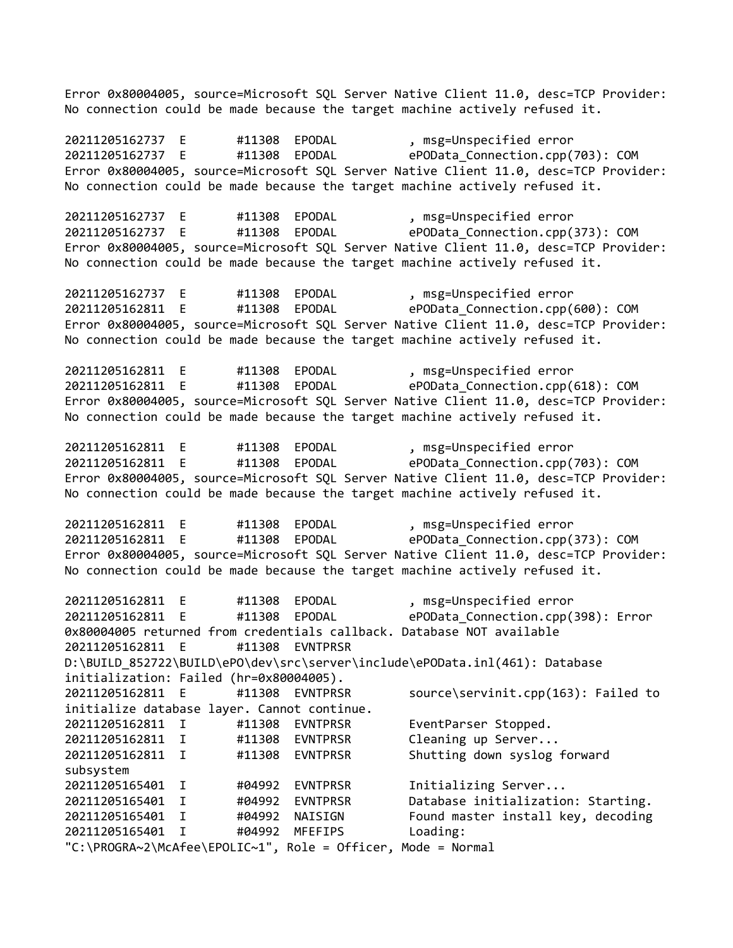Error 0x80004005, source=Microsoft SQL Server Native Client 11.0, desc=TCP Provider: No connection could be made because the target machine actively refused it.

20211205162737 E #11308 EPODAL , msg=Unspecified error 20211205162737 E #11308 EPODAL ePOData\_Connection.cpp(703): COM Error 0x80004005, source=Microsoft SQL Server Native Client 11.0, desc=TCP Provider: No connection could be made because the target machine actively refused it.

20211205162737 E #11308 EPODAL , msg=Unspecified error 20211205162737 E #11308 EPODAL ePOData\_Connection.cpp(373): COM Error 0x80004005, source=Microsoft SQL Server Native Client 11.0, desc=TCP Provider: No connection could be made because the target machine actively refused it.

20211205162737 E #11308 EPODAL , msg=Unspecified error<br>20211205162811 E #11308 EPODAL ePOData Connection.cpp( 20211205162811 E #11308 EPODAL ePOData\_Connection.cpp(600): COM Error 0x80004005, source=Microsoft SQL Server Native Client 11.0, desc=TCP Provider: No connection could be made because the target machine actively refused it.

20211205162811 E #11308 EPODAL , msg=Unspecified error 20211205162811 E #11308 EPODAL ePOData\_Connection.cpp(618): COM Error 0x80004005, source=Microsoft SQL Server Native Client 11.0, desc=TCP Provider: No connection could be made because the target machine actively refused it.

20211205162811 E #11308 EPODAL , msg=Unspecified error<br>20211205162811 E #11308 EPODAL ePOData Connection.cnn( #11308 EPODAL ePOData Connection.cpp(703): COM Error 0x80004005, source=Microsoft SQL Server Native Client 11.0, desc=TCP Provider: No connection could be made because the target machine actively refused it.

20211205162811 E #11308 EPODAL , msg=Unspecified error 20211205162811 E #11308 EPODAL ePOData\_Connection.cpp(373): COM Error 0x80004005, source=Microsoft SQL Server Native Client 11.0, desc=TCP Provider: No connection could be made because the target machine actively refused it.

20211205162811 E #11308 EPODAL , msg=Unspecified error 20211205162811 E #11308 EPODAL ePOData\_Connection.cpp(398): Error 0x80004005 returned from credentials callback. Database NOT available 20211205162811 E #11308 EVNTPRSR D:\BUILD\_852722\BUILD\ePO\dev\src\server\include\ePOData.inl(461): Database initialization: Failed (hr=0x80004005). 20211205162811 E #11308 EVNTPRSR source\servinit.cpp(163): Failed to initialize database layer. Cannot continue. 20211205162811 I #11308 EVNTPRSR EventParser Stopped. 20211205162811 I #11308 EVNTPRSR Cleaning up Server... 20211205162811 I #11308 EVNTPRSR Shutting down syslog forward subsystem 20211205165401 I #04992 EVNTPRSR Initializing Server... 20211205165401 I #04992 EVNTPRSR Database initialization: Starting. 20211205165401 I #04992 NAISIGN Found master install key, decoding 20211205165401 I #04992 MFEFIPS Loading: "C:\PROGRA~2\McAfee\EPOLIC~1", Role = Officer, Mode = Normal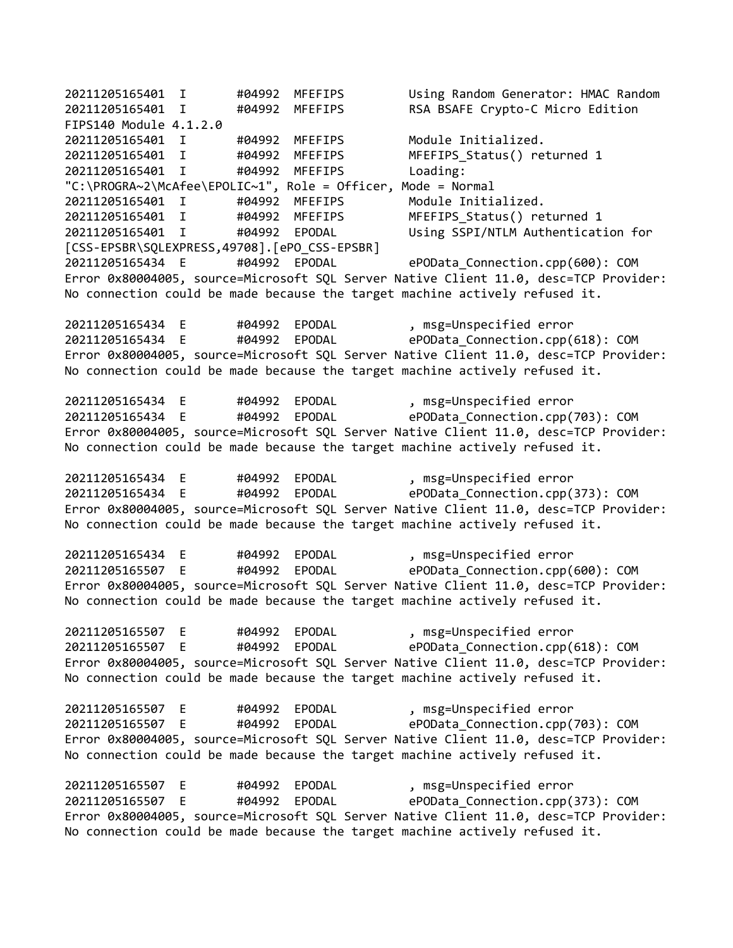20211205165401 I #04992 MFEFIPS Using Random Generator: HMAC Random 20211205165401 I #04992 MFEFIPS RSA BSAFE Crypto-C Micro Edition FIPS140 Module 4.1.2.0 20211205165401 I #04992 MFEFIPS Module Initialized. 20211205165401 I #04992 MFEFIPS MFEFIPS\_Status() returned 1 20211205165401 I #04992 MFEFIPS Loading: "C:\PROGRA~2\McAfee\EPOLIC~1", Role = Officer, Mode = Normal 20211205165401 I #04992 MFEFIPS Module Initialized. 20211205165401 I #04992 MFEFIPS MFEFIPS\_Status() returned 1 20211205165401 I #04992 EPODAL Using SSPI/NTLM Authentication for [CSS-EPSBR\SQLEXPRESS,49708].[ePO\_CSS-EPSBR] 20211205165434 E #04992 EPODAL ePOData\_Connection.cpp(600): COM Error 0x80004005, source=Microsoft SQL Server Native Client 11.0, desc=TCP Provider: No connection could be made because the target machine actively refused it. 20211205165434 E #04992 EPODAL , msg=Unspecified error 20211205165434 E #04992 EPODAL ePOData\_Connection.cpp(618): COM Error 0x80004005, source=Microsoft SQL Server Native Client 11.0, desc=TCP Provider: No connection could be made because the target machine actively refused it. 20211205165434 E #04992 EPODAL , msg=Unspecified error 20211205165434 E #04992 EPODAL ePOData\_Connection.cpp(703): COM Error 0x80004005, source=Microsoft SQL Server Native Client 11.0, desc=TCP Provider: No connection could be made because the target machine actively refused it. 20211205165434 E #04992 EPODAL , msg=Unspecified error 20211205165434 E #04992 EPODAL ePOData\_Connection.cpp(373): COM Error 0x80004005, source=Microsoft SQL Server Native Client 11.0, desc=TCP Provider: No connection could be made because the target machine actively refused it. 20211205165434 E #04992 EPODAL , msg=Unspecified error 20211205165507 E #04992 EPODAL ePOData\_Connection.cpp(600): COM Error 0x80004005, source=Microsoft SQL Server Native Client 11.0, desc=TCP Provider: No connection could be made because the target machine actively refused it. 20211205165507 E #04992 EPODAL , msg=Unspecified error 20211205165507 E #04992 EPODAL ePOData\_Connection.cpp(618): COM Error 0x80004005, source=Microsoft SQL Server Native Client 11.0, desc=TCP Provider: No connection could be made because the target machine actively refused it. 20211205165507 E #04992 EPODAL , msg=Unspecified error 20211205165507 E #04992 EPODAL ePOData\_Connection.cpp(703): COM Error 0x80004005, source=Microsoft SQL Server Native Client 11.0, desc=TCP Provider: No connection could be made because the target machine actively refused it. 20211205165507 E #04992 EPODAL , msg=Unspecified error 20211205165507 E #04992 EPODAL ePOData\_Connection.cpp(373): COM Error 0x80004005, source=Microsoft SQL Server Native Client 11.0, desc=TCP Provider: No connection could be made because the target machine actively refused it.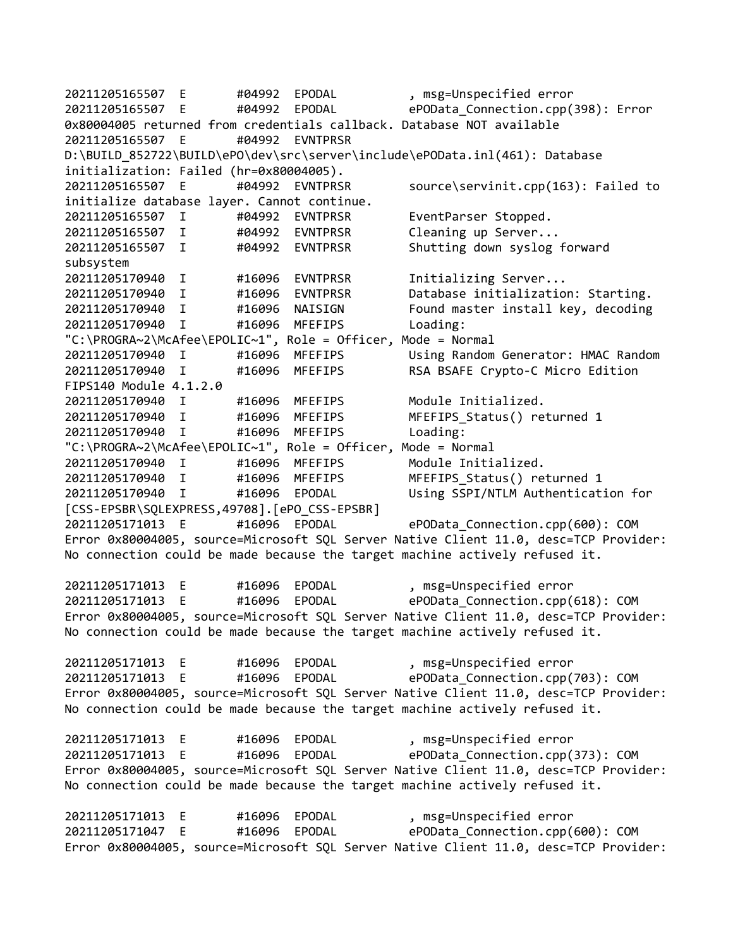20211205165507 E #04992 EPODAL , msg=Unspecified error 20211205165507 E #04992 EPODAL ePOData\_Connection.cpp(398): Error 0x80004005 returned from credentials callback. Database NOT available 20211205165507 E #04992 EVNTPRSR D:\BUILD\_852722\BUILD\ePO\dev\src\server\include\ePOData.inl(461): Database initialization: Failed (hr=0x80004005). 20211205165507 E #04992 EVNTPRSR source\servinit.cpp(163): Failed to initialize database layer. Cannot continue. 20211205165507 I #04992 EVNTPRSR EventParser Stopped. 20211205165507 I #04992 EVNTPRSR Cleaning up Server... 20211205165507 I #04992 EVNTPRSR Shutting down syslog forward subsystem 20211205170940 I #16096 EVNTPRSR Initializing Server... 20211205170940 I #16096 EVNTPRSR Database initialization: Starting. 20211205170940 I #16096 NAISIGN Found master install key, decoding 20211205170940 I #16096 MFEFIPS Loading: "C:\PROGRA~2\McAfee\EPOLIC~1", Role = Officer, Mode = Normal 20211205170940 I #16096 MFEFIPS Using Random Generator: HMAC Random 20211205170940 I #16096 MFEFIPS RSA BSAFE Crypto-C Micro Edition FIPS140 Module 4.1.2.0 20211205170940 I #16096 MFEFIPS Module Initialized. 20211205170940 I #16096 MFEFIPS MFEFIPS\_Status() returned 1 20211205170940 I #16096 MFEFIPS Loading: "C:\PROGRA~2\McAfee\EPOLIC~1", Role = Officer, Mode = Normal 20211205170940 I #16096 MFEFIPS Module Initialized. 20211205170940 I #16096 MFEFIPS MFEFIPS\_Status() returned 1 20211205170940 I #16096 EPODAL Using SSPI/NTLM Authentication for [CSS-EPSBR\SQLEXPRESS,49708].[ePO\_CSS-EPSBR] 20211205171013 E #16096 EPODAL ePOData\_Connection.cpp(600): COM Error 0x80004005, source=Microsoft SQL Server Native Client 11.0, desc=TCP Provider: No connection could be made because the target machine actively refused it. 20211205171013 E #16096 EPODAL , msg=Unspecified error #16096 EPODAL ePOData Connection.cpp(618): COM Error 0x80004005, source=Microsoft SQL Server Native Client 11.0, desc=TCP Provider: No connection could be made because the target machine actively refused it. 20211205171013 E #16096 EPODAL , msg=Unspecified error 20211205171013 E #16096 EPODAL ePOData\_Connection.cpp(703): COM Error 0x80004005, source=Microsoft SQL Server Native Client 11.0, desc=TCP Provider: No connection could be made because the target machine actively refused it. 20211205171013 E #16096 EPODAL , msg=Unspecified error 20211205171013 E #16096 EPODAL ePOData\_Connection.cpp(373): COM Error 0x80004005, source=Microsoft SQL Server Native Client 11.0, desc=TCP Provider: No connection could be made because the target machine actively refused it. 20211205171013 E #16096 EPODAL , msg=Unspecified error 20211205171047 E #16096 EPODAL ePOData\_Connection.cpp(600): COM Error 0x80004005, source=Microsoft SQL Server Native Client 11.0, desc=TCP Provider: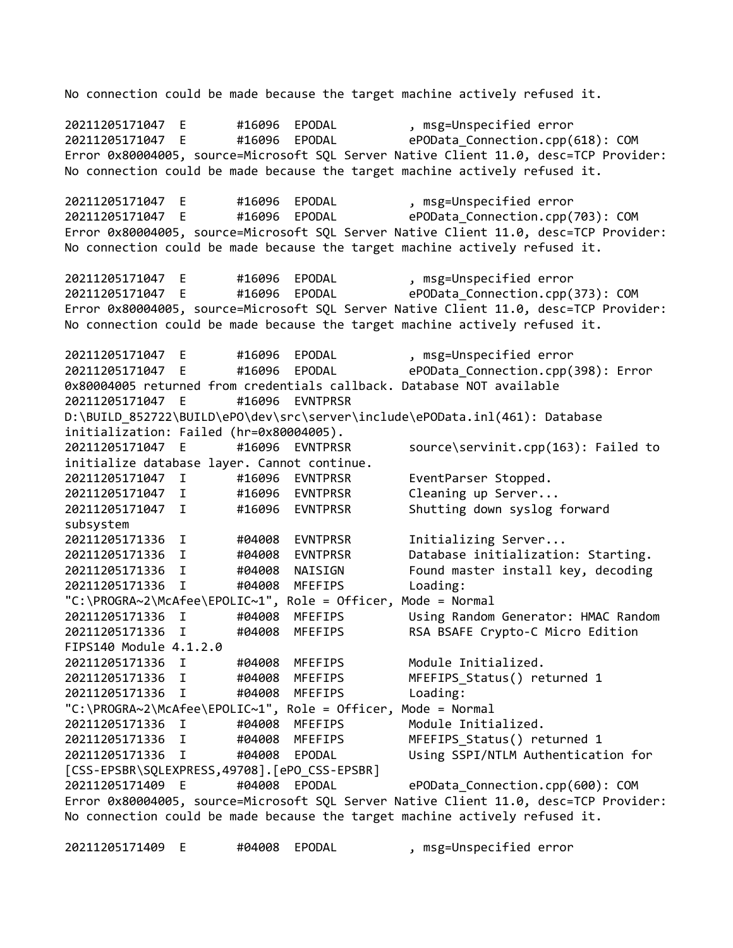No connection could be made because the target machine actively refused it. 20211205171047 E #16096 EPODAL , msg=Unspecified error 20211205171047 E #16096 EPODAL ePOData\_Connection.cpp(618): COM Error 0x80004005, source=Microsoft SQL Server Native Client 11.0, desc=TCP Provider: No connection could be made because the target machine actively refused it. 20211205171047 E #16096 EPODAL , msg=Unspecified error 20211205171047 E #16096 EPODAL ePOData\_Connection.cpp(703): COM Error 0x80004005, source=Microsoft SQL Server Native Client 11.0, desc=TCP Provider: No connection could be made because the target machine actively refused it. 20211205171047 E #16096 EPODAL , msg=Unspecified error 20211205171047 E #16096 EPODAL ePOData\_Connection.cpp(373): COM Error 0x80004005, source=Microsoft SQL Server Native Client 11.0, desc=TCP Provider: No connection could be made because the target machine actively refused it. 20211205171047 E #16096 EPODAL , msg=Unspecified error 20211205171047 E #16096 EPODAL ePOData\_Connection.cpp(398): Error 0x80004005 returned from credentials callback. Database NOT available 20211205171047 E #16096 EVNTPRSR D:\BUILD\_852722\BUILD\ePO\dev\src\server\include\ePOData.inl(461): Database initialization: Failed (hr=0x80004005). 20211205171047 E #16096 EVNTPRSR source\servinit.cpp(163): Failed to initialize database layer. Cannot continue. 20211205171047 I #16096 EVNTPRSR EventParser Stopped. 20211205171047 I #16096 EVNTPRSR Cleaning up Server... 20211205171047 I #16096 EVNTPRSR Shutting down syslog forward subsystem 20211205171336 I #04008 EVNTPRSR Initializing Server... 20211205171336 I #04008 EVNTPRSR Database initialization: Starting. 20211205171336 I #04008 NAISIGN Found master install key, decoding 20211205171336 I #04008 MFEFIPS Loading: "C:\PROGRA~2\McAfee\EPOLIC~1", Role = Officer, Mode = Normal 20211205171336 I #04008 MFEFIPS Using Random Generator: HMAC Random 20211205171336 I #04008 MFEFIPS RSA BSAFE Crypto-C Micro Edition FIPS140 Module 4.1.2.0 20211205171336 I #04008 MFEFIPS Module Initialized. 20211205171336 I #04008 MFEFIPS MFEFIPS\_Status() returned 1 20211205171336 I #04008 MFEFIPS Loading: "C:\PROGRA~2\McAfee\EPOLIC~1", Role = Officer, Mode = Normal 20211205171336 I #04008 MFEFIPS Module Initialized. 20211205171336 I #04008 MFEFIPS MFEFIPS\_Status() returned 1 20211205171336 I #04008 EPODAL Using SSPI/NTLM Authentication for [CSS-EPSBR\SQLEXPRESS,49708].[ePO\_CSS-EPSBR] 20211205171409 E #04008 EPODAL ePOData\_Connection.cpp(600): COM Error 0x80004005, source=Microsoft SQL Server Native Client 11.0, desc=TCP Provider: No connection could be made because the target machine actively refused it.

20211205171409 E #04008 EPODAL , msg=Unspecified error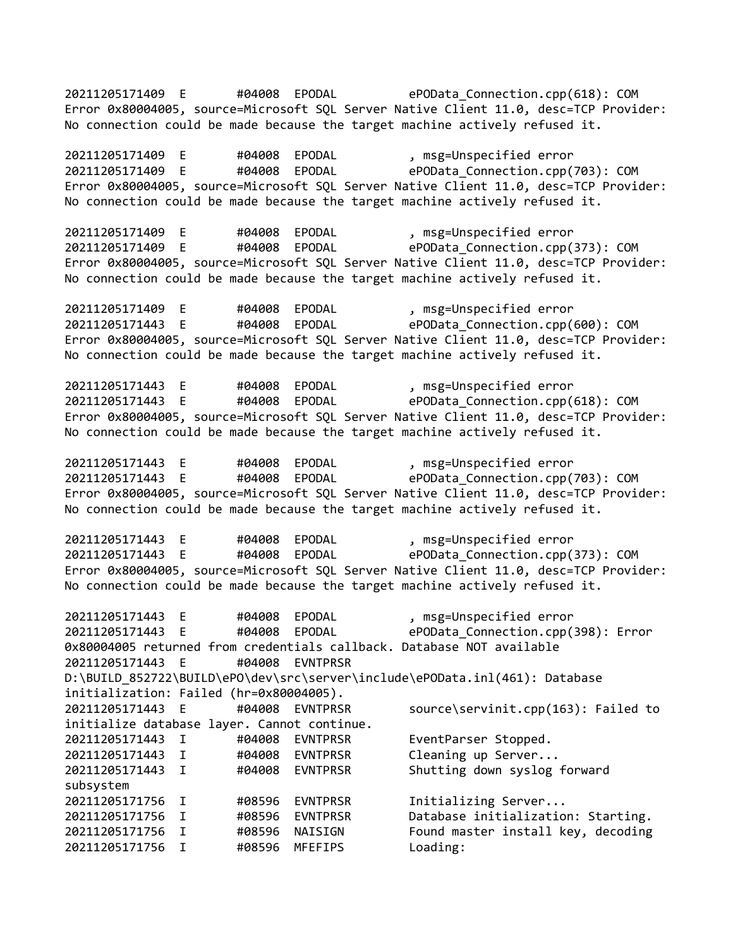20211205171409 E #04008 EPODAL ePOData\_Connection.cpp(618): COM Error 0x80004005, source=Microsoft SQL Server Native Client 11.0, desc=TCP Provider: No connection could be made because the target machine actively refused it. 20211205171409 E #04008 EPODAL , msg=Unspecified error 20211205171409 E #04008 EPODAL ePOData\_Connection.cpp(703): COM Error 0x80004005, source=Microsoft SQL Server Native Client 11.0, desc=TCP Provider: No connection could be made because the target machine actively refused it. 20211205171409 E #04008 EPODAL , msg=Unspecified error 20211205171409 E #04008 EPODAL ePOData\_Connection.cpp(373): COM Error 0x80004005, source=Microsoft SQL Server Native Client 11.0, desc=TCP Provider: No connection could be made because the target machine actively refused it. 20211205171409 E #04008 EPODAL , msg=Unspecified error 20211205171443 E #04008 EPODAL ePOData\_Connection.cpp(600): COM Error 0x80004005, source=Microsoft SQL Server Native Client 11.0, desc=TCP Provider: No connection could be made because the target machine actively refused it. 20211205171443 E #04008 EPODAL , msg=Unspecified error 20211205171443 E #04008 EPODAL ePOData\_Connection.cpp(618): COM Error 0x80004005, source=Microsoft SQL Server Native Client 11.0, desc=TCP Provider: No connection could be made because the target machine actively refused it. 20211205171443 E #04008 EPODAL , msg=Unspecified error 20211205171443 E #04008 EPODAL ePOData\_Connection.cpp(703): COM Error 0x80004005, source=Microsoft SQL Server Native Client 11.0, desc=TCP Provider: No connection could be made because the target machine actively refused it. 20211205171443 E #04008 EPODAL , msg=Unspecified error 20211205171443 E #04008 EPODAL ePOData\_Connection.cpp(373): COM Error 0x80004005, source=Microsoft SQL Server Native Client 11.0, desc=TCP Provider: No connection could be made because the target machine actively refused it. 20211205171443 E #04008 EPODAL , msg=Unspecified error 20211205171443 E #04008 EPODAL ePOData\_Connection.cpp(398): Error 0x80004005 returned from credentials callback. Database NOT available 20211205171443 E #04008 EVNTPRSR D:\BUILD\_852722\BUILD\ePO\dev\src\server\include\ePOData.inl(461): Database initialization: Failed (hr=0x80004005). 20211205171443 E #04008 EVNTPRSR source\servinit.cpp(163): Failed to initialize database layer. Cannot continue. 20211205171443 I #04008 EVNTPRSR EventParser Stopped. 20211205171443 I #04008 EVNTPRSR Cleaning up Server... 20211205171443 I #04008 EVNTPRSR Shutting down syslog forward subsystem 20211205171756 I #08596 EVNTPRSR Initializing Server... 20211205171756 I #08596 EVNTPRSR Database initialization: Starting. #08596 NAISIGN Found master install key, decoding 20211205171756 I #08596 MFEFIPS Loading: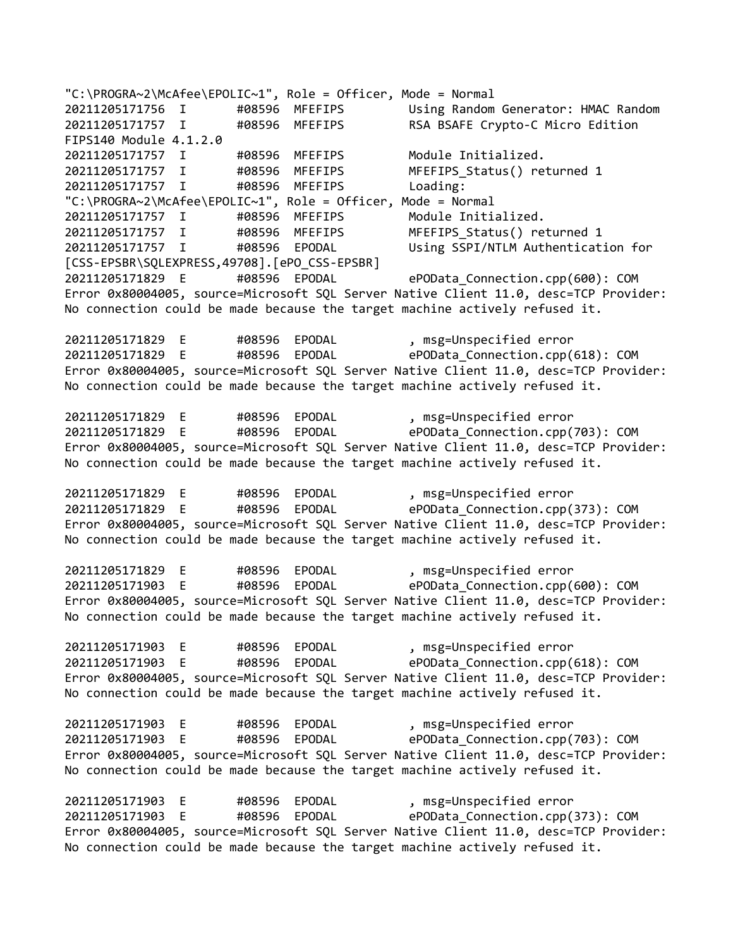"C:\PROGRA~2\McAfee\EPOLIC~1", Role = Officer, Mode = Normal 20211205171756 I #08596 MFEFIPS Using Random Generator: HMAC Random<br>20211205171757 I #08596 MFEFIPS RSA BSAFE Crypto-C Micro Edition #08596 MFEFIPS RSA BSAFE Crypto-C Micro Edition FIPS140 Module 4.1.2.0 20211205171757 I #08596 MFEFIPS Module Initialized. 20211205171757 I #08596 MFEFIPS MFEFIPS\_Status() returned 1 20211205171757 I #08596 MFEFIPS Loading: "C:\PROGRA~2\McAfee\EPOLIC~1", Role = Officer, Mode = Normal 20211205171757 I #08596 MFEFIPS Module Initialized. 20211205171757 I #08596 MFEFIPS MFEFIPS\_Status() returned 1 20211205171757 I #08596 EPODAL Using SSPI/NTLM Authentication for [CSS-EPSBR\SQLEXPRESS,49708].[ePO\_CSS-EPSBR] 20211205171829 E #08596 EPODAL ePOData\_Connection.cpp(600): COM Error 0x80004005, source=Microsoft SQL Server Native Client 11.0, desc=TCP Provider: No connection could be made because the target machine actively refused it. 20211205171829 E #08596 EPODAL , msg=Unspecified error 20211205171829 E #08596 EPODAL ePOData\_Connection.cpp(618): COM Error 0x80004005, source=Microsoft SQL Server Native Client 11.0, desc=TCP Provider: No connection could be made because the target machine actively refused it. 20211205171829 E #08596 EPODAL , msg=Unspecified error 20211205171829 E #08596 EPODAL ePOData\_Connection.cpp(703): COM Error 0x80004005, source=Microsoft SQL Server Native Client 11.0, desc=TCP Provider: No connection could be made because the target machine actively refused it. 20211205171829 E #08596 EPODAL , msg=Unspecified error 20211205171829 E #08596 EPODAL ePOData\_Connection.cpp(373): COM Error 0x80004005, source=Microsoft SQL Server Native Client 11.0, desc=TCP Provider: No connection could be made because the target machine actively refused it. 20211205171829 E #08596 EPODAL , msg=Unspecified error 20211205171903 E #08596 EPODAL ePOData\_Connection.cpp(600): COM Error 0x80004005, source=Microsoft SQL Server Native Client 11.0, desc=TCP Provider: No connection could be made because the target machine actively refused it. 20211205171903 E #08596 EPODAL , msg=Unspecified error 20211205171903 E #08596 EPODAL ePOData\_Connection.cpp(618): COM Error 0x80004005, source=Microsoft SQL Server Native Client 11.0, desc=TCP Provider: No connection could be made because the target machine actively refused it. 20211205171903 E #08596 EPODAL , msg=Unspecified error 20211205171903 E #08596 EPODAL ePOData\_Connection.cpp(703): COM Error 0x80004005, source=Microsoft SQL Server Native Client 11.0, desc=TCP Provider: No connection could be made because the target machine actively refused it. 20211205171903 E #08596 EPODAL , msg=Unspecified error<br>20211205171903 E #08596 EPODAL ePOData Connection.cpp( 20211205171903 E #08596 EPODAL ePOData\_Connection.cpp(373): COM Error 0x80004005, source=Microsoft SQL Server Native Client 11.0, desc=TCP Provider: No connection could be made because the target machine actively refused it.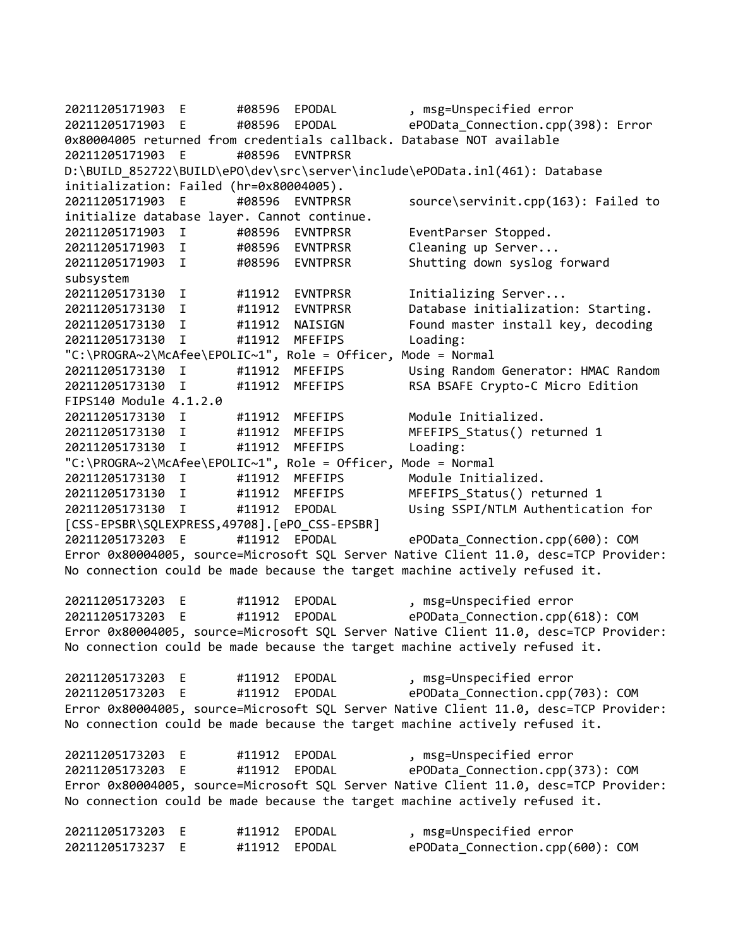20211205171903 E #08596 EPODAL , msg=Unspecified error 20211205171903 E #08596 EPODAL ePOData\_Connection.cpp(398): Error 0x80004005 returned from credentials callback. Database NOT available 20211205171903 E #08596 EVNTPRSR D:\BUILD\_852722\BUILD\ePO\dev\src\server\include\ePOData.inl(461): Database initialization: Failed (hr=0x80004005). 20211205171903 E #08596 EVNTPRSR source\servinit.cpp(163): Failed to initialize database layer. Cannot continue. 20211205171903 I #08596 EVNTPRSR EventParser Stopped. 20211205171903 I #08596 EVNTPRSR Cleaning up Server... 20211205171903 I #08596 EVNTPRSR Shutting down syslog forward subsystem 20211205173130 I #11912 EVNTPRSR Initializing Server... 20211205173130 I #11912 EVNTPRSR Database initialization: Starting. 20211205173130 I #11912 NAISIGN Found master install key, decoding 20211205173130 I #11912 MFEFIPS Loading: "C:\PROGRA~2\McAfee\EPOLIC~1", Role = Officer, Mode = Normal 20211205173130 I #11912 MFEFIPS Using Random Generator: HMAC Random 20211205173130 I #11912 MFEFIPS RSA BSAFE Crypto-C Micro Edition FIPS140 Module 4.1.2.0 20211205173130 I #11912 MFEFIPS Module Initialized. 20211205173130 I #11912 MFEFIPS MFEFIPS\_Status() returned 1 20211205173130 I #11912 MFEFIPS Loading: "C:\PROGRA~2\McAfee\EPOLIC~1", Role = Officer, Mode = Normal 20211205173130 I #11912 MFEFIPS Module Initialized. 20211205173130 I #11912 MFEFIPS MFEFIPS\_Status() returned 1 20211205173130 I #11912 EPODAL Using SSPI/NTLM Authentication for [CSS-EPSBR\SQLEXPRESS,49708].[ePO\_CSS-EPSBR] 20211205173203 E #11912 EPODAL ePOData\_Connection.cpp(600): COM Error 0x80004005, source=Microsoft SQL Server Native Client 11.0, desc=TCP Provider: No connection could be made because the target machine actively refused it. 20211205173203 E #11912 EPODAL , msg=Unspecified error 20211205173203 E #11912 EPODAL ePOData\_Connection.cpp(618): COM Error 0x80004005, source=Microsoft SQL Server Native Client 11.0, desc=TCP Provider: No connection could be made because the target machine actively refused it. 20211205173203 E #11912 EPODAL , msg=Unspecified error 20211205173203 E #11912 EPODAL ePOData\_Connection.cpp(703): COM Error 0x80004005, source=Microsoft SQL Server Native Client 11.0, desc=TCP Provider: No connection could be made because the target machine actively refused it. 20211205173203 E #11912 EPODAL , msg=Unspecified error 20211205173203 E #11912 EPODAL ePOData\_Connection.cpp(373): COM Error 0x80004005, source=Microsoft SQL Server Native Client 11.0, desc=TCP Provider: No connection could be made because the target machine actively refused it. 20211205173203 E #11912 EPODAL , msg=Unspecified error 20211205173237 E #11912 EPODAL ePOData\_Connection.cpp(600): COM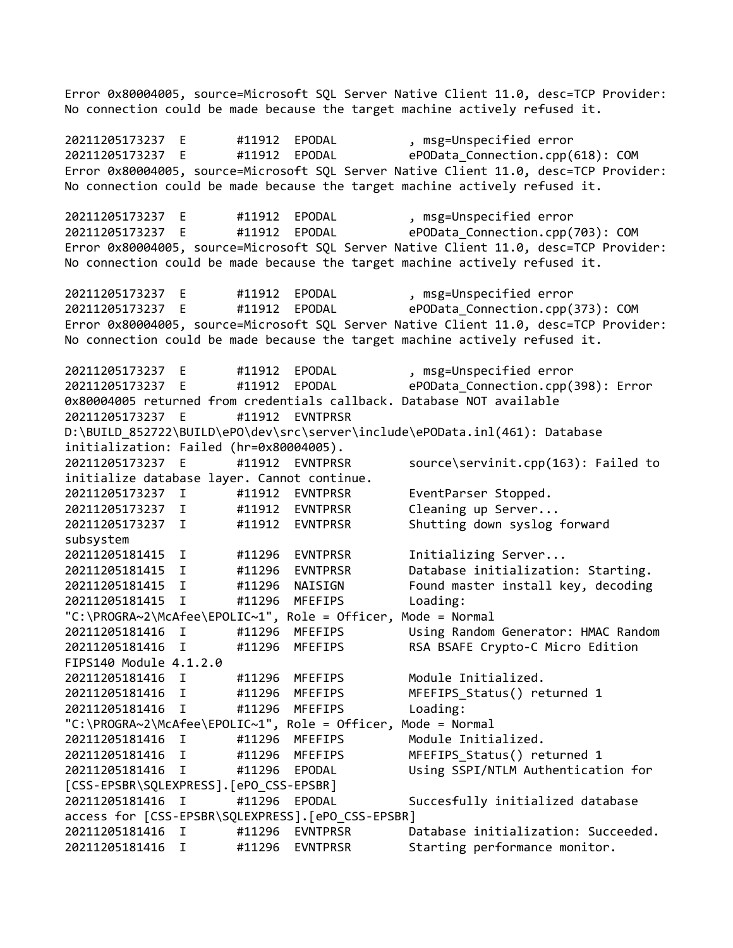Error 0x80004005, source=Microsoft SQL Server Native Client 11.0, desc=TCP Provider: No connection could be made because the target machine actively refused it. 20211205173237 E #11912 EPODAL , msg=Unspecified error 20211205173237 E #11912 EPODAL ePOData\_Connection.cpp(618): COM Error 0x80004005, source=Microsoft SQL Server Native Client 11.0, desc=TCP Provider: No connection could be made because the target machine actively refused it. 20211205173237 E #11912 EPODAL , msg=Unspecified error 20211205173237 E #11912 EPODAL ePOData\_Connection.cpp(703): COM Error 0x80004005, source=Microsoft SQL Server Native Client 11.0, desc=TCP Provider: No connection could be made because the target machine actively refused it. 20211205173237 E #11912 EPODAL , msg=Unspecified error<br>20211205173237 E #11912 EPODAL ePOData Connection.cpp( 20211205173237 E #11912 EPODAL ePOData\_Connection.cpp(373): COM Error 0x80004005, source=Microsoft SQL Server Native Client 11.0, desc=TCP Provider: No connection could be made because the target machine actively refused it. 20211205173237 E #11912 EPODAL , msg=Unspecified error 20211205173237 E #11912 EPODAL ePOData\_Connection.cpp(398): Error 0x80004005 returned from credentials callback. Database NOT available 20211205173237 E #11912 EVNTPRSR D:\BUILD\_852722\BUILD\ePO\dev\src\server\include\ePOData.inl(461): Database initialization: Failed (hr=0x80004005). 20211205173237 E #11912 EVNTPRSR source\servinit.cpp(163): Failed to initialize database layer. Cannot continue. 20211205173237 I #11912 EVNTPRSR EventParser Stopped. 20211205173237 I #11912 EVNTPRSR Cleaning up Server... 20211205173237 I #11912 EVNTPRSR Shutting down syslog forward subsystem 20211205181415 I #11296 EVNTPRSR Initializing Server... 20211205181415 I #11296 EVNTPRSR Database initialization: Starting. 20211205181415 I #11296 NAISIGN Found master install key, decoding 20211205181415 I #11296 MFEFIPS Loading: "C:\PROGRA~2\McAfee\EPOLIC~1", Role = Officer, Mode = Normal 20211205181416 I #11296 MFEFIPS Using Random Generator: HMAC Random 20211205181416 I #11296 MFEFIPS RSA BSAFE Crypto-C Micro Edition FIPS140 Module 4.1.2.0 20211205181416 I #11296 MFEFIPS Module Initialized. 20211205181416 I #11296 MFEFIPS MFEFIPS\_Status() returned 1 20211205181416 I #11296 MFEFIPS Loading: "C:\PROGRA~2\McAfee\EPOLIC~1", Role = Officer, Mode = Normal 20211205181416 I #11296 MFEFIPS Module Initialized. 20211205181416 I #11296 MFEFIPS MFEFIPS\_Status() returned 1 20211205181416 I #11296 EPODAL Using SSPI/NTLM Authentication for [CSS-EPSBR\SQLEXPRESS].[ePO\_CSS-EPSBR] 20211205181416 I #11296 EPODAL Succesfully initialized database access for [CSS-EPSBR\SQLEXPRESS].[ePO\_CSS-EPSBR] 20211205181416 I #11296 EVNTPRSR Database initialization: Succeeded. 20211205181416 I #11296 EVNTPRSR Starting performance monitor.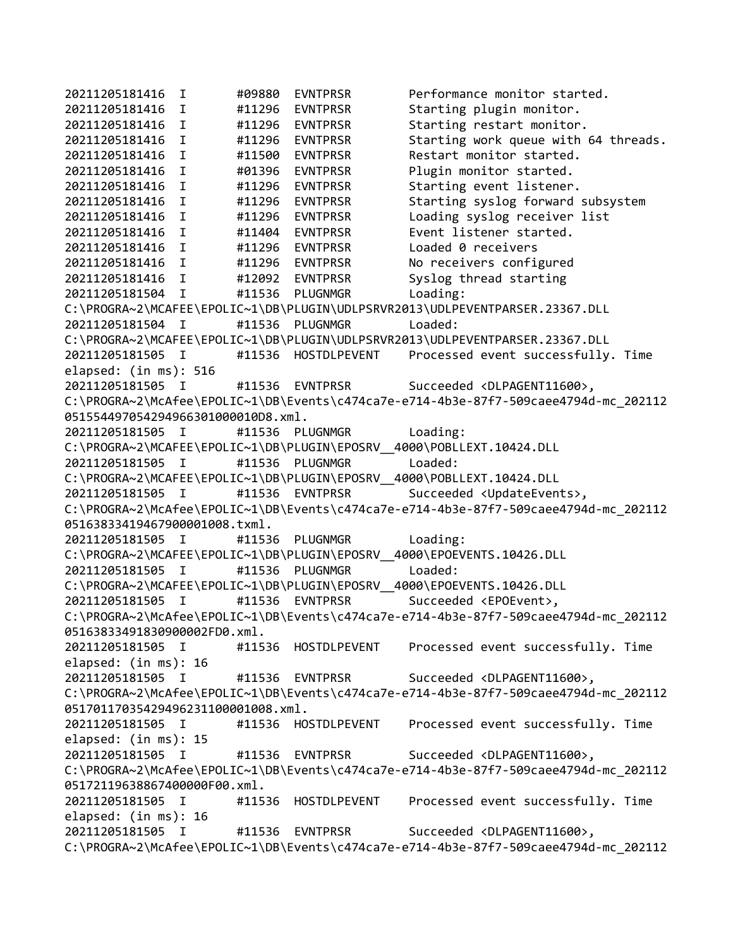```
20211205181416 I #09880 EVNTPRSR Performance monitor started. 
20211205181416 I #11296 EVNTPRSR Starting plugin monitor.
20211205181416 I #11296 EVNTPRSR Starting restart monitor.
20211205181416 I #11296 EVNTPRSR Starting work queue with 64 threads.
20211205181416 I #11500 EVNTPRSR Restart monitor started.
20211205181416 I #01396 EVNTPRSR Plugin monitor started.
20211205181416 I #11296 EVNTPRSR Starting event listener.
20211205181416 I #11296 EVNTPRSR Starting syslog forward subsystem
20211205181416 I #11296 EVNTPRSR Loading syslog receiver list
20211205181416 I #11404 EVNTPRSR Event listener started.
20211205181416 I #11296 EVNTPRSR Loaded 0 receivers
20211205181416 I #11296 EVNTPRSR No receivers configured
20211205181416 I #12092 EVNTPRSR Syslog thread starting
20211205181504 I #11536 PLUGNMGR Loading: 
C:\PROGRA~2\MCAFEE\EPOLIC~1\DB\PLUGIN\UDLPSRVR2013\UDLPEVENTPARSER.23367.DLL
20211205181504 I #11536 PLUGNMGR Loaded: 
C:\PROGRA~2\MCAFEE\EPOLIC~1\DB\PLUGIN\UDLPSRVR2013\UDLPEVENTPARSER.23367.DLL
20211205181505 I #11536 HOSTDLPEVENT Processed event successfully. Time 
elapsed: (in ms): 516
20211205181505 I #11536 EVNTPRSR Succeeded <DLPAGENT11600>, 
C:\PROGRA~2\McAfee\EPOLIC~1\DB\Events\c474ca7e-e714-4b3e-87f7-509caee4794d-mc_202112
051554497054294966301000010D8.xml.
20211205181505 I #11536 PLUGNMGR Loading: 
C:\PROGRA~2\MCAFEE\EPOLIC~1\DB\PLUGIN\EPOSRV__4000\POBLLEXT.10424.DLL
20211205181505 I #11536 PLUGNMGR Loaded: 
C:\PROGRA~2\MCAFEE\EPOLIC~1\DB\PLUGIN\EPOSRV_4000\POBLLEXT.10424.DLL
20211205181505 I #11536 EVNTPRSR Succeeded <UpdateEvents>, 
C:\PROGRA~2\McAfee\EPOLIC~1\DB\Events\c474ca7e-e714-4b3e-87f7-509caee4794d-mc_202112
05163833419467900001008.txml.
20211205181505 I #11536 PLUGNMGR Loading: 
C:\PROGRA~2\MCAFEE\EPOLIC~1\DB\PLUGIN\EPOSRV__4000\EPOEVENTS.10426.DLL
20211205181505 I #11536 PLUGNMGR Loaded: 
C:\PROGRA~2\MCAFEE\EPOLIC~1\DB\PLUGIN\EPOSRV__4000\EPOEVENTS.10426.DLL
20211205181505 I #11536 EVNTPRSR Succeeded <EPOEvent>, 
C:\PROGRA~2\McAfee\EPOLIC~1\DB\Events\c474ca7e-e714-4b3e-87f7-509caee4794d-mc_202112
05163833491830900002FD0.xml.
20211205181505 I #11536 HOSTDLPEVENT Processed event successfully. Time 
elapsed: (in ms): 16
20211205181505 I #11536 EVNTPRSR Succeeded <DLPAGENT11600>, 
C:\PROGRA~2\McAfee\EPOLIC~1\DB\Events\c474ca7e-e714-4b3e-87f7-509caee4794d-mc_202112
05170117035429496231100001008.xml.
20211205181505 I #11536 HOSTDLPEVENT Processed event successfully. Time 
elapsed: (in ms): 15
20211205181505 I #11536 EVNTPRSR Succeeded <DLPAGENT11600>, 
C:\PROGRA~2\McAfee\EPOLIC~1\DB\Events\c474ca7e-e714-4b3e-87f7-509caee4794d-mc_202112
05172119638867400000F00.xml.
20211205181505 I #11536 HOSTDLPEVENT Processed event successfully. Time 
elapsed: (in ms): 16
20211205181505 I #11536 EVNTPRSR Succeeded <DLPAGENT11600>, 
C:\PROGRA~2\McAfee\EPOLIC~1\DB\Events\c474ca7e-e714-4b3e-87f7-509caee4794d-mc_202112
```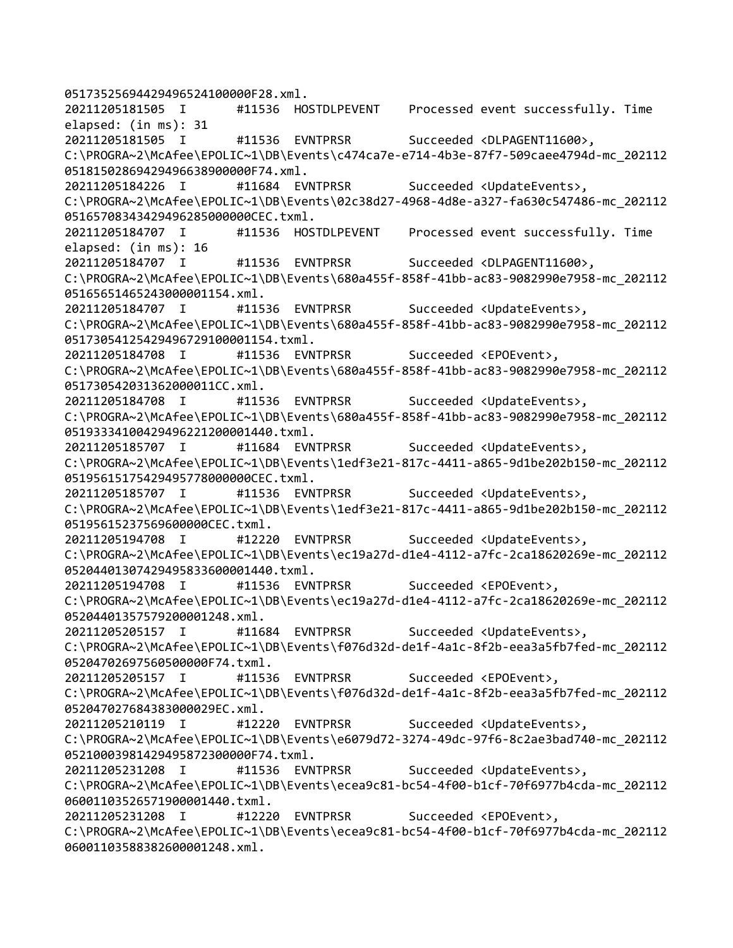05173525694429496524100000F28.xml. 20211205181505 I #11536 HOSTDLPEVENT Processed event successfully. Time elapsed: (in ms): 31 20211205181505 I #11536 EVNTPRSR Succeeded <DLPAGENT11600>, C:\PROGRA~2\McAfee\EPOLIC~1\DB\Events\c474ca7e-e714-4b3e-87f7-509caee4794d-mc\_202112 05181502869429496638900000F74.xml. 20211205184226 I #11684 EVNTPRSR Succeeded <UpdateEvents>, C:\PROGRA~2\McAfee\EPOLIC~1\DB\Events\02c38d27-4968-4d8e-a327-fa630c547486-mc\_202112 05165708343429496285000000CEC.txml. 20211205184707 I #11536 HOSTDLPEVENT Processed event successfully. Time elapsed: (in ms): 16 20211205184707 I #11536 EVNTPRSR Succeeded <DLPAGENT11600>, C:\PROGRA~2\McAfee\EPOLIC~1\DB\Events\680a455f-858f-41bb-ac83-9082990e7958-mc\_202112 05165651465243000001154.xml. 20211205184707 I #11536 EVNTPRSR Succeeded <UpdateEvents>, C:\PROGRA~2\McAfee\EPOLIC~1\DB\Events\680a455f-858f-41bb-ac83-9082990e7958-mc\_202112 05173054125429496729100001154.txml. 20211205184708 I #11536 EVNTPRSR Succeeded <EPOEvent>, C:\PROGRA~2\McAfee\EPOLIC~1\DB\Events\680a455f-858f-41bb-ac83-9082990e7958-mc\_202112 051730542031362000011CC.xml. 20211205184708 I #11536 EVNTPRSR Succeeded <UpdateEvents>, C:\PROGRA~2\McAfee\EPOLIC~1\DB\Events\680a455f-858f-41bb-ac83-9082990e7958-mc\_202112 05193334100429496221200001440.txml. 20211205185707 I #11684 EVNTPRSR Succeeded <UpdateEvents>, C:\PROGRA~2\McAfee\EPOLIC~1\DB\Events\1edf3e21-817c-4411-a865-9d1be202b150-mc\_202112 05195615175429495778000000CEC.txml. 20211205185707 I #11536 EVNTPRSR Succeeded <UpdateEvents>, C:\PROGRA~2\McAfee\EPOLIC~1\DB\Events\1edf3e21-817c-4411-a865-9d1be202b150-mc\_202112 05195615237569600000CEC.txml. 20211205194708 I #12220 EVNTPRSR Succeeded <UpdateEvents>, C:\PROGRA~2\McAfee\EPOLIC~1\DB\Events\ec19a27d-d1e4-4112-a7fc-2ca18620269e-mc\_202112 05204401307429495833600001440.txml. 20211205194708 I #11536 EVNTPRSR Succeeded <EPOEvent>, C:\PROGRA~2\McAfee\EPOLIC~1\DB\Events\ec19a27d-d1e4-4112-a7fc-2ca18620269e-mc\_202112 05204401357579200001248.xml. 20211205205157 I #11684 EVNTPRSR Succeeded <UpdateEvents>, C:\PROGRA~2\McAfee\EPOLIC~1\DB\Events\f076d32d-de1f-4a1c-8f2b-eea3a5fb7fed-mc\_202112 05204702697560500000F74.txml. 20211205205157 I #11536 EVNTPRSR Succeeded <EPOEvent>, C:\PROGRA~2\McAfee\EPOLIC~1\DB\Events\f076d32d-de1f-4a1c-8f2b-eea3a5fb7fed-mc\_202112 052047027684383000029EC.xml. 20211205210119 I #12220 EVNTPRSR Succeeded <UpdateEvents>, C:\PROGRA~2\McAfee\EPOLIC~1\DB\Events\e6079d72-3274-49dc-97f6-8c2ae3bad740-mc\_202112 05210003981429495872300000F74.txml. 20211205231208 I #11536 EVNTPRSR Succeeded <UpdateEvents>, C:\PROGRA~2\McAfee\EPOLIC~1\DB\Events\ecea9c81-bc54-4f00-b1cf-70f6977b4cda-mc\_202112 06001103526571900001440.txml. 20211205231208 I #12220 EVNTPRSR Succeeded <EPOEvent>, C:\PROGRA~2\McAfee\EPOLIC~1\DB\Events\ecea9c81-bc54-4f00-b1cf-70f6977b4cda-mc\_202112 06001103588382600001248.xml.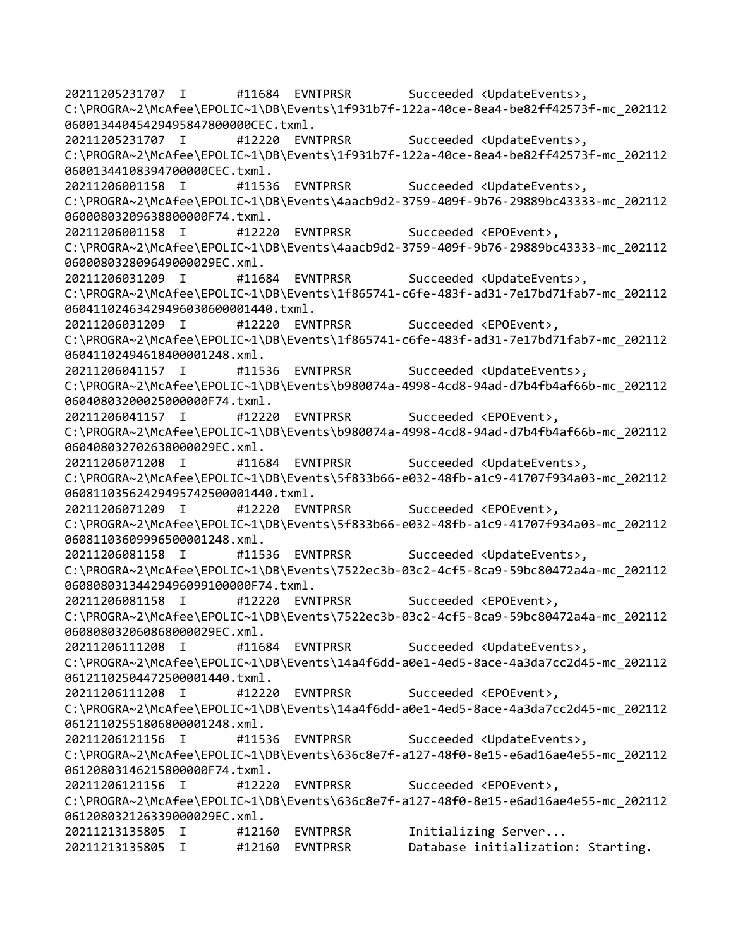20211205231707 I #11684 EVNTPRSR Succeeded <UpdateEvents>, C:\PROGRA~2\McAfee\EPOLIC~1\DB\Events\1f931b7f-122a-40ce-8ea4-be82ff42573f-mc\_202112 06001344045429495847800000CEC.txml. 20211205231707 I #12220 EVNTPRSR Succeeded <UpdateEvents>, C:\PROGRA~2\McAfee\EPOLIC~1\DB\Events\1f931b7f-122a-40ce-8ea4-be82ff42573f-mc\_202112 06001344108394700000CEC.txml. 20211206001158 I #11536 EVNTPRSR Succeeded <UpdateEvents>, C:\PROGRA~2\McAfee\EPOLIC~1\DB\Events\4aacb9d2-3759-409f-9b76-29889bc43333-mc\_202112 06000803209638800000F74.txml. 20211206001158 I #12220 EVNTPRSR Succeeded <EPOEvent>, C:\PROGRA~2\McAfee\EPOLIC~1\DB\Events\4aacb9d2-3759-409f-9b76-29889bc43333-mc\_202112 060008032809649000029EC.xml. 20211206031209 I #11684 EVNTPRSR Succeeded <UpdateEvents>, C:\PROGRA~2\McAfee\EPOLIC~1\DB\Events\1f865741-c6fe-483f-ad31-7e17bd71fab7-mc\_202112 06041102463429496030600001440.txml. 20211206031209 I #12220 EVNTPRSR Succeeded <EPOEvent>, C:\PROGRA~2\McAfee\EPOLIC~1\DB\Events\1f865741-c6fe-483f-ad31-7e17bd71fab7-mc\_202112 06041102494618400001248.xml. 20211206041157 I #11536 EVNTPRSR Succeeded <UpdateEvents>, C:\PROGRA~2\McAfee\EPOLIC~1\DB\Events\b980074a-4998-4cd8-94ad-d7b4fb4af66b-mc\_202112 06040803200025000000F74.txml. 20211206041157 I #12220 EVNTPRSR Succeeded <EPOEvent>, C:\PROGRA~2\McAfee\EPOLIC~1\DB\Events\b980074a-4998-4cd8-94ad-d7b4fb4af66b-mc\_202112 060408032702638000029EC.xml. 20211206071208 I #11684 EVNTPRSR Succeeded <UpdateEvents>, C:\PROGRA~2\McAfee\EPOLIC~1\DB\Events\5f833b66-e032-48fb-a1c9-41707f934a03-mc\_202112 06081103562429495742500001440.txml. 20211206071209 I #12220 EVNTPRSR Succeeded <EPOEvent>, C:\PROGRA~2\McAfee\EPOLIC~1\DB\Events\5f833b66-e032-48fb-a1c9-41707f934a03-mc\_202112 06081103609996500001248.xml. 20211206081158 I #11536 EVNTPRSR Succeeded <UpdateEvents>, C:\PROGRA~2\McAfee\EPOLIC~1\DB\Events\7522ec3b-03c2-4cf5-8ca9-59bc80472a4a-mc\_202112 06080803134429496099100000F74.txml. 20211206081158 I #12220 EVNTPRSR Succeeded <EPOEvent>, C:\PROGRA~2\McAfee\EPOLIC~1\DB\Events\7522ec3b-03c2-4cf5-8ca9-59bc80472a4a-mc\_202112 060808032060868000029EC.xml. 20211206111208 I #11684 EVNTPRSR Succeeded <UpdateEvents>, C:\PROGRA~2\McAfee\EPOLIC~1\DB\Events\14a4f6dd-a0e1-4ed5-8ace-4a3da7cc2d45-mc\_202112 06121102504472500001440.txml. 20211206111208 I #12220 EVNTPRSR Succeeded <EPOEvent>, C:\PROGRA~2\McAfee\EPOLIC~1\DB\Events\14a4f6dd-a0e1-4ed5-8ace-4a3da7cc2d45-mc\_202112 06121102551806800001248.xml. 20211206121156 I #11536 EVNTPRSR Succeeded <UpdateEvents>, C:\PROGRA~2\McAfee\EPOLIC~1\DB\Events\636c8e7f-a127-48f0-8e15-e6ad16ae4e55-mc\_202112 06120803146215800000F74.txml. 20211206121156 I #12220 EVNTPRSR Succeeded <EPOEvent>, C:\PROGRA~2\McAfee\EPOLIC~1\DB\Events\636c8e7f-a127-48f0-8e15-e6ad16ae4e55-mc\_202112 061208032126339000029EC.xml. 20211213135805 I #12160 EVNTPRSR Initializing Server... 20211213135805 I #12160 EVNTPRSR Database initialization: Starting.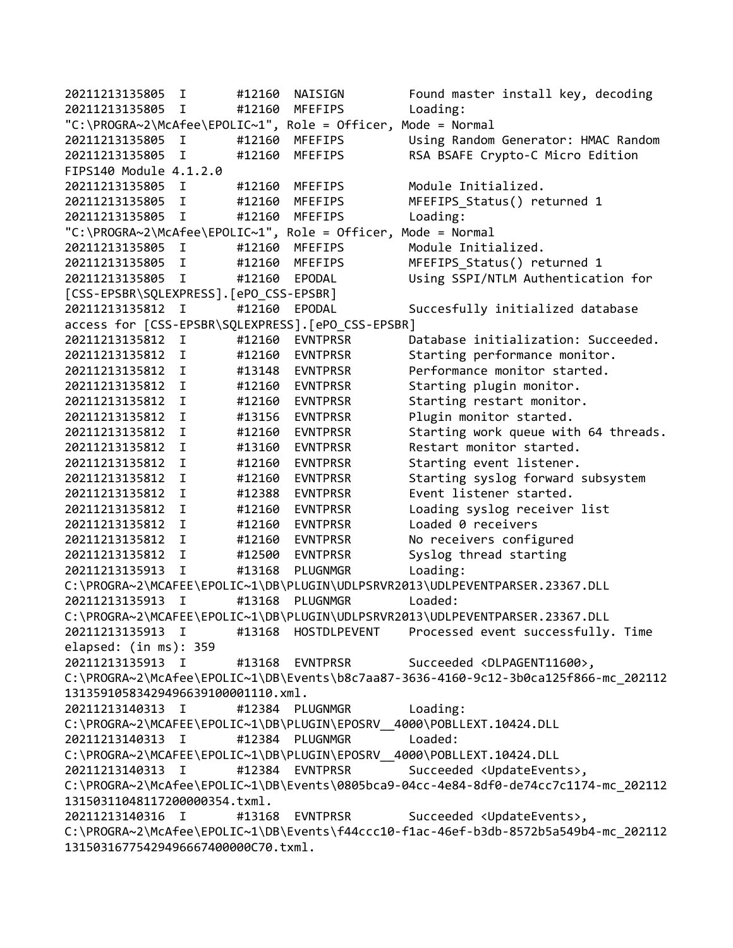20211213135805 I #12160 NAISIGN Found master install key, decoding 20211213135805 I #12160 MFEFIPS Loading: "C:\PROGRA~2\McAfee\EPOLIC~1", Role = Officer, Mode = Normal 20211213135805 I #12160 MFEFIPS Using Random Generator: HMAC Random 20211213135805 I #12160 MFEFIPS RSA BSAFE Crypto-C Micro Edition FIPS140 Module 4.1.2.0 20211213135805 I #12160 MFEFIPS Module Initialized. 20211213135805 I #12160 MFEFIPS MFEFIPS\_Status() returned 1 20211213135805 I #12160 MFEFIPS Loading: "C:\PROGRA~2\McAfee\EPOLIC~1", Role = Officer, Mode = Normal 20211213135805 I #12160 MFEFIPS Module Initialized. 20211213135805 I #12160 MFEFIPS MFEFIPS\_Status() returned 1 20211213135805 I #12160 EPODAL Using SSPI/NTLM Authentication for [CSS-EPSBR\SQLEXPRESS].[ePO\_CSS-EPSBR] 20211213135812 I #12160 EPODAL Succesfully initialized database access for [CSS-EPSBR\SQLEXPRESS].[ePO\_CSS-EPSBR] 20211213135812 I #12160 EVNTPRSR Database initialization: Succeeded. 20211213135812 I #12160 EVNTPRSR Starting performance monitor. 20211213135812 I #13148 EVNTPRSR Performance monitor started. 20211213135812 I #12160 EVNTPRSR Starting plugin monitor. 20211213135812 I #12160 EVNTPRSR Starting restart monitor. 20211213135812 I #13156 EVNTPRSR Plugin monitor started. 20211213135812 I #12160 EVNTPRSR Starting work queue with 64 threads. 20211213135812 I #13160 EVNTPRSR Restart monitor started. 20211213135812 I #12160 EVNTPRSR Starting event listener. 20211213135812 I #12160 EVNTPRSR Starting syslog forward subsystem 20211213135812 I #12388 EVNTPRSR Event listener started. 20211213135812 I #12160 EVNTPRSR Loading syslog receiver list 20211213135812 I #12160 EVNTPRSR Loaded 0 receivers 20211213135812 I #12160 EVNTPRSR No receivers configured 20211213135812 I #12500 EVNTPRSR Syslog thread starting 20211213135913 I #13168 PLUGNMGR Loading: C:\PROGRA~2\MCAFEE\EPOLIC~1\DB\PLUGIN\UDLPSRVR2013\UDLPEVENTPARSER.23367.DLL 20211213135913 I #13168 PLUGNMGR Loaded: C:\PROGRA~2\MCAFEE\EPOLIC~1\DB\PLUGIN\UDLPSRVR2013\UDLPEVENTPARSER.23367.DLL 20211213135913 I #13168 HOSTDLPEVENT Processed event successfully. Time elapsed: (in ms): 359 20211213135913 I #13168 EVNTPRSR Succeeded <DLPAGENT11600>, C:\PROGRA~2\McAfee\EPOLIC~1\DB\Events\b8c7aa87-3636-4160-9c12-3b0ca125f866-mc\_202112 13135910583429496639100001110.xml. 20211213140313 I #12384 PLUGNMGR Loading: C:\PROGRA~2\MCAFEE\EPOLIC~1\DB\PLUGIN\EPOSRV\_\_4000\POBLLEXT.10424.DLL 20211213140313 I #12384 PLUGNMGR Loaded: C:\PROGRA~2\MCAFEE\EPOLIC~1\DB\PLUGIN\EPOSRV\_\_4000\POBLLEXT.10424.DLL 20211213140313 I #12384 EVNTPRSR Succeeded <UpdateEvents>, C:\PROGRA~2\McAfee\EPOLIC~1\DB\Events\0805bca9-04cc-4e84-8df0-de74cc7c1174-mc\_202112 13150311048117200000354.txml. 20211213140316 I #13168 EVNTPRSR Succeeded <UpdateEvents>, C:\PROGRA~2\McAfee\EPOLIC~1\DB\Events\f44ccc10-f1ac-46ef-b3db-8572b5a549b4-mc\_202112 13150316775429496667400000C70.txml.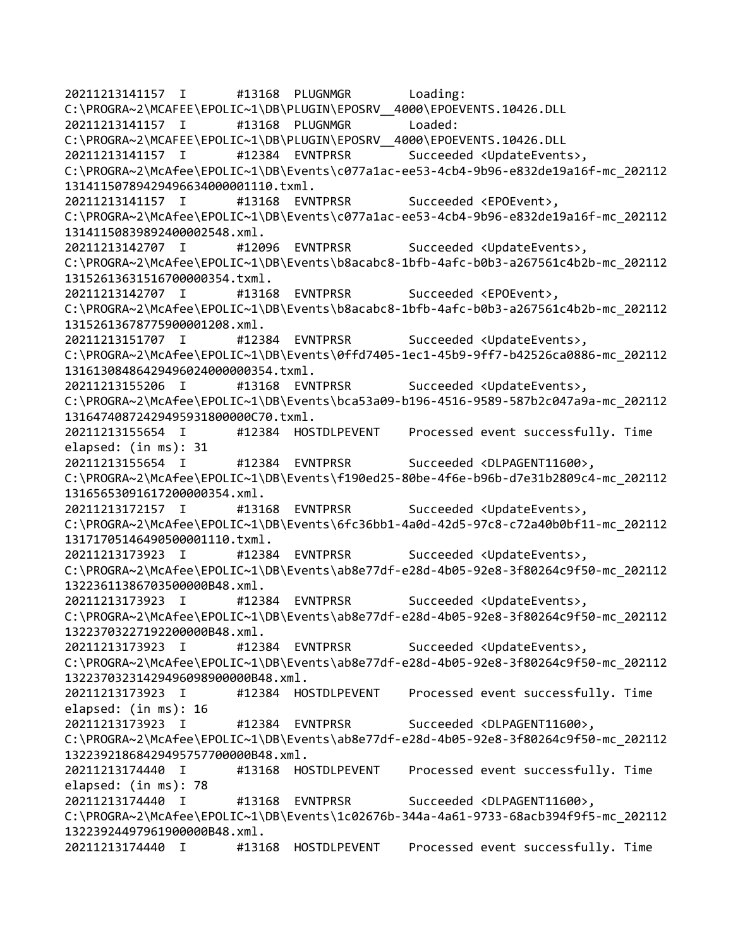20211213141157 I #13168 PLUGNMGR Loading: C:\PROGRA~2\MCAFEE\EPOLIC~1\DB\PLUGIN\EPOSRV\_\_4000\EPOEVENTS.10426.DLL 20211213141157 I #13168 PLUGNMGR Loaded: C:\PROGRA~2\MCAFEE\EPOLIC~1\DB\PLUGIN\EPOSRV\_\_4000\EPOEVENTS.10426.DLL 20211213141157 I #12384 EVNTPRSR Succeeded <UpdateEvents>, C:\PROGRA~2\McAfee\EPOLIC~1\DB\Events\c077a1ac-ee53-4cb4-9b96-e832de19a16f-mc\_202112 13141150789429496634000001110.txml. 20211213141157 I #13168 EVNTPRSR Succeeded <EPOEvent>, C:\PROGRA~2\McAfee\EPOLIC~1\DB\Events\c077a1ac-ee53-4cb4-9b96-e832de19a16f-mc\_202112 13141150839892400002548.xml. 20211213142707 I #12096 EVNTPRSR Succeeded <UpdateEvents>, C:\PROGRA~2\McAfee\EPOLIC~1\DB\Events\b8acabc8-1bfb-4afc-b0b3-a267561c4b2b-mc\_202112 13152613631516700000354.txml. 20211213142707 I #13168 EVNTPRSR Succeeded <EPOEvent>, C:\PROGRA~2\McAfee\EPOLIC~1\DB\Events\b8acabc8-1bfb-4afc-b0b3-a267561c4b2b-mc\_202112 13152613678775900001208.xml. 20211213151707 I #12384 EVNTPRSR Succeeded <UpdateEvents>, C:\PROGRA~2\McAfee\EPOLIC~1\DB\Events\0ffd7405-1ec1-45b9-9ff7-b42526ca0886-mc\_202112 13161308486429496024000000354.txml. 20211213155206 I #13168 EVNTPRSR Succeeded <UpdateEvents>, C:\PROGRA~2\McAfee\EPOLIC~1\DB\Events\bca53a09-b196-4516-9589-587b2c047a9a-mc\_202112 13164740872429495931800000C70.txml. 20211213155654 I #12384 HOSTDLPEVENT Processed event successfully. Time elapsed: (in ms): 31 20211213155654 I #12384 EVNTPRSR Succeeded <DLPAGENT11600>, C:\PROGRA~2\McAfee\EPOLIC~1\DB\Events\f190ed25-80be-4f6e-b96b-d7e31b2809c4-mc\_202112 13165653091617200000354.xml. 20211213172157 I #13168 EVNTPRSR Succeeded <UpdateEvents>, C:\PROGRA~2\McAfee\EPOLIC~1\DB\Events\6fc36bb1-4a0d-42d5-97c8-c72a40b0bf11-mc\_202112 13171705146490500001110.txml. 20211213173923 I #12384 EVNTPRSR Succeeded <UpdateEvents>, C:\PROGRA~2\McAfee\EPOLIC~1\DB\Events\ab8e77df-e28d-4b05-92e8-3f80264c9f50-mc\_202112 13223611386703500000B48.xml. 20211213173923 I #12384 EVNTPRSR Succeeded <UpdateEvents>, C:\PROGRA~2\McAfee\EPOLIC~1\DB\Events\ab8e77df-e28d-4b05-92e8-3f80264c9f50-mc\_202112 13223703227192200000B48.xml. 20211213173923 I #12384 EVNTPRSR Succeeded <UpdateEvents>, C:\PROGRA~2\McAfee\EPOLIC~1\DB\Events\ab8e77df-e28d-4b05-92e8-3f80264c9f50-mc\_202112 13223703231429496098900000B48.xml. 20211213173923 I #12384 HOSTDLPEVENT Processed event successfully. Time elapsed: (in ms): 16 20211213173923 I #12384 EVNTPRSR Succeeded <DLPAGENT11600>, C:\PROGRA~2\McAfee\EPOLIC~1\DB\Events\ab8e77df-e28d-4b05-92e8-3f80264c9f50-mc\_202112 13223921868429495757700000B48.xml. 20211213174440 I #13168 HOSTDLPEVENT Processed event successfully. Time elapsed: (in ms): 78 20211213174440 I #13168 EVNTPRSR Succeeded <DLPAGENT11600>, C:\PROGRA~2\McAfee\EPOLIC~1\DB\Events\1c02676b-344a-4a61-9733-68acb394f9f5-mc\_202112 13223924497961900000B48.xml. 20211213174440 I #13168 HOSTDLPEVENT Processed event successfully. Time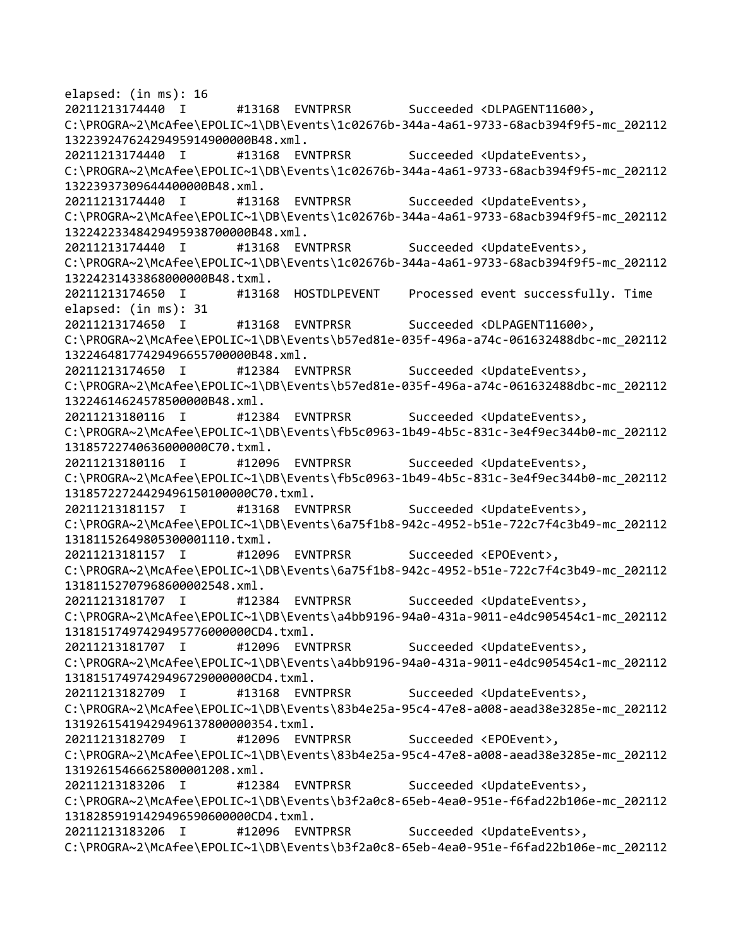elapsed: (in ms): 16 20211213174440 I #13168 EVNTPRSR Succeeded <DLPAGENT11600>, C:\PROGRA~2\McAfee\EPOLIC~1\DB\Events\1c02676b-344a-4a61-9733-68acb394f9f5-mc\_202112 13223924762429495914900000B48.xml. 20211213174440 I #13168 EVNTPRSR Succeeded <UpdateEvents>, C:\PROGRA~2\McAfee\EPOLIC~1\DB\Events\1c02676b-344a-4a61-9733-68acb394f9f5-mc\_202112 13223937309644400000B48.xml. 20211213174440 I #13168 EVNTPRSR Succeeded <UpdateEvents>, C:\PROGRA~2\McAfee\EPOLIC~1\DB\Events\1c02676b-344a-4a61-9733-68acb394f9f5-mc\_202112 13224223348429495938700000B48.xml. 20211213174440 I #13168 EVNTPRSR Succeeded <UpdateEvents>, C:\PROGRA~2\McAfee\EPOLIC~1\DB\Events\1c02676b-344a-4a61-9733-68acb394f9f5-mc\_202112 13224231433868000000B48.txml. 20211213174650 I #13168 HOSTDLPEVENT Processed event successfully. Time elapsed: (in ms): 31 20211213174650 I #13168 EVNTPRSR Succeeded <DLPAGENT11600>, C:\PROGRA~2\McAfee\EPOLIC~1\DB\Events\b57ed81e-035f-496a-a74c-061632488dbc-mc\_202112 13224648177429496655700000B48.xml. 20211213174650 I #12384 EVNTPRSR Succeeded <UpdateEvents>, C:\PROGRA~2\McAfee\EPOLIC~1\DB\Events\b57ed81e-035f-496a-a74c-061632488dbc-mc\_202112 13224614624578500000B48.xml. 20211213180116 I #12384 EVNTPRSR Succeeded <UpdateEvents>, C:\PROGRA~2\McAfee\EPOLIC~1\DB\Events\fb5c0963-1b49-4b5c-831c-3e4f9ec344b0-mc\_202112 13185722740636000000C70.txml. 20211213180116 I #12096 EVNTPRSR Succeeded <UpdateEvents>, C:\PROGRA~2\McAfee\EPOLIC~1\DB\Events\fb5c0963-1b49-4b5c-831c-3e4f9ec344b0-mc\_202112 13185722724429496150100000C70.txml. 20211213181157 I #13168 EVNTPRSR Succeeded <UpdateEvents>, C:\PROGRA~2\McAfee\EPOLIC~1\DB\Events\6a75f1b8-942c-4952-b51e-722c7f4c3b49-mc\_202112 13181152649805300001110.txml. 20211213181157 I #12096 EVNTPRSR Succeeded <EPOEvent>, C:\PROGRA~2\McAfee\EPOLIC~1\DB\Events\6a75f1b8-942c-4952-b51e-722c7f4c3b49-mc\_202112 13181152707968600002548.xml. 20211213181707 I #12384 EVNTPRSR Succeeded <UpdateEvents>, C:\PROGRA~2\McAfee\EPOLIC~1\DB\Events\a4bb9196-94a0-431a-9011-e4dc905454c1-mc\_202112 13181517497429495776000000CD4.txml. 20211213181707 I #12096 EVNTPRSR Succeeded <UpdateEvents>, C:\PROGRA~2\McAfee\EPOLIC~1\DB\Events\a4bb9196-94a0-431a-9011-e4dc905454c1-mc\_202112 13181517497429496729000000CD4.txml. 20211213182709 I #13168 EVNTPRSR Succeeded <UpdateEvents>, C:\PROGRA~2\McAfee\EPOLIC~1\DB\Events\83b4e25a-95c4-47e8-a008-aead38e3285e-mc\_202112 13192615419429496137800000354.txml. 20211213182709 I #12096 EVNTPRSR Succeeded <EPOEvent>, C:\PROGRA~2\McAfee\EPOLIC~1\DB\Events\83b4e25a-95c4-47e8-a008-aead38e3285e-mc\_202112 13192615466625800001208.xml. 20211213183206 I #12384 EVNTPRSR Succeeded <UpdateEvents>, C:\PROGRA~2\McAfee\EPOLIC~1\DB\Events\b3f2a0c8-65eb-4ea0-951e-f6fad22b106e-mc\_202112 13182859191429496590600000CD4.txml. 20211213183206 I #12096 EVNTPRSR Succeeded <UpdateEvents>, C:\PROGRA~2\McAfee\EPOLIC~1\DB\Events\b3f2a0c8-65eb-4ea0-951e-f6fad22b106e-mc\_202112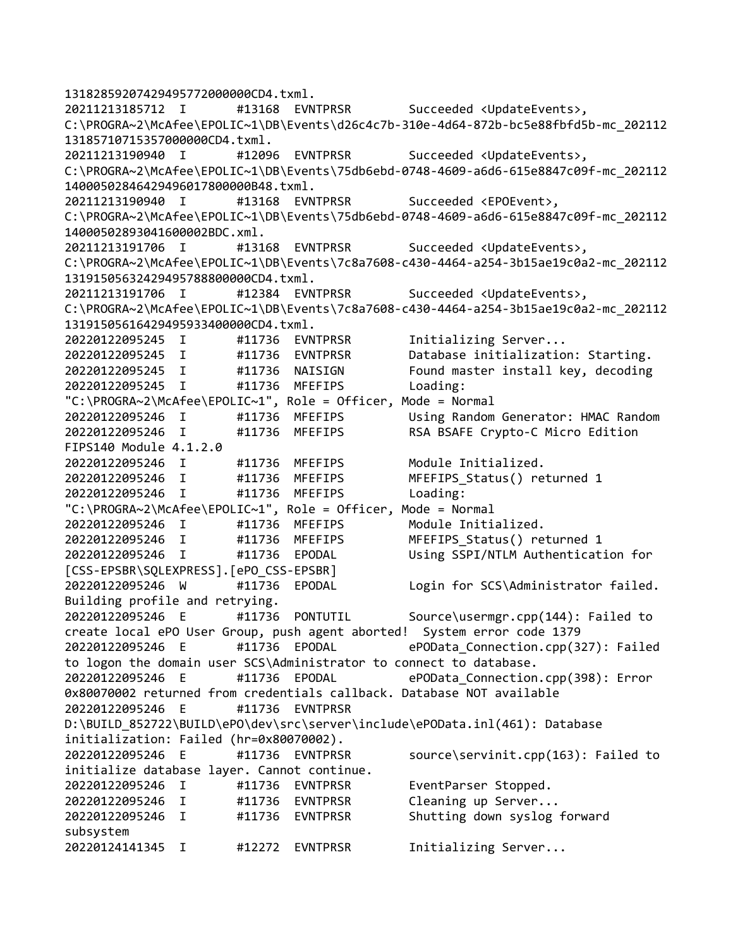```
13182859207429495772000000CD4.txml.
20211213185712 I #13168 EVNTPRSR Succeeded <UpdateEvents>, 
C:\PROGRA~2\McAfee\EPOLIC~1\DB\Events\d26c4c7b-310e-4d64-872b-bc5e88fbfd5b-mc_202112
13185710715357000000CD4.txml.
20211213190940 I #12096 EVNTPRSR Succeeded <UpdateEvents>, 
C:\PROGRA~2\McAfee\EPOLIC~1\DB\Events\75db6ebd-0748-4609-a6d6-615e8847c09f-mc_202112
14000502846429496017800000B48.txml.
20211213190940 I #13168 EVNTPRSR Succeeded <EPOEvent>, 
C:\PROGRA~2\McAfee\EPOLIC~1\DB\Events\75db6ebd-0748-4609-a6d6-615e8847c09f-mc_202112
14000502893041600002BDC.xml.
20211213191706 I #13168 EVNTPRSR Succeeded <UpdateEvents>, 
C:\PROGRA~2\McAfee\EPOLIC~1\DB\Events\7c8a7608-c430-4464-a254-3b15ae19c0a2-mc_202112
13191505632429495788800000CD4.txml.
20211213191706 I #12384 EVNTPRSR Succeeded <UpdateEvents>, 
C:\PROGRA~2\McAfee\EPOLIC~1\DB\Events\7c8a7608-c430-4464-a254-3b15ae19c0a2-mc_202112
13191505616429495933400000CD4.txml.
20220122095245 I #11736 EVNTPRSR Initializing Server... 
20220122095245 I #11736 EVNTPRSR Database initialization: Starting.
20220122095245 I #11736 NAISIGN Found master install key, decoding
20220122095245 I #11736 MFEFIPS Loading: 
"C:\PROGRA~2\McAfee\EPOLIC~1", Role = Officer, Mode = Normal
20220122095246 I #11736 MFEFIPS Using Random Generator: HMAC Random 
20220122095246 I #11736 MFEFIPS RSA BSAFE Crypto-C Micro Edition 
FIPS140 Module 4.1.2.0
20220122095246 I #11736 MFEFIPS Module Initialized. 
20220122095246 I #11736 MFEFIPS MFEFIPS_Status() returned 1
20220122095246 I #11736 MFEFIPS Loading: 
"C:\PROGRA~2\McAfee\EPOLIC~1", Role = Officer, Mode = Normal
20220122095246 I #11736 MFEFIPS Module Initialized. 
20220122095246 I #11736 MFEFIPS MFEFIPS_Status() returned 1
20220122095246 I #11736 EPODAL Using SSPI/NTLM Authentication for 
[CSS-EPSBR\SQLEXPRESS].[ePO_CSS-EPSBR]
20220122095246 W #11736 EPODAL Login for SCS\Administrator failed. 
Building profile and retrying.
20220122095246 E #11736 PONTUTIL Source\usermgr.cpp(144): Failed to 
create local ePO User Group, push agent aborted! System error code 1379
20220122095246 E #11736 EPODAL ePOData_Connection.cpp(327): Failed 
to logon the domain user SCS\Administrator to connect to database.
20220122095246 E #11736 EPODAL ePOData_Connection.cpp(398): Error 
0x80070002 returned from credentials callback. Database NOT available
20220122095246 E #11736 EVNTPRSR 
D:\BUILD_852722\BUILD\ePO\dev\src\server\include\ePOData.inl(461): Database
initialization: Failed (hr=0x80070002).
20220122095246 E    #11736 EVNTPRSR    source\servinit.cpp(163): Failed to
initialize database layer. Cannot continue.
20220122095246 I #11736 EVNTPRSR EventParser Stopped. 
20220122095246 I #11736 EVNTPRSR Cleaning up Server...
20220122095246 I #11736 EVNTPRSR Shutting down syslog forward 
subsystem
20220124141345 I #12272 EVNTPRSR Initializing Server...
```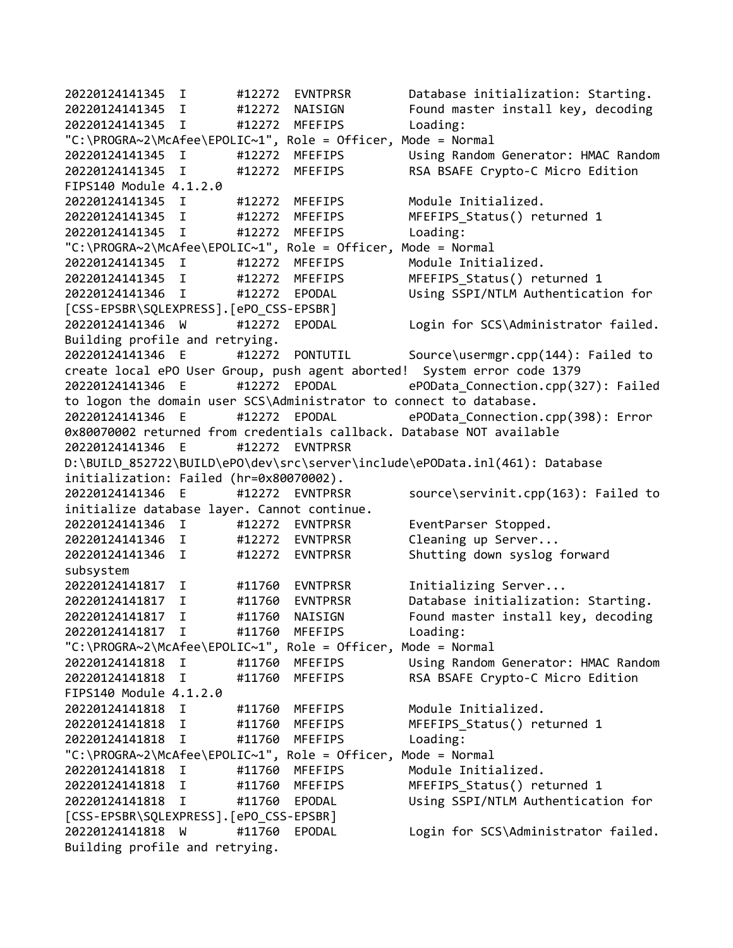20220124141345 I #12272 EVNTPRSR Database initialization: Starting. 20220124141345 I #12272 NAISIGN Found master install key, decoding 20220124141345 I #12272 MFEFIPS Loading: "C:\PROGRA~2\McAfee\EPOLIC~1", Role = Officer, Mode = Normal 20220124141345 I #12272 MFEFIPS Using Random Generator: HMAC Random 20220124141345 I #12272 MFEFIPS RSA BSAFE Crypto-C Micro Edition FIPS140 Module 4.1.2.0 20220124141345 I #12272 MFEFIPS Module Initialized. 20220124141345 I #12272 MFEFIPS MFEFIPS\_Status() returned 1 20220124141345 I #12272 MFEFIPS Loading: "C:\PROGRA~2\McAfee\EPOLIC~1", Role = Officer, Mode = Normal 20220124141345 I #12272 MFEFIPS Module Initialized. 20220124141345 I #12272 MFEFIPS MFEFIPS\_Status() returned 1 20220124141346 I #12272 EPODAL Using SSPI/NTLM Authentication for [CSS-EPSBR\SQLEXPRESS].[ePO\_CSS-EPSBR] 20220124141346 W #12272 EPODAL Login for SCS\Administrator failed. Building profile and retrying. 20220124141346 E #12272 PONTUTIL Source\usermgr.cpp(144): Failed to create local ePO User Group, push agent aborted! System error code 1379 20220124141346 E #12272 EPODAL ePOData\_Connection.cpp(327): Failed to logon the domain user SCS\Administrator to connect to database. 20220124141346 E #12272 EPODAL ePOData\_Connection.cpp(398): Error 0x80070002 returned from credentials callback. Database NOT available 20220124141346 E #12272 EVNTPRSR D:\BUILD\_852722\BUILD\ePO\dev\src\server\include\ePOData.inl(461): Database initialization: Failed (hr=0x80070002). 20220124141346 E #12272 EVNTPRSR source\servinit.cpp(163): Failed to initialize database layer. Cannot continue. 20220124141346 I #12272 EVNTPRSR EventParser Stopped. 20220124141346 I #12272 EVNTPRSR Cleaning up Server... 20220124141346 I #12272 EVNTPRSR Shutting down syslog forward subsystem 20220124141817 I #11760 EVNTPRSR Initializing Server... 20220124141817 I #11760 EVNTPRSR Database initialization: Starting. 20220124141817 I #11760 NAISIGN Found master install key, decoding 20220124141817 I #11760 MFEFIPS Loading: "C:\PROGRA~2\McAfee\EPOLIC~1", Role = Officer, Mode = Normal 20220124141818 I #11760 MFEFIPS Using Random Generator: HMAC Random 20220124141818 I #11760 MFEFIPS RSA BSAFE Crypto-C Micro Edition FIPS140 Module 4.1.2.0 20220124141818 I #11760 MFEFIPS Module Initialized. 20220124141818 I #11760 MFEFIPS MFEFIPS\_Status() returned 1 20220124141818 I #11760 MFEFIPS Loading: "C:\PROGRA~2\McAfee\EPOLIC~1", Role = Officer, Mode = Normal 20220124141818 I #11760 MFEFIPS Module Initialized. 20220124141818 I #11760 MFEFIPS MFEFIPS\_Status() returned 1 20220124141818 I #11760 EPODAL Using SSPI/NTLM Authentication for [CSS-EPSBR\SQLEXPRESS].[ePO\_CSS-EPSBR] 20220124141818 W #11760 EPODAL Login for SCS\Administrator failed. Building profile and retrying.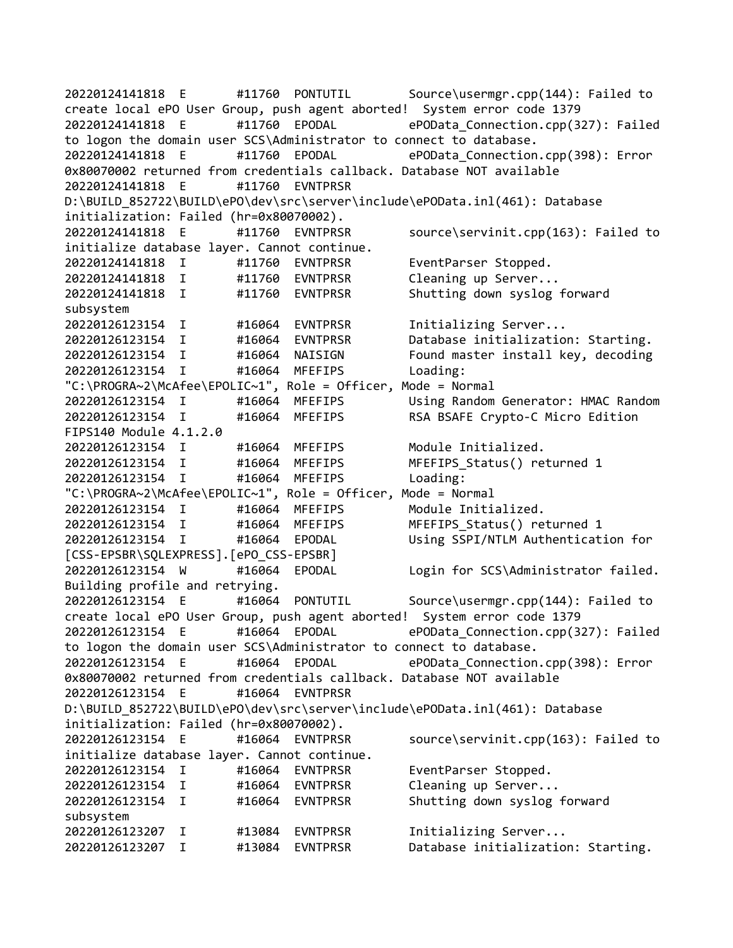20220124141818 E #11760 PONTUTIL Source\usermgr.cpp(144): Failed to create local ePO User Group, push agent aborted! System error code 1379 20220124141818 E #11760 EPODAL ePOData\_Connection.cpp(327): Failed to logon the domain user SCS\Administrator to connect to database. 20220124141818 E #11760 EPODAL ePOData\_Connection.cpp(398): Error 0x80070002 returned from credentials callback. Database NOT available 20220124141818 E #11760 EVNTPRSR D:\BUILD\_852722\BUILD\ePO\dev\src\server\include\ePOData.inl(461): Database initialization: Failed (hr=0x80070002). 20220124141818 E #11760 EVNTPRSR source\servinit.cpp(163): Failed to initialize database layer. Cannot continue. 20220124141818 I #11760 EVNTPRSR EventParser Stopped. 20220124141818 I #11760 EVNTPRSR Cleaning up Server... 20220124141818 I #11760 EVNTPRSR Shutting down syslog forward subsystem 20220126123154 I #16064 EVNTPRSR Initializing Server... 20220126123154 I #16064 EVNTPRSR Database initialization: Starting. 20220126123154 I #16064 NAISIGN Found master install key, decoding 20220126123154 I #16064 MFEFIPS Loading: "C:\PROGRA~2\McAfee\EPOLIC~1", Role = Officer, Mode = Normal 20220126123154 I #16064 MFEFIPS Using Random Generator: HMAC Random 20220126123154 I #16064 MFEFIPS RSA BSAFE Crypto-C Micro Edition FIPS140 Module 4.1.2.0 20220126123154 I #16064 MFEFIPS Module Initialized. 20220126123154 I #16064 MFEFIPS MFEFIPS\_Status() returned 1 20220126123154 I #16064 MFEFIPS Loading: "C:\PROGRA~2\McAfee\EPOLIC~1", Role = Officer, Mode = Normal 20220126123154 I #16064 MFEFIPS Module Initialized. 20220126123154 I #16064 MFEFIPS MFEFIPS\_Status() returned 1 20220126123154 I #16064 EPODAL Using SSPI/NTLM Authentication for [CSS-EPSBR\SQLEXPRESS].[ePO\_CSS-EPSBR] 20220126123154 W #16064 EPODAL Login for SCS\Administrator failed. Building profile and retrying. 20220126123154 E #16064 PONTUTIL Source\usermgr.cpp(144): Failed to create local ePO User Group, push agent aborted! System error code 1379 20220126123154 E #16064 EPODAL ePOData\_Connection.cpp(327): Failed to logon the domain user SCS\Administrator to connect to database. 20220126123154 E #16064 EPODAL ePOData\_Connection.cpp(398): Error 0x80070002 returned from credentials callback. Database NOT available 20220126123154 E #16064 EVNTPRSR D:\BUILD\_852722\BUILD\ePO\dev\src\server\include\ePOData.inl(461): Database initialization: Failed (hr=0x80070002). 20220126123154 E #16064 EVNTPRSR source\servinit.cpp(163): Failed to initialize database layer. Cannot continue. 20220126123154 I #16064 EVNTPRSR EventParser Stopped. 20220126123154 I #16064 EVNTPRSR Cleaning up Server... 20220126123154 I #16064 EVNTPRSR Shutting down syslog forward subsystem 20220126123207 I #13084 EVNTPRSR Initializing Server... 20220126123207 I #13084 EVNTPRSR Database initialization: Starting.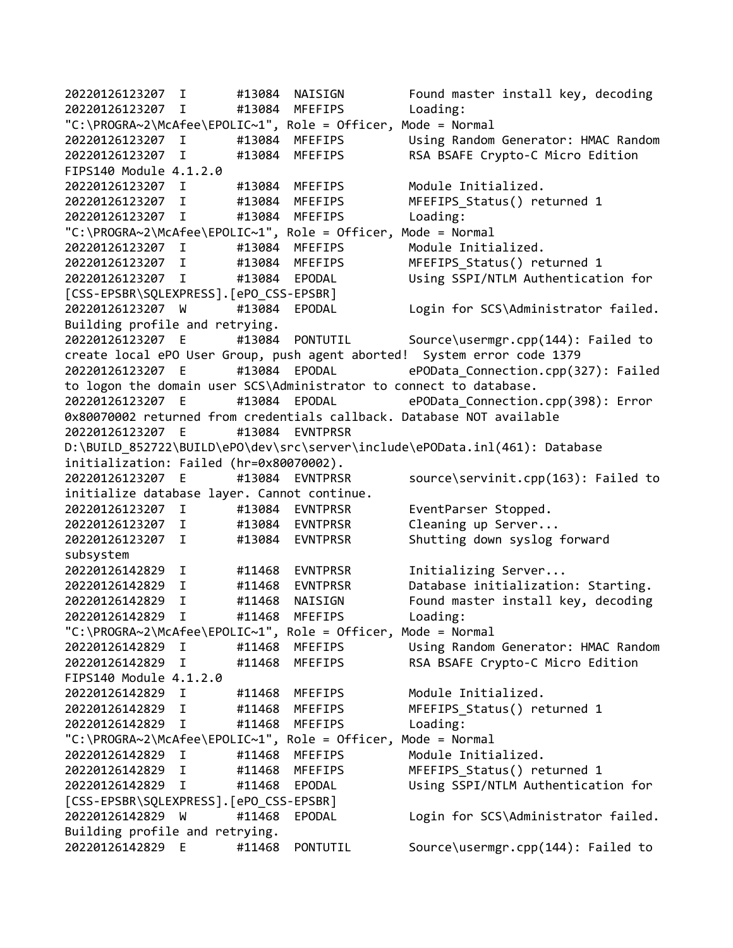20220126123207 I #13084 NAISIGN Found master install key, decoding 20220126123207 I #13084 MFEFIPS Loading: "C:\PROGRA~2\McAfee\EPOLIC~1", Role = Officer, Mode = Normal 20220126123207 I #13084 MFEFIPS Using Random Generator: HMAC Random 20220126123207 I #13084 MFEFIPS RSA BSAFE Crypto-C Micro Edition FIPS140 Module 4.1.2.0 20220126123207 I #13084 MFEFIPS Module Initialized. 20220126123207 I #13084 MFEFIPS MFEFIPS\_Status() returned 1 20220126123207 I #13084 MFEFIPS Loading: "C:\PROGRA~2\McAfee\EPOLIC~1", Role = Officer, Mode = Normal 20220126123207 I #13084 MFEFIPS Module Initialized. 20220126123207 I #13084 MFEFIPS MFEFIPS\_Status() returned 1 20220126123207 I #13084 EPODAL Using SSPI/NTLM Authentication for [CSS-EPSBR\SQLEXPRESS].[ePO\_CSS-EPSBR] 20220126123207 W #13084 EPODAL Login for SCS\Administrator failed. Building profile and retrying. 20220126123207 E #13084 PONTUTIL Source\usermgr.cpp(144): Failed to create local ePO User Group, push agent aborted! System error code 1379 20220126123207 E #13084 EPODAL ePOData\_Connection.cpp(327): Failed to logon the domain user SCS\Administrator to connect to database. 20220126123207 E #13084 EPODAL ePOData\_Connection.cpp(398): Error 0x80070002 returned from credentials callback. Database NOT available 20220126123207 E #13084 EVNTPRSR D:\BUILD\_852722\BUILD\ePO\dev\src\server\include\ePOData.inl(461): Database initialization: Failed (hr=0x80070002). 20220126123207 E #13084 EVNTPRSR source\servinit.cpp(163): Failed to initialize database layer. Cannot continue. 20220126123207 I #13084 EVNTPRSR EventParser Stopped. 20220126123207 I #13084 EVNTPRSR Cleaning up Server... 20220126123207 I #13084 EVNTPRSR Shutting down syslog forward subsystem 20220126142829 I #11468 EVNTPRSR Initializing Server... 20220126142829 I #11468 EVNTPRSR Database initialization: Starting. 20220126142829 I #11468 NAISIGN Found master install key, decoding 20220126142829 I #11468 MFEFIPS Loading: "C:\PROGRA~2\McAfee\EPOLIC~1", Role = Officer, Mode = Normal 20220126142829 I #11468 MFEFIPS Using Random Generator: HMAC Random 20220126142829 I #11468 MFEFIPS RSA BSAFE Crypto-C Micro Edition FIPS140 Module 4.1.2.0 20220126142829 I #11468 MFEFIPS Module Initialized. 20220126142829 I #11468 MFEFIPS MFEFIPS\_Status() returned 1 20220126142829 I #11468 MFEFIPS Loading: "C:\PROGRA~2\McAfee\EPOLIC~1", Role = Officer, Mode = Normal 20220126142829 I #11468 MFEFIPS Module Initialized. 20220126142829 I #11468 MFEFIPS MFEFIPS\_Status() returned 1 20220126142829 I #11468 EPODAL Using SSPI/NTLM Authentication for [CSS-EPSBR\SQLEXPRESS].[ePO\_CSS-EPSBR] 20220126142829 W #11468 EPODAL Login for SCS\Administrator failed. Building profile and retrying. 20220126142829 E #11468 PONTUTIL Source\usermgr.cpp(144): Failed to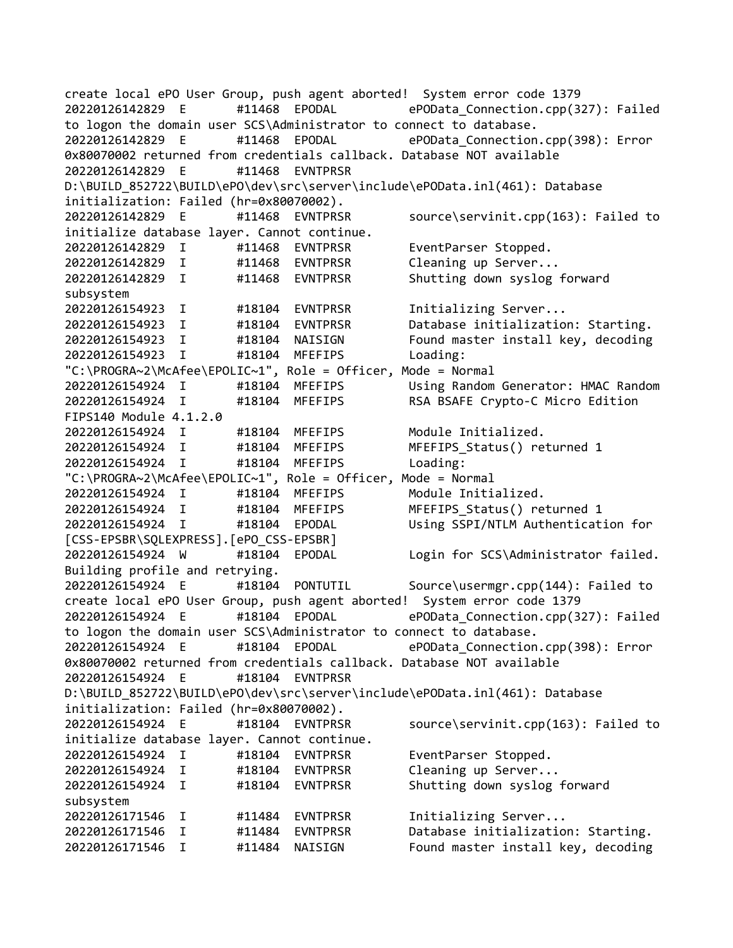create local ePO User Group, push agent aborted! System error code 1379 20220126142829 E #11468 EPODAL ePOData\_Connection.cpp(327): Failed to logon the domain user SCS\Administrator to connect to database. 20220126142829 E #11468 EPODAL ePOData\_Connection.cpp(398): Error 0x80070002 returned from credentials callback. Database NOT available 20220126142829 E #11468 EVNTPRSR D:\BUILD\_852722\BUILD\ePO\dev\src\server\include\ePOData.inl(461): Database initialization: Failed (hr=0x80070002). 20220126142829 E #11468 EVNTPRSR source\servinit.cpp(163): Failed to initialize database layer. Cannot continue. 20220126142829 I #11468 EVNTPRSR EventParser Stopped. 20220126142829 I #11468 EVNTPRSR Cleaning up Server... 20220126142829 I #11468 EVNTPRSR Shutting down syslog forward subsystem 20220126154923 I #18104 EVNTPRSR Initializing Server... 20220126154923 I #18104 EVNTPRSR Database initialization: Starting. 20220126154923 I #18104 NAISIGN Found master install key, decoding 20220126154923 I #18104 MFEFIPS Loading: "C:\PROGRA~2\McAfee\EPOLIC~1", Role = Officer, Mode = Normal 20220126154924 I #18104 MFEFIPS Using Random Generator: HMAC Random 20220126154924 I #18104 MFEFIPS RSA BSAFE Crypto-C Micro Edition FIPS140 Module 4.1.2.0 20220126154924 I #18104 MFEFIPS Module Initialized. 20220126154924 I #18104 MFEFIPS MFEFIPS\_Status() returned 1 20220126154924 I #18104 MFEFIPS Loading: "C:\PROGRA~2\McAfee\EPOLIC~1", Role = Officer, Mode = Normal 20220126154924 I #18104 MFEFIPS Module Initialized. 20220126154924 I #18104 MFEFIPS MFEFIPS\_Status() returned 1 20220126154924 I #18104 EPODAL Using SSPI/NTLM Authentication for [CSS-EPSBR\SQLEXPRESS].[ePO\_CSS-EPSBR] 20220126154924 W #18104 EPODAL Login for SCS\Administrator failed. Building profile and retrying. 20220126154924 E #18104 PONTUTIL Source\usermgr.cpp(144): Failed to create local ePO User Group, push agent aborted! System error code 1379 20220126154924 E #18104 EPODAL ePOData\_Connection.cpp(327): Failed to logon the domain user SCS\Administrator to connect to database. 20220126154924 E #18104 EPODAL ePOData\_Connection.cpp(398): Error 0x80070002 returned from credentials callback. Database NOT available 20220126154924 E #18104 EVNTPRSR D:\BUILD\_852722\BUILD\ePO\dev\src\server\include\ePOData.inl(461): Database initialization: Failed (hr=0x80070002). 20220126154924 E #18104 EVNTPRSR source\servinit.cpp(163): Failed to initialize database layer. Cannot continue. 20220126154924 I #18104 EVNTPRSR EventParser Stopped. 20220126154924 I #18104 EVNTPRSR Cleaning up Server... 20220126154924 I #18104 EVNTPRSR Shutting down syslog forward subsystem 20220126171546 I #11484 EVNTPRSR Initializing Server... 20220126171546 I #11484 EVNTPRSR Database initialization: Starting. 20220126171546 I #11484 NAISIGN Found master install key, decoding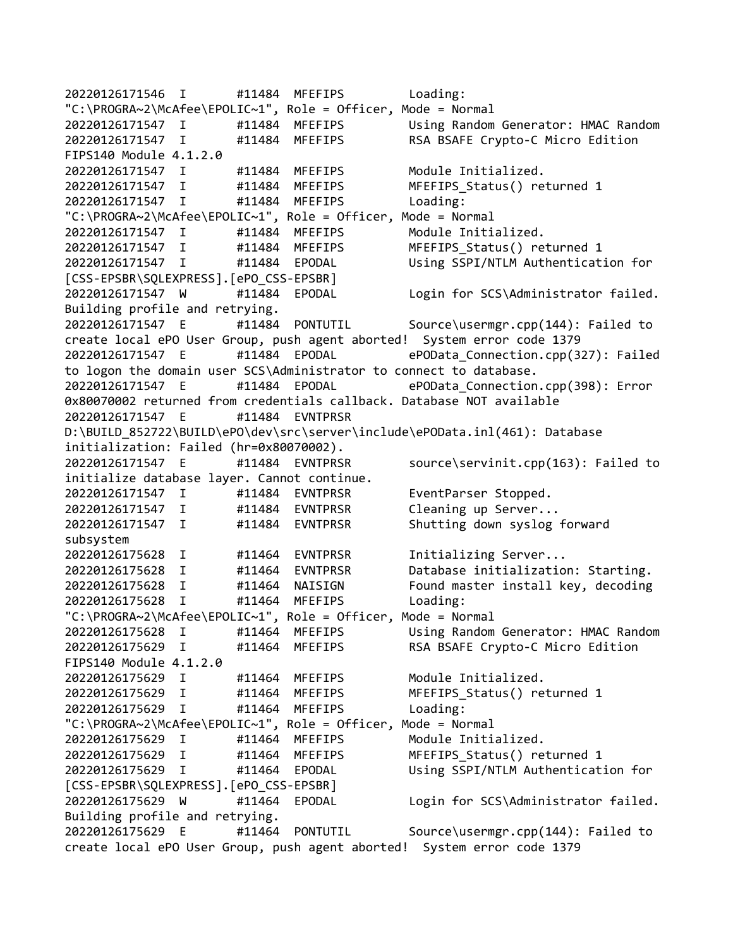20220126171546 I #11484 MFEFIPS Loading: "C:\PROGRA~2\McAfee\EPOLIC~1", Role = Officer, Mode = Normal 20220126171547 I #11484 MFEFIPS Using Random Generator: HMAC Random 20220126171547 I #11484 MFEFIPS RSA BSAFE Crypto-C Micro Edition FIPS140 Module 4.1.2.0 20220126171547 I #11484 MFEFIPS Module Initialized. 20220126171547 I #11484 MFEFIPS MFEFIPS\_Status() returned 1 20220126171547 I #11484 MFEFIPS Loading: "C:\PROGRA~2\McAfee\EPOLIC~1", Role = Officer, Mode = Normal 20220126171547 I #11484 MFEFIPS Module Initialized. 20220126171547 I #11484 MFEFIPS MFEFIPS\_Status() returned 1 20220126171547 I #11484 EPODAL Using SSPI/NTLM Authentication for [CSS-EPSBR\SQLEXPRESS].[ePO\_CSS-EPSBR] 20220126171547 W #11484 EPODAL Login for SCS\Administrator failed. Building profile and retrying. 20220126171547 E #11484 PONTUTIL Source\usermgr.cpp(144): Failed to create local ePO User Group, push agent aborted! System error code 1379 20220126171547 E #11484 EPODAL ePOData\_Connection.cpp(327): Failed to logon the domain user SCS\Administrator to connect to database. 20220126171547 E #11484 EPODAL ePOData\_Connection.cpp(398): Error 0x80070002 returned from credentials callback. Database NOT available 20220126171547 E #11484 EVNTPRSR D:\BUILD\_852722\BUILD\ePO\dev\src\server\include\ePOData.inl(461): Database initialization: Failed (hr=0x80070002). 20220126171547 E #11484 EVNTPRSR source\servinit.cpp(163): Failed to initialize database layer. Cannot continue. 20220126171547 I #11484 EVNTPRSR EventParser Stopped. 20220126171547 I #11484 EVNTPRSR Cleaning up Server... 20220126171547 I #11484 EVNTPRSR Shutting down syslog forward subsystem 20220126175628 I #11464 EVNTPRSR Initializing Server... 20220126175628 I #11464 EVNTPRSR Database initialization: Starting. 20220126175628 I #11464 NAISIGN Found master install key, decoding 20220126175628 I #11464 MFEFIPS Loading: "C:\PROGRA~2\McAfee\EPOLIC~1", Role = Officer, Mode = Normal 20220126175628 I #11464 MFEFIPS Using Random Generator: HMAC Random 20220126175629 I #11464 MFEFIPS RSA BSAFE Crypto-C Micro Edition FIPS140 Module 4.1.2.0 20220126175629 I #11464 MFEFIPS Module Initialized. 20220126175629 I #11464 MFEFIPS MFEFIPS\_Status() returned 1 20220126175629 I #11464 MFEFIPS Loading: "C:\PROGRA~2\McAfee\EPOLIC~1", Role = Officer, Mode = Normal 20220126175629 I #11464 MFEFIPS Module Initialized. 20220126175629 I #11464 MFEFIPS MFEFIPS\_Status() returned 1 20220126175629 I #11464 EPODAL Using SSPI/NTLM Authentication for [CSS-EPSBR\SQLEXPRESS].[ePO\_CSS-EPSBR] 20220126175629 W #11464 EPODAL Login for SCS\Administrator failed. Building profile and retrying. 20220126175629 E #11464 PONTUTIL Source\usermgr.cpp(144): Failed to create local ePO User Group, push agent aborted! System error code 1379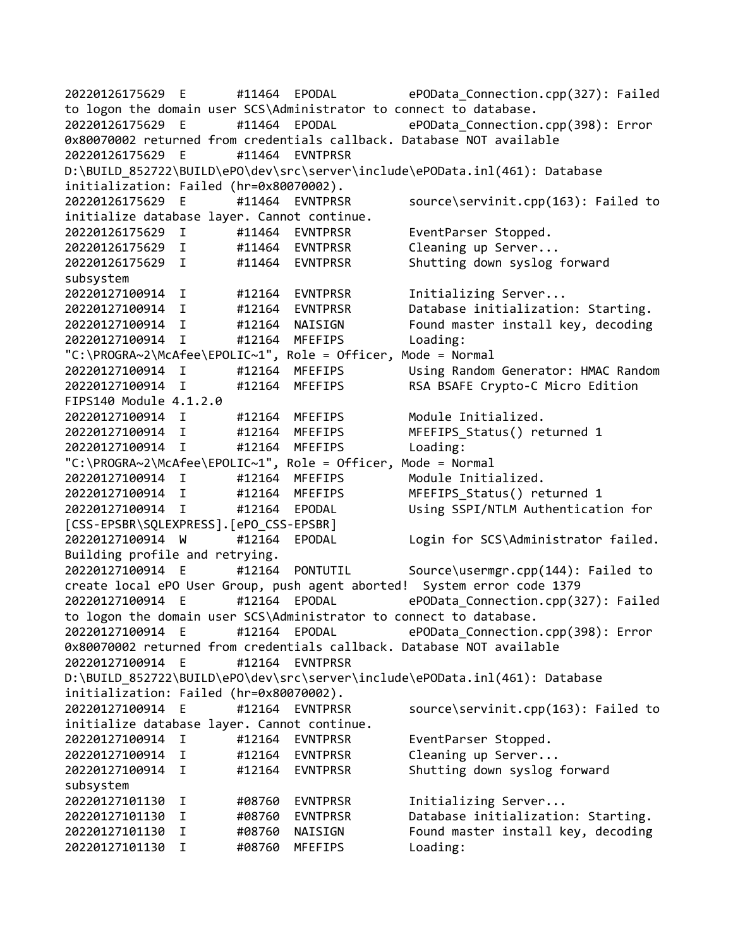20220126175629 E #11464 EPODAL ePOData\_Connection.cpp(327): Failed to logon the domain user SCS\Administrator to connect to database. 20220126175629 E #11464 EPODAL ePOData\_Connection.cpp(398): Error 0x80070002 returned from credentials callback. Database NOT available 20220126175629 E #11464 EVNTPRSR D:\BUILD\_852722\BUILD\ePO\dev\src\server\include\ePOData.inl(461): Database initialization: Failed (hr=0x80070002). 20220126175629 E #11464 EVNTPRSR source\servinit.cpp(163): Failed to initialize database layer. Cannot continue. 20220126175629 I #11464 EVNTPRSR EventParser Stopped. 20220126175629 I #11464 EVNTPRSR Cleaning up Server... 20220126175629 I #11464 EVNTPRSR Shutting down syslog forward subsystem 20220127100914 I #12164 EVNTPRSR Initializing Server... 20220127100914 I #12164 EVNTPRSR Database initialization: Starting. 20220127100914 I #12164 NAISIGN Found master install key, decoding 20220127100914 I #12164 MFEFIPS Loading: "C:\PROGRA~2\McAfee\EPOLIC~1", Role = Officer, Mode = Normal 20220127100914 I #12164 MFEFIPS Using Random Generator: HMAC Random 20220127100914 I #12164 MFEFIPS RSA BSAFE Crypto-C Micro Edition FIPS140 Module 4.1.2.0 20220127100914 I #12164 MFEFIPS Module Initialized. 20220127100914 I #12164 MFEFIPS MFEFIPS\_Status() returned 1 20220127100914 I #12164 MFEFIPS Loading: "C:\PROGRA~2\McAfee\EPOLIC~1", Role = Officer, Mode = Normal 20220127100914 I #12164 MFEFIPS Module Initialized. 20220127100914 I #12164 MFEFIPS MFEFIPS\_Status() returned 1 20220127100914 I #12164 EPODAL Using SSPI/NTLM Authentication for [CSS-EPSBR\SQLEXPRESS].[ePO\_CSS-EPSBR] 20220127100914 W #12164 EPODAL Login for SCS\Administrator failed. Building profile and retrying. 20220127100914 E #12164 PONTUTIL Source\usermgr.cpp(144): Failed to create local ePO User Group, push agent aborted! System error code 1379 20220127100914 E #12164 EPODAL ePOData\_Connection.cpp(327): Failed to logon the domain user SCS\Administrator to connect to database. 20220127100914 E #12164 EPODAL ePOData\_Connection.cpp(398): Error 0x80070002 returned from credentials callback. Database NOT available 20220127100914 E #12164 EVNTPRSR D:\BUILD\_852722\BUILD\ePO\dev\src\server\include\ePOData.inl(461): Database initialization: Failed (hr=0x80070002). 20220127100914 E #12164 EVNTPRSR source\servinit.cpp(163): Failed to initialize database layer. Cannot continue. 20220127100914 I #12164 EVNTPRSR EventParser Stopped. 20220127100914 I #12164 EVNTPRSR Cleaning up Server... 20220127100914 I #12164 EVNTPRSR Shutting down syslog forward subsystem 20220127101130 I #08760 EVNTPRSR Initializing Server... 20220127101130 I #08760 EVNTPRSR Database initialization: Starting. #08760 NAISIGN Found master install key, decoding 20220127101130 I #08760 MFEFIPS Loading: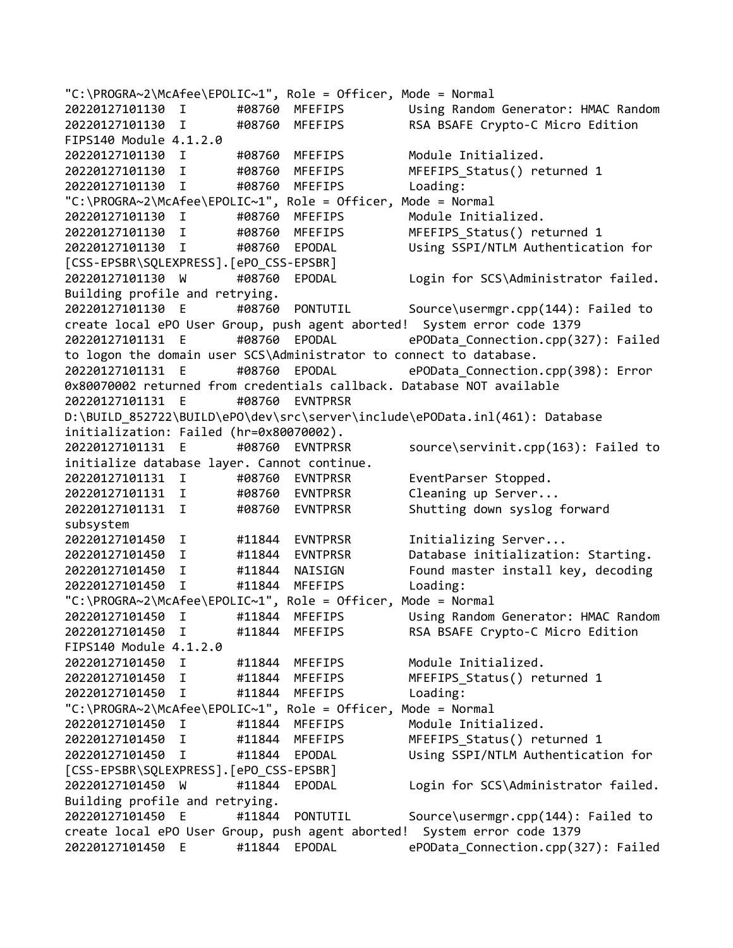"C:\PROGRA~2\McAfee\EPOLIC~1", Role = Officer, Mode = Normal 20220127101130 I #08760 MFEFIPS Using Random Generator: HMAC Random 20220127101130 I #08760 MFEFIPS RSA BSAFE Crypto-C Micro Edition FIPS140 Module 4.1.2.0 20220127101130 I #08760 MFEFIPS Module Initialized. 20220127101130 I #08760 MFEFIPS MFEFIPS\_Status() returned 1 20220127101130 I #08760 MFEFIPS Loading: "C:\PROGRA~2\McAfee\EPOLIC~1", Role = Officer, Mode = Normal 20220127101130 I #08760 MFEFIPS Module Initialized. 20220127101130 I #08760 MFEFIPS MFEFIPS\_Status() returned 1 20220127101130 I #08760 EPODAL Using SSPI/NTLM Authentication for [CSS-EPSBR\SQLEXPRESS].[ePO\_CSS-EPSBR] 20220127101130 W #08760 EPODAL Login for SCS\Administrator failed. Building profile and retrying. 20220127101130 E #08760 PONTUTIL Source\usermgr.cpp(144): Failed to create local ePO User Group, push agent aborted! System error code 1379 20220127101131 E #08760 EPODAL ePOData\_Connection.cpp(327): Failed to logon the domain user SCS\Administrator to connect to database. 20220127101131 E #08760 EPODAL ePOData\_Connection.cpp(398): Error 0x80070002 returned from credentials callback. Database NOT available 20220127101131 E #08760 EVNTPRSR D:\BUILD\_852722\BUILD\ePO\dev\src\server\include\ePOData.inl(461): Database initialization: Failed (hr=0x80070002). 20220127101131 E #08760 EVNTPRSR source\servinit.cpp(163): Failed to initialize database layer. Cannot continue. 20220127101131 I #08760 EVNTPRSR EventParser Stopped. 20220127101131 I #08760 EVNTPRSR Cleaning up Server... 20220127101131 I #08760 EVNTPRSR Shutting down syslog forward subsystem 20220127101450 I #11844 EVNTPRSR Initializing Server... 20220127101450 I #11844 EVNTPRSR Database initialization: Starting. 20220127101450 I #11844 NAISIGN Found master install key, decoding 20220127101450 I #11844 MFEFIPS Loading: "C:\PROGRA~2\McAfee\EPOLIC~1", Role = Officer, Mode = Normal 20220127101450 I #11844 MFEFIPS Using Random Generator: HMAC Random 20220127101450 I #11844 MFEFIPS RSA BSAFE Crypto-C Micro Edition FIPS140 Module 4.1.2.0 20220127101450 I #11844 MFEFIPS Module Initialized. 20220127101450 I #11844 MFEFIPS MFEFIPS\_Status() returned 1 20220127101450 I #11844 MFEFIPS Loading: "C:\PROGRA~2\McAfee\EPOLIC~1", Role = Officer, Mode = Normal 20220127101450 I #11844 MFEFIPS Module Initialized. 20220127101450 I #11844 MFEFIPS MFEFIPS\_Status() returned 1 20220127101450 I #11844 EPODAL Using SSPI/NTLM Authentication for [CSS-EPSBR\SQLEXPRESS].[ePO\_CSS-EPSBR] 20220127101450 W #11844 EPODAL Login for SCS\Administrator failed. Building profile and retrying. 20220127101450 E #11844 PONTUTIL Source\usermgr.cpp(144): Failed to create local ePO User Group, push agent aborted! System error code 1379 20220127101450 E #11844 EPODAL ePOData\_Connection.cpp(327): Failed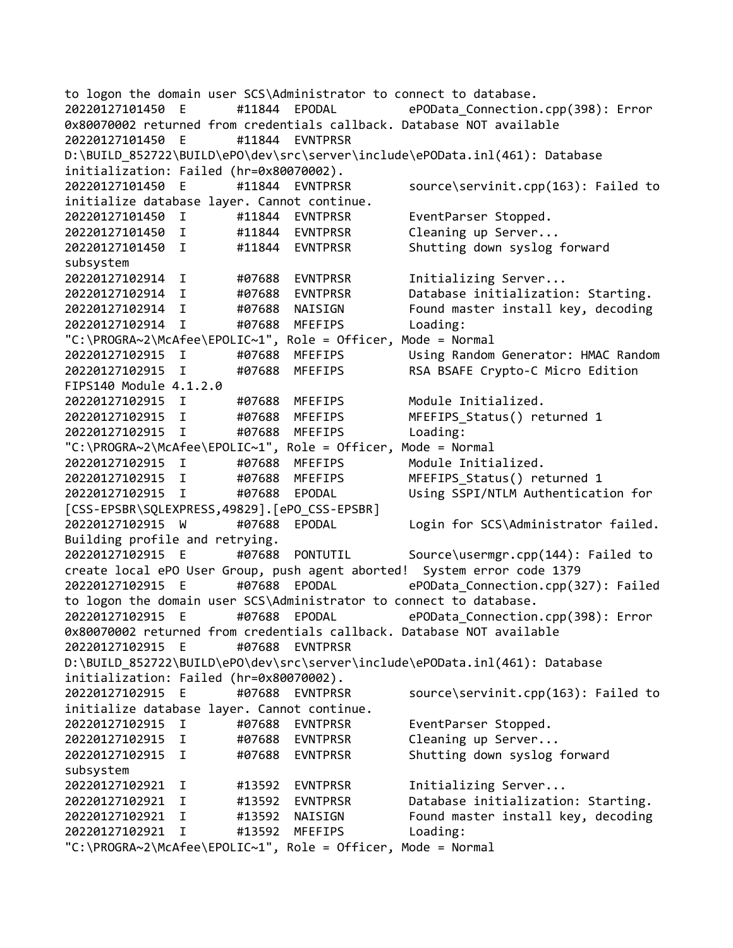to logon the domain user SCS\Administrator to connect to database. 20220127101450 E #11844 EPODAL ePOData\_Connection.cpp(398): Error 0x80070002 returned from credentials callback. Database NOT available 20220127101450 E #11844 EVNTPRSR D:\BUILD\_852722\BUILD\ePO\dev\src\server\include\ePOData.inl(461): Database initialization: Failed (hr=0x80070002). 20220127101450 E #11844 EVNTPRSR source\servinit.cpp(163): Failed to initialize database layer. Cannot continue. 20220127101450 I #11844 EVNTPRSR EventParser Stopped. 20220127101450 I #11844 EVNTPRSR Cleaning up Server... 20220127101450 I #11844 EVNTPRSR Shutting down syslog forward subsystem 20220127102914 I #07688 EVNTPRSR Initializing Server... 20220127102914 I #07688 EVNTPRSR Database initialization: Starting. 20220127102914 I #07688 NAISIGN Found master install key, decoding 20220127102914 I #07688 MFEFIPS Loading: "C:\PROGRA~2\McAfee\EPOLIC~1", Role = Officer, Mode = Normal 20220127102915 I #07688 MFEFIPS Using Random Generator: HMAC Random 20220127102915 I #07688 MFEFIPS RSA BSAFE Crypto-C Micro Edition FIPS140 Module 4.1.2.0 20220127102915 I #07688 MFEFIPS Module Initialized. 20220127102915 I #07688 MFEFIPS MFEFIPS\_Status() returned 1 20220127102915 I #07688 MFEFIPS Loading: "C:\PROGRA~2\McAfee\EPOLIC~1", Role = Officer, Mode = Normal 20220127102915 I #07688 MFEFIPS Module Initialized. 20220127102915 I #07688 MFEFIPS MFEFIPS\_Status() returned 1 20220127102915 I #07688 EPODAL Using SSPI/NTLM Authentication for [CSS-EPSBR\SQLEXPRESS,49829].[ePO\_CSS-EPSBR] 20220127102915 W #07688 EPODAL Login for SCS\Administrator failed. Building profile and retrying. 20220127102915 E #07688 PONTUTIL Source\usermgr.cpp(144): Failed to create local ePO User Group, push agent aborted! System error code 1379 20220127102915 E #07688 EPODAL ePOData\_Connection.cpp(327): Failed to logon the domain user SCS\Administrator to connect to database. 20220127102915 E #07688 EPODAL ePOData\_Connection.cpp(398): Error 0x80070002 returned from credentials callback. Database NOT available 20220127102915 E #07688 EVNTPRSR D:\BUILD\_852722\BUILD\ePO\dev\src\server\include\ePOData.inl(461): Database initialization: Failed (hr=0x80070002). 20220127102915 E #07688 EVNTPRSR source\servinit.cpp(163): Failed to initialize database layer. Cannot continue. 20220127102915 I #07688 EVNTPRSR EventParser Stopped. 20220127102915 I #07688 EVNTPRSR Cleaning up Server... 20220127102915 I #07688 EVNTPRSR Shutting down syslog forward subsystem 20220127102921 I #13592 EVNTPRSR Initializing Server... 20220127102921 I #13592 EVNTPRSR Database initialization: Starting. 20220127102921 I #13592 NAISIGN Found master install key, decoding 20220127102921 I #13592 MFEFIPS Loading: "C:\PROGRA~2\McAfee\EPOLIC~1", Role = Officer, Mode = Normal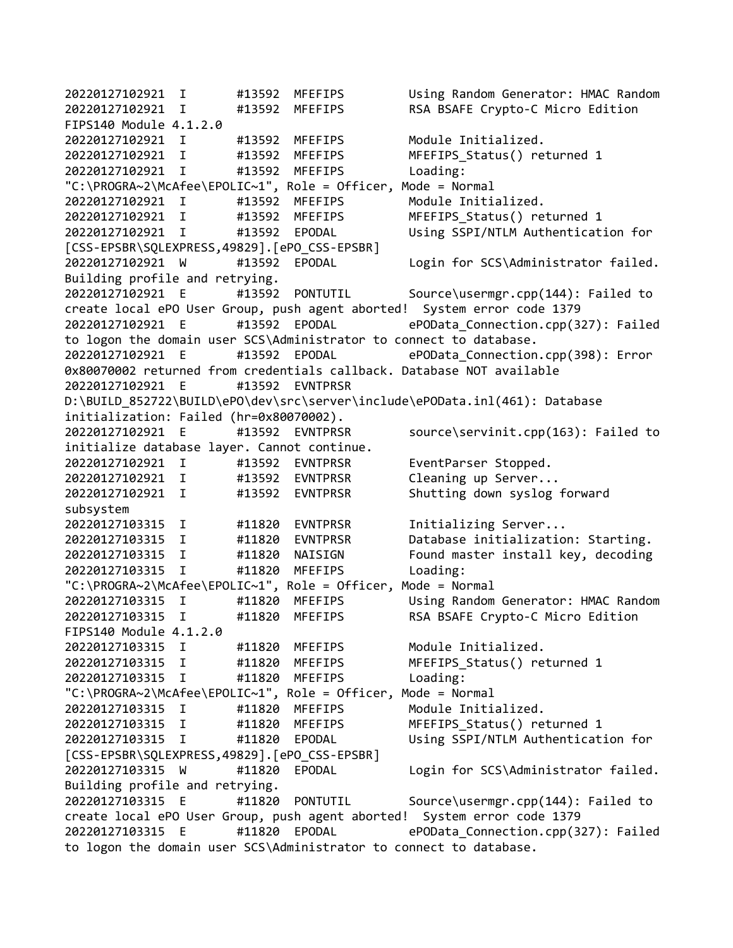20220127102921 I #13592 MFEFIPS Using Random Generator: HMAC Random 20220127102921 I #13592 MFEFIPS RSA BSAFE Crypto-C Micro Edition FIPS140 Module 4.1.2.0 20220127102921 I #13592 MFEFIPS Module Initialized. 20220127102921 I #13592 MFEFIPS MFEFIPS\_Status() returned 1 20220127102921 I #13592 MFEFIPS Loading: "C:\PROGRA~2\McAfee\EPOLIC~1", Role = Officer, Mode = Normal 20220127102921 I #13592 MFEFIPS Module Initialized. 20220127102921 I #13592 MFEFIPS MFEFIPS\_Status() returned 1 20220127102921 I #13592 EPODAL Using SSPI/NTLM Authentication for [CSS-EPSBR\SQLEXPRESS,49829].[ePO\_CSS-EPSBR] 20220127102921 W #13592 EPODAL Login for SCS\Administrator failed. Building profile and retrying. 20220127102921 E #13592 PONTUTIL Source\usermgr.cpp(144): Failed to create local ePO User Group, push agent aborted! System error code 1379 20220127102921 E #13592 EPODAL ePOData\_Connection.cpp(327): Failed to logon the domain user SCS\Administrator to connect to database. 20220127102921 E #13592 EPODAL ePOData\_Connection.cpp(398): Error 0x80070002 returned from credentials callback. Database NOT available 20220127102921 E #13592 EVNTPRSR D:\BUILD\_852722\BUILD\ePO\dev\src\server\include\ePOData.inl(461): Database initialization: Failed (hr=0x80070002). 20220127102921 E #13592 EVNTPRSR source\servinit.cpp(163): Failed to initialize database layer. Cannot continue. 20220127102921 I #13592 EVNTPRSR EventParser Stopped. 20220127102921 I #13592 EVNTPRSR Cleaning up Server... 20220127102921 I #13592 EVNTPRSR Shutting down syslog forward subsystem 20220127103315 I #11820 EVNTPRSR Initializing Server... 20220127103315 I #11820 EVNTPRSR Database initialization: Starting. 20220127103315 I #11820 NAISIGN Found master install key, decoding 20220127103315 I #11820 MFEFIPS Loading: "C:\PROGRA~2\McAfee\EPOLIC~1", Role = Officer, Mode = Normal 20220127103315 I #11820 MFEFIPS Using Random Generator: HMAC Random 20220127103315 I #11820 MFEFIPS RSA BSAFE Crypto-C Micro Edition FIPS140 Module 4.1.2.0 20220127103315 I #11820 MFEFIPS Module Initialized. 20220127103315 I #11820 MFEFIPS MFEFIPS\_Status() returned 1 20220127103315 I #11820 MFEFIPS Loading: "C:\PROGRA~2\McAfee\EPOLIC~1", Role = Officer, Mode = Normal 20220127103315 I #11820 MFEFIPS Module Initialized. 20220127103315 I #11820 MFEFIPS MFEFIPS\_Status() returned 1 20220127103315 I #11820 EPODAL Using SSPI/NTLM Authentication for [CSS-EPSBR\SQLEXPRESS,49829].[ePO\_CSS-EPSBR] 20220127103315 W #11820 EPODAL Login for SCS\Administrator failed. Building profile and retrying. 20220127103315 E #11820 PONTUTIL Source\usermgr.cpp(144): Failed to create local ePO User Group, push agent aborted! System error code 1379 20220127103315 E #11820 EPODAL ePOData\_Connection.cpp(327): Failed to logon the domain user SCS\Administrator to connect to database.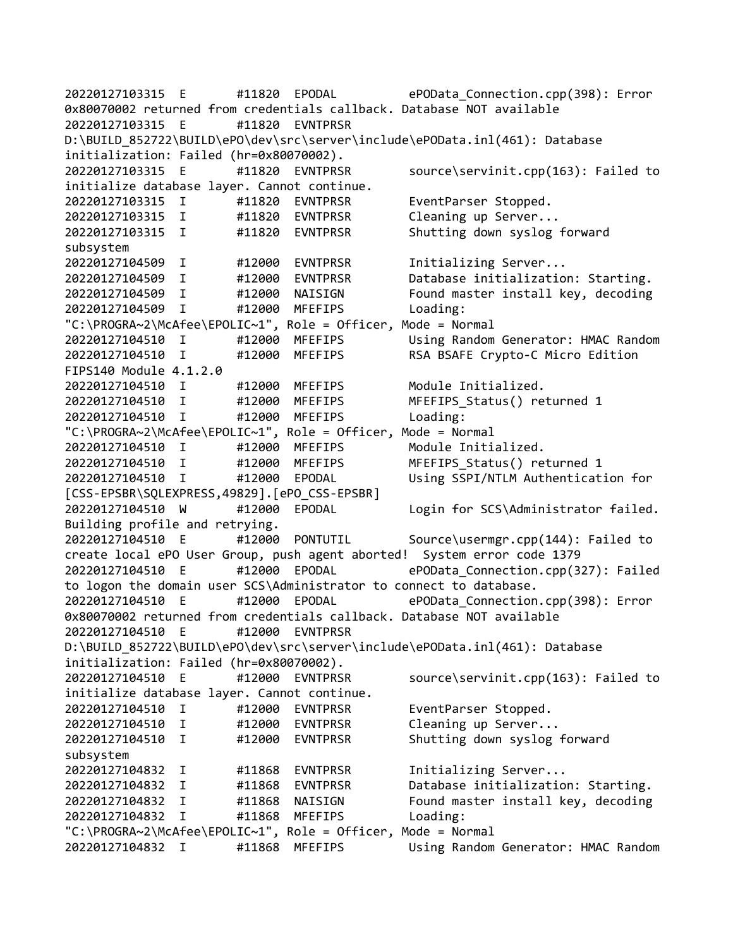20220127103315 E #11820 EPODAL ePOData\_Connection.cpp(398): Error 0x80070002 returned from credentials callback. Database NOT available 20220127103315 E #11820 EVNTPRSR D:\BUILD\_852722\BUILD\ePO\dev\src\server\include\ePOData.inl(461): Database initialization: Failed (hr=0x80070002). 20220127103315 E #11820 EVNTPRSR source\servinit.cpp(163): Failed to initialize database layer. Cannot continue. 20220127103315 I #11820 EVNTPRSR EventParser Stopped. 20220127103315 I #11820 EVNTPRSR Cleaning up Server... 20220127103315 I #11820 EVNTPRSR Shutting down syslog forward subsystem 20220127104509 I #12000 EVNTPRSR Initializing Server... 20220127104509 I #12000 EVNTPRSR Database initialization: Starting. 20220127104509 I #12000 NAISIGN Found master install key, decoding 20220127104509 I #12000 MFEFIPS Loading: "C:\PROGRA~2\McAfee\EPOLIC~1", Role = Officer, Mode = Normal 20220127104510 I #12000 MFEFIPS Using Random Generator: HMAC Random 20220127104510 I #12000 MFEFIPS RSA BSAFE Crypto-C Micro Edition FIPS140 Module 4.1.2.0 20220127104510 I #12000 MFEFIPS Module Initialized. 20220127104510 I #12000 MFEFIPS MFEFIPS\_Status() returned 1 20220127104510 I #12000 MFEFIPS Loading: "C:\PROGRA~2\McAfee\EPOLIC~1", Role = Officer, Mode = Normal 20220127104510 I #12000 MFEFIPS Module Initialized. 20220127104510 I #12000 MFEFIPS MFEFIPS\_Status() returned 1 20220127104510 I #12000 EPODAL Using SSPI/NTLM Authentication for [CSS-EPSBR\SQLEXPRESS,49829].[ePO\_CSS-EPSBR] 20220127104510 W #12000 EPODAL Login for SCS\Administrator failed. Building profile and retrying. 20220127104510 E #12000 PONTUTIL Source\usermgr.cpp(144): Failed to create local ePO User Group, push agent aborted! System error code 1379 20220127104510 E #12000 EPODAL ePOData\_Connection.cpp(327): Failed to logon the domain user SCS\Administrator to connect to database. 20220127104510 E #12000 EPODAL ePOData\_Connection.cpp(398): Error 0x80070002 returned from credentials callback. Database NOT available 20220127104510 E #12000 EVNTPRSR D:\BUILD\_852722\BUILD\ePO\dev\src\server\include\ePOData.inl(461): Database initialization: Failed (hr=0x80070002). 20220127104510 E #12000 EVNTPRSR source\servinit.cpp(163): Failed to initialize database layer. Cannot continue. 20220127104510 I #12000 EVNTPRSR EventParser Stopped. 20220127104510 I #12000 EVNTPRSR Cleaning up Server... 20220127104510 I #12000 EVNTPRSR Shutting down syslog forward subsystem 20220127104832 I #11868 EVNTPRSR Initializing Server... 20220127104832 I #11868 EVNTPRSR Database initialization: Starting. 20220127104832 I #11868 NAISIGN Found master install key, decoding 20220127104832 I #11868 MFEFIPS Loading: "C:\PROGRA~2\McAfee\EPOLIC~1", Role = Officer, Mode = Normal 20220127104832 I #11868 MFEFIPS Using Random Generator: HMAC Random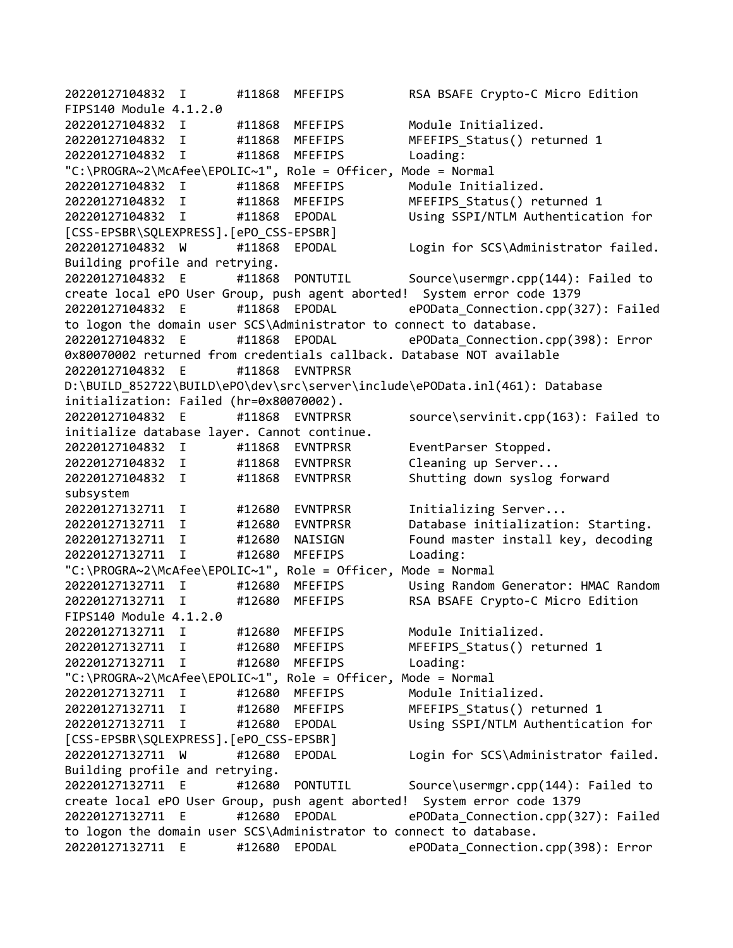20220127104832 I #11868 MFEFIPS RSA BSAFE Crypto-C Micro Edition FIPS140 Module 4.1.2.0 20220127104832 I #11868 MFEFIPS Module Initialized. 20220127104832 I #11868 MFEFIPS MFEFIPS\_Status() returned 1 20220127104832 I #11868 MFEFIPS Loading: "C:\PROGRA~2\McAfee\EPOLIC~1", Role = Officer, Mode = Normal 20220127104832 I #11868 MFEFIPS Module Initialized. 20220127104832 I #11868 MFEFIPS MFEFIPS\_Status() returned 1 20220127104832 I #11868 EPODAL Using SSPI/NTLM Authentication for [CSS-EPSBR\SQLEXPRESS].[ePO\_CSS-EPSBR] 20220127104832 W #11868 EPODAL Login for SCS\Administrator failed. Building profile and retrying. 20220127104832 E #11868 PONTUTIL Source\usermgr.cpp(144): Failed to create local ePO User Group, push agent aborted! System error code 1379 20220127104832 E #11868 EPODAL ePOData\_Connection.cpp(327): Failed to logon the domain user SCS\Administrator to connect to database. 20220127104832 E #11868 EPODAL ePOData\_Connection.cpp(398): Error 0x80070002 returned from credentials callback. Database NOT available 20220127104832 E #11868 EVNTPRSR D:\BUILD\_852722\BUILD\ePO\dev\src\server\include\ePOData.inl(461): Database initialization: Failed (hr=0x80070002). 20220127104832 E #11868 EVNTPRSR source\servinit.cpp(163): Failed to initialize database layer. Cannot continue. 20220127104832 I #11868 EVNTPRSR EventParser Stopped. 20220127104832 I #11868 EVNTPRSR Cleaning up Server... 20220127104832 I #11868 EVNTPRSR Shutting down syslog forward subsystem 20220127132711 I #12680 EVNTPRSR Initializing Server... 20220127132711 I #12680 EVNTPRSR Database initialization: Starting. 20220127132711 I #12680 NAISIGN Found master install key, decoding 20220127132711 I #12680 MFEFIPS Loading: "C:\PROGRA~2\McAfee\EPOLIC~1", Role = Officer, Mode = Normal 20220127132711 I #12680 MFEFIPS Using Random Generator: HMAC Random 20220127132711 I #12680 MFEFIPS RSA BSAFE Crypto-C Micro Edition FIPS140 Module 4.1.2.0 20220127132711 I #12680 MFEFIPS Module Initialized. 20220127132711 I #12680 MFEFIPS MFEFIPS\_Status() returned 1 20220127132711 I #12680 MFEFIPS Loading: "C:\PROGRA~2\McAfee\EPOLIC~1", Role = Officer, Mode = Normal 20220127132711 I #12680 MFEFIPS Module Initialized. 20220127132711 I #12680 MFEFIPS MFEFIPS\_Status() returned 1 20220127132711 I #12680 EPODAL Using SSPI/NTLM Authentication for [CSS-EPSBR\SQLEXPRESS].[ePO\_CSS-EPSBR] 20220127132711 W #12680 EPODAL Login for SCS\Administrator failed. Building profile and retrying. 20220127132711 E #12680 PONTUTIL Source\usermgr.cpp(144): Failed to create local ePO User Group, push agent aborted! System error code 1379 20220127132711 E #12680 EPODAL ePOData\_Connection.cpp(327): Failed to logon the domain user SCS\Administrator to connect to database. 20220127132711 E #12680 EPODAL ePOData\_Connection.cpp(398): Error